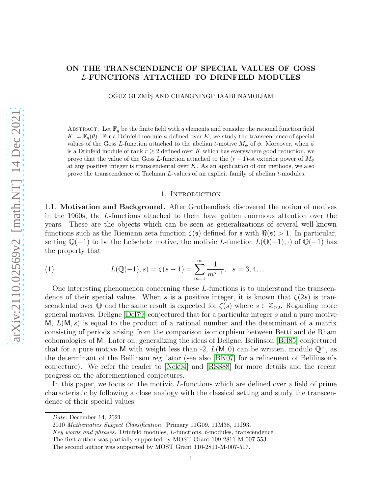## ON THE TRANSCENDENCE OF SPECIAL VALUES OF GOSS L-FUNCTIONS ATTACHED TO DRINFELD MODULES

OĞUZ GEZMİŞ AND CHANGNINGPHAABI NAMOIJAM

ABSTRACT. Let  $\mathbb{F}_q$  be the finite field with q elements and consider the rational function field  $K := \mathbb{F}_q(\theta)$ . For a Drinfeld module  $\phi$  defined over K, we study the transcendence of special values of the Goss L-function attached to the abelian t-motive  $M_{\phi}$  of  $\phi$ . Moreover, when  $\phi$ is a Drinfeld module of rank  $r \geq 2$  defined over K which has everywhere good reduction, we prove that the value of the Goss L-function attached to the  $(r-1)$ -st exterior power of  $M_{\phi}$ at any positive integer is transcendental over  $K$ . As an application of our methods, we also prove the transcendence of Taelman L-values of an explicit family of abelian t-modules.

#### 1. Introduction

1.1. Motivation and Background. After Grothendieck discovered the notion of motives in the 1960s, the L-functions attached to them have gotten enormous attention over the years. These are the objects which can be seen as generalizations of several well-known functions such as the Riemann zeta function  $\zeta(\mathfrak{s})$  defined for  $\mathfrak{s}$  with  $\Re(\mathfrak{s}) > 1$ . In particular, setting  $\mathbb{Q}(-1)$  to be the Lefschetz motive, the motivic L-function  $L(\mathbb{Q}(-1), \cdot)$  of  $\mathbb{Q}(-1)$  has the property that

<span id="page-0-0"></span>(1) 
$$
L(\mathbb{Q}(-1), s) = \zeta(s-1) = \sum_{m=1}^{\infty} \frac{1}{m^{s-1}}, \quad s = 3, 4, ....
$$

One interesting phenomenon concerning these L-functions is to understand the transcendence of their special values. When s is a positive integer, it is known that  $\zeta(2s)$  is transcendental over Q and the same result is expected for  $\zeta(s)$  where  $s \in \mathbb{Z}_{\geq 2}$ . Regarding more general motives, Deligne [\[Del79\]](#page-52-0) conjectured that for a particular integer s and a pure motive M,  $L(M, s)$  is equal to the product of a rational number and the determinant of a matrix consisting of periods arising from the comparison isomorphism between Betti and de Rham cohomologies of M. Later on, generalizing the ideas of Deligne, Beilinson [\[Bel85\]](#page-52-1) conjectured that for a pure motive M with weight less than -2,  $L(M, 0)$  can be written, modulo  $\mathbb{Q}^{\times}$ , as the determinant of the Beilinson regulator (see also [\[BK07\]](#page-52-2) for a refinement of Belilinson's conjecture). We refer the reader to [\[Nek94\]](#page-53-0) and [\[RSS88\]](#page-53-1) for more details and the recent progress on the aforementioned conjectures.

In this paper, we focus on the motivic L-functions which are defined over a field of prime characteristic by following a close analogy with the classical setting and study the transcendence of their special values.

Date: December 14, 2021.

<sup>2010</sup> Mathematics Subject Classification. Primary 11G09, 11M38, 11J93.

Key words and phrases. Drinfeld modules, L-functions, t-modules, transcendence.

The first author was partially supported by MOST Grant 109-2811-M-007-553.

The second author was supported by MOST Grant 110-2811-M-007-517.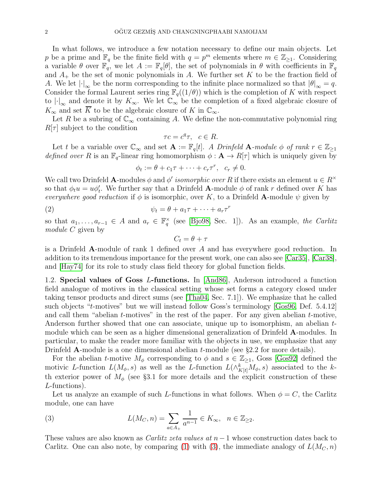In what follows, we introduce a few notation necessary to define our main objects. Let p be a prime and  $\mathbb{F}_q$  be the finite field with  $q = p^m$  elements where  $m \in \mathbb{Z}_{\geq 1}$ . Considering a variable  $\theta$  over  $\mathbb{F}_q$ , we let  $A := \mathbb{F}_q[\theta]$ , the set of polynomials in  $\theta$  with coefficients in  $\mathbb{F}_q$ and  $A_+$  be the set of monic polynomials in A. We further set K to be the fraction field of A. We let  $\left|\cdot\right|_{\infty}$  be the norm corresponding to the infinite place normalized so that  $\left|\theta\right|_{\infty}=q$ . Consider the formal Laurent series ring  $\mathbb{F}_q((1/\theta))$  which is the completion of K with respect to  $\lvert \cdot \rvert_{\infty}$  and denote it by  $K_{\infty}$ . We let  $\mathbb{C}_{\infty}$  be the completion of a fixed algebraic closure of  $K_{\infty}$  and set  $\overline{K}$  to be the algebraic closure of K in  $\mathbb{C}_{\infty}$ .

Let R be a subring of  $\mathbb{C}_{\infty}$  containing A. We define the non-commutative polynomial ring  $R[\tau]$  subject to the condition

$$
\tau c = c^q \tau, \ c \in R.
$$

Let t be a variable over  $\mathbb{C}_{\infty}$  and set  $\mathbf{A} := \mathbb{F}_q[t]$ . A Drinfeld  $\mathbf{A}$ -module  $\phi$  of rank  $r \in \mathbb{Z}_{\geq 1}$ defined over R is an  $\mathbb{F}_q$ -linear ring homomorphism  $\phi : \mathbf{A} \to R[\tau]$  which is uniquely given by

$$
\phi_t := \theta + c_1 \tau + \dots + c_r \tau^r, \ \ c_r \neq 0.
$$

We call two Drinfeld **A**-modules  $\phi$  and  $\phi'$  isomorphic over R if there exists an element  $u \in R^{\times}$ so that  $\phi_t u = u \phi'_t$ . We further say that a Drinfeld **A**-module  $\phi$  of rank r defined over K has everywhere good reduction if  $\phi$  is isomorphic, over K, to a Drinfeld **A**-module  $\psi$  given by

$$
\psi_t = \theta + a_1 \tau + \dots + a_r \tau^r
$$

so that  $a_1, \ldots, a_{r-1} \in A$  and  $a_r \in \mathbb{F}_q^{\times}$  (see [\[Bjo98,](#page-53-2) Sec. 1]). As an example, the Carlitz module C given by

<span id="page-1-1"></span> $C_t = \theta + \tau$ 

is a Drinfeld A-module of rank 1 defined over A and has everywhere good reduction. In addition to its tremendous importance for the present work, one can also see [\[Car35\]](#page-52-3), [\[Car38\]](#page-52-4), and [\[Hay74\]](#page-53-3) for its role to study class field theory for global function fields.

1.2. Special values of Goss L-functions. In [\[And86\]](#page-52-5), Anderson introduced a function field analogue of motives in the classical setting whose set forms a category closed under taking tensor products and direct sums (see [\[Tha04,](#page-53-4) Sec. 7.1]). We emphasize that he called such objects "t-motives" but we will instead follow Goss's terminology [\[Gos96,](#page-53-5) Def. 5.4.12] and call them "abelian  $t$ -motives" in the rest of the paper. For any given abelian  $t$ -motive, Anderson further showed that one can associate, unique up to isomorphism, an abelian tmodule which can be seen as a higher dimensional generalization of Drinfeld A-modules. In particular, to make the reader more familiar with the objects in use, we emphasize that any Drinfeld **A**-module is a one dimensional abelian *t*-module (see §2.2 for more details).

For the abelian t-motive  $M_{\phi}$  corresponding to  $\phi$  and  $s \in \mathbb{Z}_{\geq 1}$ , Goss [\[Gos92\]](#page-53-6) defined the motivic L-function  $L(M_\phi, s)$  as well as the L-function  $L(\wedge^k_{K[t]}M_\phi, s)$  associated to the kth exterior power of  $M_{\phi}$  (see §3.1 for more details and the explicit construction of these L-functions).

Let us analyze an example of such L-functions in what follows. When  $\phi = C$ , the Carlitz module, one can have

<span id="page-1-0"></span>(3) 
$$
L(M_C, n) = \sum_{a \in A_+} \frac{1}{a^{n-1}} \in K_{\infty}, \quad n \in \mathbb{Z}_{\geq 2}.
$$

These values are also known as *Carlitz zeta values at*  $n-1$  whose construction dates back to Carlitz. One can also note, by comparing [\(1\)](#page-0-0) with [\(3\)](#page-1-0), the immediate analogy of  $L(M_C, n)$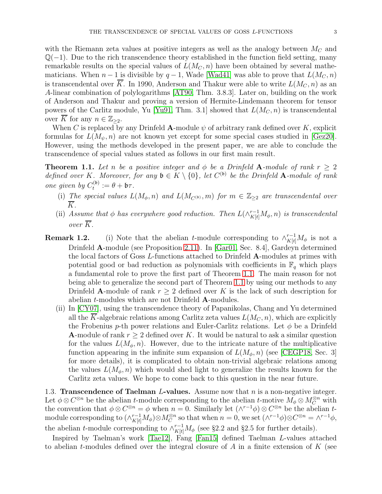with the Riemann zeta values at positive integers as well as the analogy between  $M_C$  and  $\mathbb{Q}(-1)$ . Due to the rich transcendence theory established in the function field setting, many remarkable results on the special values of  $L(M<sub>C</sub>, n)$  have been obtained by several mathematicians. When  $n-1$  is divisible by  $q-1$ , Wade [\[Wad41\]](#page-54-0) was able to prove that  $L(M<sub>C</sub>, n)$ is transcendental over  $\overline{K}$ . In 1990, Anderson and Thakur were able to write  $L(M_C, n)$  as an A-linear combination of polylogarithms [\[AT90,](#page-52-6) Thm. 3.8.3]. Later on, building on the work of Anderson and Thakur and proving a version of Hermite-Lindemann theorem for tensor powers of the Carlitz module, Yu [\[Yu91,](#page-54-1) Thm. 3.1] showed that  $L(M<sub>C</sub>, n)$  is transcendental over K for any  $n \in \mathbb{Z}_{\geq 2}$ .

When C is replaced by any Drinfeld A-module  $\psi$  of arbitrary rank defined over K, explicit formulas for  $L(M_{\psi}, n)$  are not known yet except for some special cases studied in [\[Gez20\]](#page-53-7). However, using the methods developed in the present paper, we are able to conclude the transcendence of special values stated as follows in our first main result.

<span id="page-2-0"></span>**Theorem 1.1.** Let n be a positive integer and  $\phi$  be a Drinfeld A-module of rank  $r \geq 2$ defined over K. Moreover, for any  $\mathfrak{b} \in K \setminus \{0\}$ , let  $C^{(\mathfrak{b})}$  be the Drinfeld **A**-module of rank one given by  $C_t^{(\mathfrak{b})}$  $t^{(\mathfrak{v})}:=\theta+\mathfrak{b}\tau.$ 

- (i) The special values  $L(M_\phi, n)$  and  $L(M_{C^{(b)}}, m)$  for  $m \in \mathbb{Z}_{\geq 2}$  are transcendental over K.
- (ii) Assume that  $\phi$  has everywhere good reduction. Then  $L(\wedge^{r-1}_{K[t]}M_{\phi}, n)$  is transcendental over  $\overline{K}$ .
- **Remark 1.2.** (i) Note that the abelian t-module corresponding to  $\wedge_{K[t]}^{r-1}M_{\phi}$  is not a Drinfeld A-module (see Proposition [2.11\)](#page-12-0). In [\[Gar01,](#page-53-8) Sec. 8.4], Gardeyn determined the local factors of Goss L-functions attached to Drinfeld  $A$ -modules at primes with potential good or bad reduction as polynomials with coefficients in  $\mathbb{F}_q$  which plays a fundamental role to prove the first part of Theorem [1.1.](#page-2-0) The main reason for not being able to generalize the second part of Theorem [1.1](#page-2-0) by using our methods to any Drinfeld A-module of rank  $r \geq 2$  defined over K is the lack of such description for abelian t-modules which are not Drinfeld A-modules.
	- (ii) In [\[CY07\]](#page-52-7), using the transcendence theory of Papanikolas, Chang and Yu determined all the K-algebraic relations among Carlitz zeta values  $L(M_C, n)$ , which are explicitly the Frobenius p-th power relations and Euler-Carlitz relations. Let  $\phi$  be a Drinfeld **A**-module of rank  $r \geq 2$  defined over K. It would be natural to ask a similar question for the values  $L(M_\phi, n)$ . However, due to the intricate nature of the multiplicative function appearing in the infinite sum expansion of  $L(M_\phi, n)$  (see [\[CEGP18,](#page-52-8) Sec. 3] for more details), it is complicated to obtain non-trivial algebraic relations among the values  $L(M_\phi, n)$  which would shed light to generalize the results known for the Carlitz zeta values. We hope to come back to this question in the near future.

1.3. **Transcendence of Taelman L-values.** Assume now that  $n$  is a non-negative integer. Let  $\phi \otimes C^{\otimes n}$  be the abelian t-module corresponding to the abelian t-motive  $M_{\phi} \otimes M_C^{\otimes n}$  with the convention that  $\phi \otimes C^{\otimes n} = \phi$  when  $n = 0$ . Similarly let  $(\wedge^{r-1} \phi) \otimes C^{\otimes n}$  be the abelian tmodule corresponding to  $(\wedge_{K[t]}^{r-1} M_{\phi}) \otimes M_C^{\otimes n}$  so that when  $n = 0$ , we set  $(\wedge^{r-1} \phi) \otimes C^{\otimes n} = \wedge^{r-1} \phi$ , the abelian t-module corresponding to  $\wedge_{K[t]}^{r-1} M_{\phi}$  (see §2.2 and §2.5 for further details).

Inspired by Taelman's work [\[Tae12\]](#page-53-9), Fang [\[Fan15\]](#page-53-10) defined Taelman L-values attached to abelian t-modules defined over the integral closure of A in a finite extension of  $K$  (see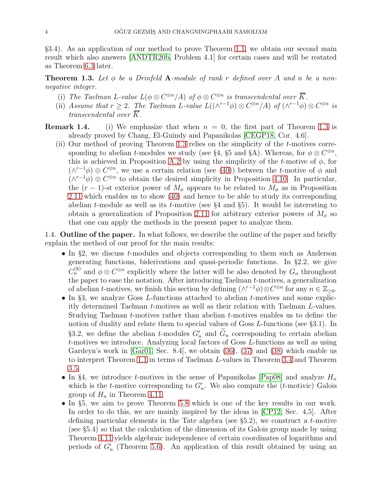§3.4). As an application of our method to prove Theorem [1.1,](#page-2-0) we obtain our second main result which also answers [\[ANDTR20b,](#page-52-9) Problem 4.1] for certain cases and will be restated as Theorem [6.3](#page-43-0) later.

<span id="page-3-0"></span>**Theorem 1.3.** Let  $\phi$  be a Drinfeld A-module of rank r defined over A and n be a nonnegative integer.

- (i) The Taelman L-value  $L(\phi \otimes C^{\otimes n}/A)$  of  $\phi \otimes C^{\otimes n}$  is transcendental over  $\overline{K}$ .
- (ii) Assume that  $r \geq 2$ . The Taelman L-value  $L((\wedge^{r-1}\phi) \otimes C^{\otimes n}/A)$  of  $(\wedge^{r-1}\phi) \otimes C^{\otimes n}$  is transcendental over K.
- **Remark 1.4.** (i) We emphasize that when  $n = 0$ , the first part of Theorem [1.3](#page-3-0) is already proved by Chang, El-Guindy and Papanikolas [\[CEGP18,](#page-52-8) Cor. 4.6].
	- (ii) Our method of proving Theorem [1.3](#page-3-0) relies on the simplicity of the t-motives corresponding to abelian *t*-modules we study (see §4, §5 and §A). Whereas, for  $\phi \otimes C^{\otimes n}$ , this is achieved in Proposition [A.2](#page-44-0) by using the simplicity of the t-motive of  $\phi$ , for  $(\wedge^{r-1}\phi) \otimes C^{\otimes n}$ , we use a certain relation (see [\(40\)](#page-25-0)) between the *t*-motive of  $\phi$  and  $(\wedge^{r-1}\phi) \otimes C^{\otimes n}$  to obtain the desired simplicity in Proposition [4.10.](#page-25-1) In particular, the  $(r-1)$ -st exterior power of  $M_{\phi}$  appears to be related to  $M_{\phi}$  as in Proposition [2.11](#page-12-0) which enables us to show [\(40\)](#page-25-0) and hence to be able to study its corresponding abelian *t*-module as well as its *t*-motive (see  $\S 4$  and  $\S 5$ ). It would be interesting to obtain a generalization of Proposition [2.11](#page-12-0) for arbitrary exterior powers of  $M_{\phi}$  so that one can apply the methods in the present paper to analyze them.

1.4. **Outline of the paper.** In what follows, we describe the outline of the paper and briefly explain the method of our proof for the main results:

- In §2, we discuss  $t$ -modules and objects corresponding to them such as Anderson generating functions, biderivations and quasi-periodic functions. In §2.2, we give  $C_n^{(\mathfrak{b})}$  and  $\phi \otimes C^{\otimes n}$  explicitly where the latter will be also denoted by  $G_n$  throughout the paper to ease the notation. After introducing Taelman t-motives, a generalization of abelian t-motives, we finish this section by defining  $(\wedge^{r-1}\phi)\otimes \mathbb{C}^{\otimes n}$  for any  $n \in \mathbb{Z}_{\geq 0}$ .
- $\bullet$  In §3, we analyze Goss *L*-functions attached to abelian *t*-motives and some explicitly determined Taelman t-motives as well as their relation with Taelman L-values. Studying Taelman t-motives rather than abelian t-motives enables us to define the notion of duality and relate them to special values of Goss L-functions (see §3.1). In §3.2, we define the abelian *t*-modules  $G'_n$  and  $G_n$  corresponding to certain abelian t-motives we introduce. Analyzing local factors of Goss L-functions as well as using Gardeyn's work in  $[Gar01, Sec. 8.4]$ , we obtain  $(36), (37)$  $(36), (37)$  and  $(38)$  which enable us to interpret Theorem [1.1](#page-2-0) in terms of Taelman L-values in Theorem [3.4](#page-20-3) and Theorem [3.5.](#page-20-4)
- In §4, we introduce *t*-motives in the sense of Papanikolas [\[Pap08\]](#page-53-11) and analyze  $H_n$ which is the *t*-motive corresponding to  $G'_{n}$ . We also compute the (*t*-motivic) Galois group of  $H_n$  in Theorem [4.11.](#page-26-0)
- In §5, we aim to prove Theorem 5.8 which is one of the key results in our work. In order to do this, we are mainly inspired by the ideas in [\[CP12,](#page-52-10) Sec. 4,5]. After defining particular elements in the Tate algebra (see §5.2), we construct a t-motive (see §5.4) so that the calculation of the dimension of its Galois group made by using Theorem [4.11](#page-26-0) yields algebraic independence of certain coordinates of logarithms and periods of  $G'_{n}$  (Theorem [5.6\)](#page-38-0). An application of this result obtained by using an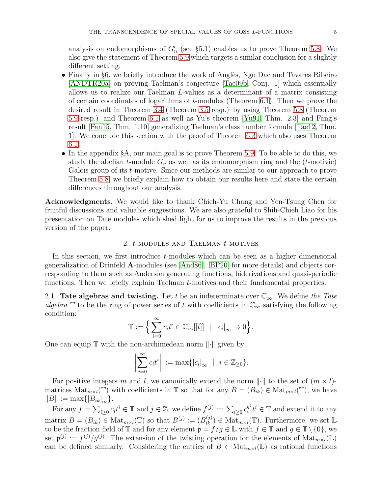analysis on endomorphisms of  $G'_n$  (see §5.1) enables us to prove Theorem 5.8. We also give the statement of Theorem [5.9](#page-40-0) which targets a similar conclusion for a slightly different setting.

- Finally in §6, we briefly introduce the work of Anglès, Ngo Dac and Tavares Ribeiro [\[ANDTR20a\]](#page-52-11) on proving Taelman's conjecture [\[Tae09b,](#page-53-12) Conj. 1] which essentially allows us to realize our Taelman L-values as a determinant of a matrix consisting of certain coordinates of logarithms of  $t$ -modules (Theorem [6.1\)](#page-41-0). Then we prove the desired result in Theorem [3.4](#page-20-3) (Theorem [3.5](#page-20-4) resp.) by using Theorem 5.8 (Theorem [5.9](#page-40-0) resp.) and Theorem [6.1](#page-41-0) as well as Yu's theorem [\[Yu91,](#page-54-1) Thm. 2.3] and Fang's result [\[Fan15,](#page-53-10) Thm. 1.10] generalizing Taelman's class number formula [\[Tae12,](#page-53-9) Thm. 1]. We conclude this section with the proof of Theorem [6.3](#page-43-0) which also uses Theorem [6.1.](#page-41-0)
- In the appendix §A, our main goal is to prove Theorem [5.9.](#page-40-0) To be able to do this, we study the abelian t-module  $G_n$  as well as its endomorphism ring and the (t-motivic) Galois group of its t-motive. Since our methods are similar to our approach to prove Theorem 5.8, we briefly explain how to obtain our results here and state the certain differences throughout our analysis.

Acknowledgments. We would like to thank Chieh-Yu Chang and Yen-Tsung Chen for fruitful discussions and valuable suggestions. We are also grateful to Shih-Chieh Liao for his presentation on Tate modules which shed light for us to improve the results in the previous version of the paper.

### 2. t-MODULES AND TAELMAN t-MOTIVES

In this section, we first introduce t-modules which can be seen as a higher dimensional generalization of Drinfeld A-modules (see [\[And86\]](#page-52-5), [\[BP20\]](#page-52-12) for more details) and objects corresponding to them such as Anderson generating functions, biderivations and quasi-periodic functions. Then we briefly explain Taelman t-motives and their fundamental properties.

2.1. Tate algebras and twisting. Let t be an indeterminate over  $\mathbb{C}_{\infty}$ . We define the Tate algebra T to be the ring of power series of t with coefficients in  $\mathbb{C}_{\infty}$  satisfying the following condition:

$$
\mathbb{T} := \Big\{ \sum_{i=0}^{\infty} c_i t^i \in \mathbb{C}_{\infty}[[t]] \ \mid \ |c_i|_{\infty} \to 0 \Big\}.
$$

One can equip  $\mathbb T$  with the non-archimedean norm  $\lVert \cdot \rVert$  given by

$$
\left\|\sum_{i=0}^{\infty} c_i t^i\right\| := \max\{|c_i|_{\infty} \mid i \in \mathbb{Z}_{\geq 0}\}.
$$

For positive integers m and l, we canonically extend the norm  $\lVert \cdot \rVert$  to the set of  $(m \times l)$ matrices  $\text{Mat}_{m\times l}(\mathbb{T})$  with coefficients in  $\mathbb{T}$  so that for any  $B=(B_{ik})\in \text{Mat}_{m\times l}(\mathbb{T})$ , we have  $||B|| := \max\{|B_{ik}|_{\infty}\}.$ 

For any  $f = \sum_{i \geq 0} c_i t^i \in \mathbb{T}$  and  $j \in \mathbb{Z}$ , we define  $f^{(j)} := \sum_{i \geq 0} c_i^{q^j}$  $_i^{q^j} t^i \in \mathbb{T}$  and extend it to any matrix  $B=(B_{ik})\in Mat_{m\times l}(\mathbb{T})$  so that  $B^{(j)}:=(B^{(j)}_{ik})\in Mat_{m\times l}(\mathbb{T})$ . Furthermore, we set  $\mathbb{L}$ to be the fraction field of  $\mathbb T$  and for any element  $\mathfrak p = f/g \in \mathbb L$  with  $f \in \mathbb T$  and  $g \in \mathbb T \setminus \{0\}$ , we set  $\mathfrak{p}^{(j)} := f^{(j)}/g^{(j)}$ . The extension of the twisting operation for the elements of  $\text{Mat}_{m \times l}(\mathbb{L})$ can be defined similarly. Considering the entries of  $B \in Mat_{m \times l}(\mathbb{L})$  as rational functions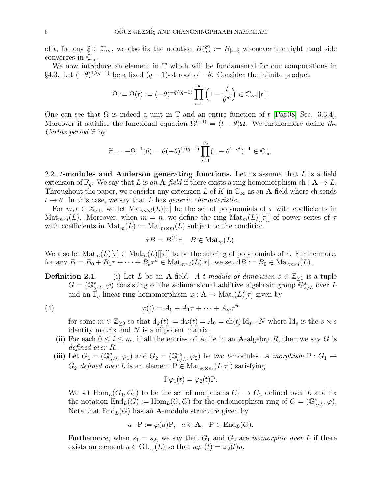of t, for any  $\xi \in \mathbb{C}_{\infty}$ , we also fix the notation  $B(\xi) := B_{|t=\xi|}$  whenever the right hand side converges in  $\mathbb{C}_{\infty}$ .

We now introduce an element in  $\mathbb T$  which will be fundamental for our computations in §4.3. Let  $(-\theta)^{1/(q-1)}$  be a fixed  $(q-1)$ -st root of  $-\theta$ . Consider the infinite product

$$
\Omega := \Omega(t) := (-\theta)^{-q/(q-1)} \prod_{i=1}^{\infty} \left(1 - \frac{t}{\theta^{q^i}}\right) \in \mathbb{C}_{\infty}[[t]].
$$

One can see that  $\Omega$  is indeed a unit in  $\mathbb T$  and an entire function of t [\[Pap08,](#page-53-11) Sec. 3.3.4]. Moreover it satisfies the functional equation  $\Omega^{(-1)} = (t - \theta)\Omega$ . We furthermore define the *Carlitz period*  $\tilde{\pi}$  by

$$
\widetilde{\pi} := -\Omega^{-1}(\theta) = \theta(-\theta)^{1/(q-1)} \prod_{i=1}^{\infty} (1 - \theta^{1-q^i})^{-1} \in \mathbb{C}_{\infty}^{\times}.
$$

2.2.  $t$ -modules and Anderson generating functions. Let us assume that  $L$  is a field extension of  $\mathbb{F}_q$ . We say that L is an **A**-field if there exists a ring homomorphism ch :  $\mathbf{A} \to L$ . Throughout the paper, we consider any extension L of K in  $\mathbb{C}_{\infty}$  as an A-field where ch sends  $t \mapsto \theta$ . In this case, we say that L has generic characteristic.

For  $m, l \in \mathbb{Z}_{\geq 1}$ , we let  $\text{Mat}_{m \times l}(L)[\tau]$  be the set of polynomials of  $\tau$  with coefficients in  $\text{Mat}_{m\times l}(L)$ . Moreover, when  $m = n$ , we define the ring  $\text{Mat}_{m}(L)[[\tau]]$  of power series of  $\tau$ with coefficients in  $\text{Mat}_m(L) := \text{Mat}_{m \times m}(L)$  subject to the condition

<span id="page-5-0"></span>
$$
\tau B = B^{(1)}\tau, \quad B \in \text{Mat}_m(L).
$$

We also let  $\text{Mat}_m(L)[\tau] \subset \text{Mat}_m(L)[\tau]$  to be the subring of polynomials of  $\tau$ . Furthermore, for any  $B = B_0 + B_1\tau + \cdots + B_k\tau^k \in \text{Mat}_{m \times l}(L)[\tau]$ , we set  $\text{d}B := B_0 \in \text{Mat}_{m \times l}(L)$ .

**Definition 2.1.** (i) Let L be an A-field. A t-module of dimension  $s \in \mathbb{Z}_{\geq 1}$  is a tuple  $G = (\mathbb{G}^s_{a/L}, \varphi)$  consisting of the s-dimensional additive algebraic group  $\mathbb{G}^s_{a/L}$  over L and an  $\mathbb{F}_q$ -linear ring homomorphism  $\varphi : \mathbf{A} \to \text{Mat}_s(L)[\tau]$  given by

(4) 
$$
\varphi(t) = A_0 + A_1 \tau + \dots + A_m \tau^m
$$

for some  $m \in \mathbb{Z}_{\geq 0}$  so that  $d_{\varphi}(t) := d\varphi(t) = A_0 = ch(t) \mathrm{Id}_s + N$  where  $\mathrm{Id}_s$  is the  $s \times s$ identity matrix and  $N$  is a nilpotent matrix.

- (ii) For each  $0 \leq i \leq m$ , if all the entries of  $A_i$  lie in an **A**-algebra R, then we say G is defined over R.
- (iii) Let  $G_1 = (\mathbb{G}_{a/L}^{s_1}, \varphi_1)$  and  $G_2 = (\mathbb{G}_{a/L}^{s_2}, \varphi_2)$  be two t-modules. A morphism  $P: G_1 \to G_2$  $G_2$  defined over L is an element  $P \in Mat_{s_2 \times s_1}(L[\tau])$  satisfying

$$
P\varphi_1(t) = \varphi_2(t)P.
$$

We set  $\text{Hom}_{L}(G_1, G_2)$  to be the set of morphisms  $G_1 \rightarrow G_2$  defined over L and fix the notation  $\text{End}_L(G) := \text{Hom}_L(G, G)$  for the endomorphism ring of  $G = (\mathbb{G}_{a/L}^s, \varphi)$ . Note that  $\text{End}_L(G)$  has an **A**-module structure given by

$$
a \cdot P := \varphi(a)P, \quad a \in A, \quad P \in End_L(G).
$$

Furthermore, when  $s_1 = s_2$ , we say that  $G_1$  and  $G_2$  are *isomorphic over* L if there exists an element  $u \in GL_{s_1}(L)$  so that  $u\varphi_1(t) = \varphi_2(t)u$ .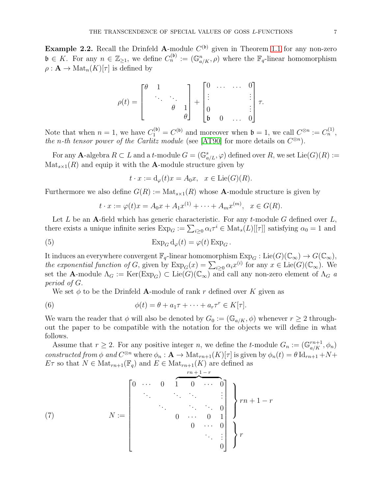<span id="page-6-2"></span>**Example 2.2.** Recall the Drinfeld A-module  $C^{(b)}$  given in Theorem [1.1](#page-2-0) for any non-zero  $\mathfrak{b} \in K$ . For any  $n \in \mathbb{Z}_{\geq 1}$ , we define  $C_n^{(\mathfrak{b})} := (\mathbb{G}_{a/K}^n, \rho)$  where the  $\mathbb{F}_q$ -linear homomorphism  $\rho: \mathbf{A} \to \text{Mat}_n(K)[\tau]$  is defined by

$$
\rho(t) = \begin{bmatrix} \theta & 1 & & \\ & \ddots & \ddots & \\ & & \theta & 1 \\ & & & \theta \end{bmatrix} + \begin{bmatrix} 0 & \cdots & \cdots & 0 \\ \vdots & & & \vdots \\ 0 & & & \vdots \\ 0 & 0 & \cdots & 0 \end{bmatrix} \tau.
$$

Note that when  $n = 1$ , we have  $C_1^{(\mathfrak{b})} = C^{(\mathfrak{b})}$  and moreover when  $\mathfrak{b} = 1$ , we call  $C^{\otimes n} := C_n^{(1)}$ , the n-th tensor power of the Carlitz module (see [\[AT90\]](#page-52-6) for more details on  $C^{\otimes n}$ ).

For any  $\mathbf{A}$ -algebra  $R \subset L$  and a t-module  $G = (\mathbb{G}_{a/L}^s, \varphi)$  defined over  $R$ , we set  $\mathrm{Lie}(G)(R) :=$  $\text{Mat}_{s\times 1}(R)$  and equip it with the **A**-module structure given by

$$
t \cdot x := d_{\varphi}(t)x = A_0x, \quad x \in \text{Lie}(G)(R).
$$

Furthermore we also define  $G(R) := Mat_{s \times 1}(R)$  whose **A**-module structure is given by

<span id="page-6-3"></span>
$$
t \cdot x := \varphi(t)x = A_0x + A_1x^{(1)} + \dots + A_mx^{(m)}, \ \ x \in G(R).
$$

Let  $L$  be an A-field which has generic characteristic. For any  $t$ -module  $G$  defined over  $L$ , there exists a unique infinite series  $Exp_G := \sum_{i\geq 0} \alpha_i \tau^i \in Mat_s(L)[[\tau]]$  satisfying  $\alpha_0 = 1$  and

(5) 
$$
\operatorname{Exp}_G \mathrm{d}_{\varphi}(t) = \varphi(t) \operatorname{Exp}_G.
$$

It induces an everywhere convergent  $\mathbb{F}_q$ -linear homomorphism  $\text{Exp}_G : \text{Lie}(G)(\mathbb{C}_{\infty}) \to G(\mathbb{C}_{\infty}),$ the exponential function of G, given by  $\text{Exp}_G(x) = \sum_{i\geq 0} \alpha_i x^{(i)}$  for any  $x \in \text{Lie}(G)(\mathbb{C}_{\infty})$ . We set the A-module  $\Lambda_G := \text{Ker}(\text{Exp}_G) \subset \text{Lie}(G)(\mathbb{C}_{\infty})$  and call any non-zero element of  $\Lambda_G$  a period of G.

<span id="page-6-0"></span>We set  $\phi$  to be the Drinfeld **A**-module of rank r defined over K given as

(6) 
$$
\phi(t) = \theta + a_1 \tau + \cdots + a_r \tau^r \in K[\tau].
$$

We warn the reader that  $\phi$  will also be denoted by  $G_0 := (\mathbb{G}_{a/K}, \phi)$  whenever  $r \geq 2$  throughout the paper to be compatible with the notation for the objects we will define in what follows.

Assume that  $r \geq 2$ . For any positive integer n, we define the t-module  $G_n := (\mathbb{G}_{a/K}^{rn+1}, \phi_n)$ constructed from  $\phi$  and  $C^{\otimes n}$  where  $\phi_n : \mathbf{A} \to \mathrm{Mat}_{rn+1}(K)[\tau]$  is given by  $\phi_n(t) = \theta \mathrm{Id}_{rn+1} + N +$  $E\tau$  so that  $N \in \text{Mat}_{rn+1}(\mathbb{F}_q)$  and  $E \in \text{Mat}_{rn+1}(K)$  are defined as

<span id="page-6-1"></span>(7) 
$$
N := \begin{bmatrix} 0 & \cdots & 0 & 1 & 0 & \cdots & 0 \\ & \ddots & & & & & \vdots \\ & & & & & \ddots & & \vdots \\ & & & & & & \ddots & 0 \\ & & & & & & 0 & 1 \\ & & & & & & 0 & \cdots & 0 \\ & & & & & & & & \vdots \\ & & & & & & & & \vdots \\ & & & & & & & & \vdots \\ & & & & & & & & \vdots \\ & & & & & & & & \vdots \\ & & & & & & & & 0 \end{bmatrix} \begin{bmatrix} rn+1-r \\ r^2 \end{bmatrix}
$$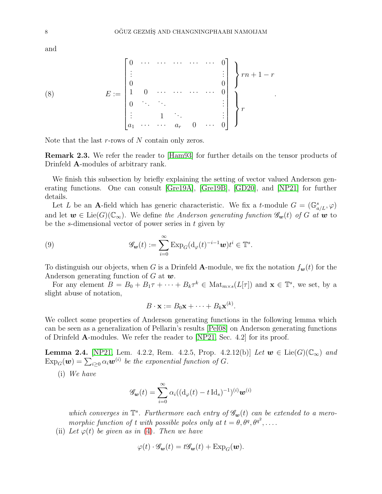and

<span id="page-7-0"></span>(8) 
$$
E := \begin{bmatrix} 0 & \cdots & \cdots & \cdots & \cdots & 0 \\ \vdots & & & & & \vdots \\ 0 & & & & & 0 \\ 1 & 0 & \cdots & \cdots & \cdots & 0 \\ 0 & \ddots & & & & \vdots \\ \vdots & & 1 & \ddots & & & \vdots \\ a_1 & \cdots & \cdots & a_r & 0 & \cdots & 0 \end{bmatrix} \begin{bmatrix} r \\ r+1-r \\ r \end{bmatrix}
$$

Note that the last  $r$ -rows of  $N$  contain only zeros.

Remark 2.3. We refer the reader to [\[Ham93\]](#page-53-13) for further details on the tensor products of Drinfeld A-modules of arbitrary rank.

We finish this subsection by briefly explaining the setting of vector valued Anderson generating functions. One can consult [\[Gre19A\]](#page-53-14), [\[Gre19B\]](#page-53-15), [\[GD20\]](#page-53-16), and [\[NP21\]](#page-53-17) for further details.

Let L be an A-field which has generic characteristic. We fix a t-module  $G = (\mathbb{G}_{a/L}^s, \varphi)$ and let  $w \in \text{Lie}(G)(\mathbb{C}_{\infty})$ . We define the Anderson generating function  $\mathscr{G}_{w}(t)$  of G at w to be the s-dimensional vector of power series in  $t$  given by

(9) 
$$
\mathscr{G}_{\mathbf{w}}(t) := \sum_{i=0}^{\infty} \text{Exp}_G(\mathrm{d}_{\varphi}(t)^{-i-1}\mathbf{w})t^i \in \mathbb{T}^s.
$$

To distinguish our objects, when G is a Drinfeld A-module, we fix the notation  $f_{\boldsymbol{w}}(t)$  for the Anderson generating function of G at  $w$ .

For any element  $B = B_0 + B_1 \tau + \cdots + B_k \tau^k \in \text{Mat}_{m \times s}(L[\tau])$  and  $\mathbf{x} \in \mathbb{T}^s$ , we set, by a slight abuse of notation,

<span id="page-7-1"></span>
$$
B \cdot \mathbf{x} := B_0 \mathbf{x} + \cdots + B_k \mathbf{x}^{(k)}.
$$

We collect some properties of Anderson generating functions in the following lemma which can be seen as a generalization of Pellarin's results [\[Pel08\]](#page-53-18) on Anderson generating functions of Drinfeld A-modules. We refer the reader to [\[NP21,](#page-53-17) Sec. 4.2] for its proof.

<span id="page-7-2"></span>**Lemma 2.4.** [\[NP21,](#page-53-17) Lem. 4.2.2, Rem. 4.2.5, Prop. 4.2.12(b)] Let  $w \in \text{Lie}(G)(\mathbb{C}_{\infty})$  and  $\text{Exp}_G(\boldsymbol{w}) = \sum_{i\geq 0} \alpha_i \boldsymbol{w}^{(i)}$  be the exponential function of G.

(i) We have

$$
\mathscr{G}_{\boldsymbol{w}}(t) = \sum_{i=0}^{\infty} \alpha_i ((\mathrm{d}_{\varphi}(t) - t \, \mathrm{Id}_s)^{-1})^{(i)} \boldsymbol{w}^{(i)}
$$

which converges in  $\mathbb{T}^s$ . Furthermore each entry of  $\mathscr{G}_{w}(t)$  can be extended to a meromorphic function of t with possible poles only at  $t = \theta, \theta^q, \theta^{q^2}, \dots$ 

(ii) Let  $\varphi(t)$  be given as in [\(4\)](#page-5-0). Then we have

$$
\varphi(t) \cdot \mathscr{G}_{\mathbf{w}}(t) = t \mathscr{G}_{\mathbf{w}}(t) + \operatorname{Exp}_{G}(\mathbf{w}).
$$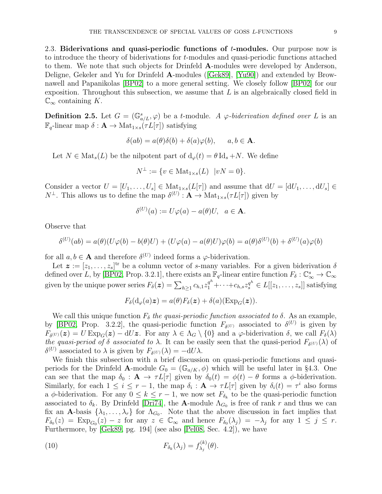2.3. Biderivations and quasi-periodic functions of  $t$ -modules. Our purpose now is to introduce the theory of biderivations for t-modules and quasi-periodic functions attached to them. We note that such objects for Drinfeld A-modules were developed by Anderson, Deligne, Gekeler and Yu for Drinfeld A-modules([\[Gek89\]](#page-53-19), [\[Yu90\]](#page-54-2)) and extended by Brownawell and Papanikolas [\[BP02\]](#page-52-13) to a more general setting. We closely follow [\[BP02\]](#page-52-13) for our exposition. Throughout this subsection, we assume that  $L$  is an algebraically closed field in  $\mathbb{C}_{\infty}$  containing K.

**Definition 2.5.** Let  $G = (\mathbb{G}_{a/L}^s, \varphi)$  be a t-module. A  $\varphi$ -biderivation defined over L is an  $\mathbb{F}_q$ -linear map  $\delta: \mathbf{A} \to \text{Mat}_{1 \times s}(\tau L[\tau])$  satisfying

$$
\delta(ab) = a(\theta)\delta(b) + \delta(a)\varphi(b), \qquad a, b \in \mathbf{A}.
$$

Let  $N \in Mat_s(L)$  be the nilpotent part of  $d_{\varphi}(t) = \theta \, Id_s + N$ . We define

$$
N^{\perp} := \{ v \in \text{Mat}_{1 \times s}(L) \ | vN = 0 \}.
$$

Consider a vector  $U = [U_1, \ldots, U_s] \in Mat_{1 \times s}(L[\tau])$  and assume that  $dU = [dU_1, \ldots, dU_s] \in$  $N^{\perp}$ . This allows us to define the map  $\delta^{(U)}: \mathbf{A} \to \text{Mat}_{1 \times s}(\tau L[\tau])$  given by

$$
\delta^{(U)}(a) := U\varphi(a) - a(\theta)U, \ \ a \in \mathbf{A}.
$$

Observe that

$$
\delta^{(U)}(ab) = a(\theta)(U\varphi(b) - b(\theta)U) + (U\varphi(a) - a(\theta)U)\varphi(b) = a(\theta)\delta^{(U)}(b) + \delta^{(U)}(a)\varphi(b)
$$

for all  $a, b \in A$  and therefore  $\delta^{(U)}$  indeed forms a  $\varphi$ -biderivation.

 $(1)$ 

Let  $\boldsymbol{z} := [z_1, \ldots, z_s]^{\text{tr}}$  be a column vector of s-many variables. For a given biderivation  $\delta$ defined over L, by [\[BP02,](#page-52-13) Prop. 3.2.1], there exists an  $\mathbb{F}_q$ -linear entire function  $F_\delta: \mathbb{C}^s_\infty \to \mathbb{C}_\infty$ given by the unique power series  $F_{\delta}(z) = \sum_{h \geq 1} c_{h,1} z_1^{q^h} + \cdots + c_{h,s} z_s^{q^h} \in L[[z_1, \ldots, z_s]]$  satisfying

$$
F_{\delta}(\mathrm{d}_{\varphi}(a)\boldsymbol{z}) = a(\theta)F_{\delta}(\boldsymbol{z}) + \delta(a)(\mathrm{Exp}_G(\boldsymbol{z})).
$$

We call this unique function  $F_{\delta}$  the quasi-periodic function associated to  $\delta$ . As an example, by [\[BP02,](#page-52-13) Prop. 3.2.2], the quasi-periodic function  $F_{\delta^{(U)}}$  associated to  $\delta^{(U)}$  is given by  $F_{\delta^{(U)}}(z) = U \operatorname{Exp}_G(z) - dUz$ . For any  $\lambda \in \Lambda_G \setminus \{0\}$  and a  $\varphi$ -biderivation  $\delta$ , we call  $F_{\delta}(\lambda)$ the quasi-period of  $\delta$  associated to  $\lambda$ . It can be easily seen that the quasi-period  $F_{\delta^{(U)}}(\lambda)$  of  $\delta^{(U)}$  associated to  $\lambda$  is given by  $F_{\delta^{(U)}}(\lambda) = -dU\lambda$ .

We finish this subsection with a brief discussion on quasi-periodic functions and quasiperiods for the Drinfeld A-module  $G_0 = (\mathbb{G}_{a/K}, \phi)$  which will be useful later in §4.3. One can see that the map  $\delta_0 : A \to \tau L[\tau]$  given by  $\delta_0(t) = \phi(t) - \theta$  forms a  $\phi$ -biderivation. Similarly, for each  $1 \leq i \leq r-1$ , the map  $\delta_i : \mathbf{A} \to \tau L[\tau]$  given by  $\delta_i(t) = \tau^i$  also forms a  $\phi$ -biderivation. For any  $0 \leq k \leq r-1$ , we now set  $F_{\delta_k}$  to be the quasi-periodic function associated to  $\delta_k$ . By Drinfeld [\[Dri74\]](#page-53-20), the **A**-module  $\Lambda_{G_0}$  is free of rank r and thus we can fix an A-basis  $\{\lambda_1, \ldots, \lambda_r\}$  for  $\Lambda_{G_0}$ . Note that the above discussion in fact implies that  $F_{\delta_0}(z) = \text{Exp}_{G_0}(z) - z$  for any  $z \in \mathbb{C}_{\infty}$  and hence  $F_{\delta_0}(\lambda_j) = -\lambda_j$  for any  $1 \leq j \leq r$ . Furthermore, by [\[Gek89,](#page-53-19) pg. 194] (see also [\[Pel08,](#page-53-18) Sec. 4.2]), we have

<span id="page-8-0"></span>(10) 
$$
F_{\delta_k}(\lambda_j) = f_{\lambda_j}^{(k)}(\theta).
$$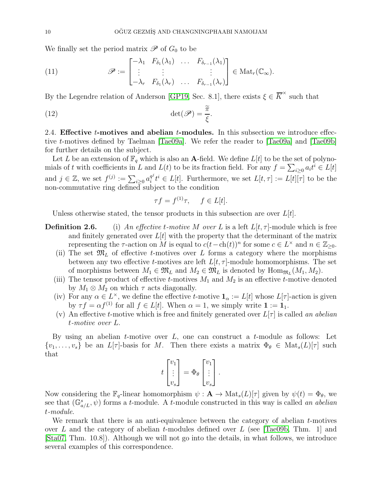We finally set the period matrix  $\mathscr P$  of  $G_0$  to be

<span id="page-9-0"></span>(11) 
$$
\mathscr{P} := \begin{bmatrix} -\lambda_1 & F_{\delta_1}(\lambda_1) & \dots & F_{\delta_{r-1}}(\lambda_1) \\ \vdots & \vdots & & \vdots \\ -\lambda_r & F_{\delta_1}(\lambda_r) & \dots & F_{\delta_{r-1}}(\lambda_r) \end{bmatrix} \in \text{Mat}_r(\mathbb{C}_{\infty}).
$$

By the Legendre relation of Anderson [\[GP19,](#page-53-21) Sec. 8.1], there exists  $\xi \in \overline{K}^{\times}$  such that

(12) 
$$
\det(\mathscr{P}) = \frac{\widetilde{\pi}}{\xi}.
$$

2.4. Effective  $t$ -motives and abelian  $t$ -modules. In this subsection we introduce effective t-motives defined by Taelman [\[Tae09a\]](#page-53-22). We refer the reader to [\[Tae09a\]](#page-53-22) and [\[Tae09b\]](#page-53-12) for further details on the subject.

Let L be an extension of  $\mathbb{F}_q$  which is also an **A**-field. We define  $L[t]$  to be the set of polynomials of t with coefficients in L and  $L(t)$  to be its fraction field. For any  $f = \sum_{i \geq 0} a_i t^i \in L[t]$ and  $j \in \mathbb{Z}$ , we set  $f^{(j)} := \sum_{i \geq 0} a_i^{q^j}$  $_i^{q'}t^i \in L[t]$ . Furthermore, we set  $L[t, \tau] := L[t][\tau]$  to be the non-commutative ring defined subject to the condition

<span id="page-9-1"></span>
$$
\tau f = f^{(1)}\tau, \quad f \in L[t].
$$

Unless otherwise stated, the tensor products in this subsection are over  $L[t]$ .

- **Definition 2.6.** (i) An effective t-motive M over L is a left  $L[t, \tau]$ -module which is free and finitely generated over  $L[t]$  with the property that the determinant of the matrix representing the  $\tau$ -action on M is equal to  $c(t - \text{ch}(t))^n$  for some  $c \in L^\times$  and  $n \in \mathbb{Z}_{\geq 0}$ .
	- (ii) The set  $\mathfrak{M}_L$  of effective t-motives over L forms a category where the morphisms between any two effective t-motives are left  $L[t, \tau]$ -module homomorphisms. The set of morphisms between  $M_1 \in \mathfrak{M}_L$  and  $M_2 \in \mathfrak{M}_L$  is denoted by  $\text{Hom}_{\mathfrak{M}_L}(M_1, M_2)$ .
	- (iii) The tensor product of effective t-motives  $M_1$  and  $M_2$  is an effective t-motive denoted by  $M_1 \otimes M_2$  on which  $\tau$  acts diagonally.
	- (iv) For any  $\alpha \in L^{\times}$ , we define the effective t-motive  $\mathbf{1}_{\alpha} := L[t]$  whose  $L[\tau]$ -action is given by  $\tau f = \alpha f^{(1)}$  for all  $f \in L[t]$ . When  $\alpha = 1$ , we simply write  $\mathbf{1} := \mathbf{1}_1$ .
	- (v) An effective t-motive which is free and finitely generated over  $L[\tau]$  is called an abelian t-motive over L.

By using an abelian  $t$ -motive over  $L$ , one can construct a  $t$ -module as follows: Let  $\{v_1, \ldots, v_s\}$  be an  $L[\tau]$ -basis for M. Then there exists a matrix  $\Phi_{\theta} \in Mat_s(L)[\tau]$  such that

$$
t\begin{bmatrix}v_1\\ \vdots\\ v_s\end{bmatrix} = \Phi_\theta \begin{bmatrix}v_1\\ \vdots\\ v_s\end{bmatrix}.
$$

Now considering the  $\mathbb{F}_q$ -linear homomorphism  $\psi : \mathbf{A} \to \text{Mat}_s(L)[\tau]$  given by  $\psi(t) = \Phi_{\theta}$ , we see that  $(\mathbb{G}_{a/L}^s, \psi)$  forms a t-module. A t-module constructed in this way is called an abelian t-module.

We remark that there is an anti-equivalence between the category of abelian  $t$ -motives over L and the category of abelian t-modules defined over L (see [\[Tae09b,](#page-53-12) Thm. 1] and [\[Sta07,](#page-53-23) Thm. 10.8]). Although we will not go into the details, in what follows, we introduce several examples of this correspondence.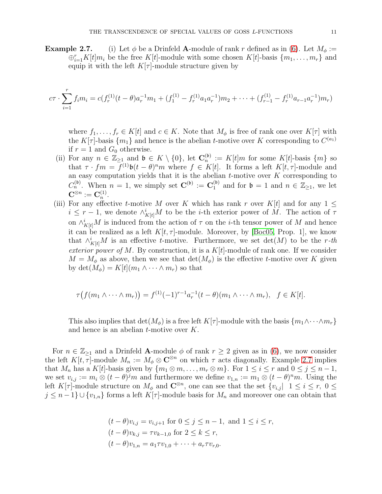**Example 2.7.** (i) Let  $\phi$  be a Drinfeld **A**-module of rank r defined as in [\(6\)](#page-6-0). Let  $M_{\phi}$  :=  $\bigoplus_{i=1}^r K[t]m_i$  be the free  $K[t]$ -module with some chosen  $K[t]$ -basis  $\{m_1, \ldots, m_r\}$  and equip it with the left  $K[\tau]$ -module structure given by

$$
c\tau \cdot \sum_{i=1}^r f_i m_i = c(f_r^{(1)}(t-\theta)a_r^{-1}m_1 + (f_1^{(1)} - f_r^{(1)}a_1a_r^{-1})m_2 + \dots + (f_{r-1}^{(1)} - f_r^{(1)}a_{r-1}a_r^{-1})m_r)
$$

where  $f_1, \ldots, f_r \in K[t]$  and  $c \in K$ . Note that  $M_\phi$  is free of rank one over  $K[\tau]$  with the K[ $\tau$ ]-basis  $\{m_1\}$  and hence is the abelian *t*-motive over K corresponding to  $C^{(a_1)}$ if  $r = 1$  and  $G_0$  otherwise.

- (ii) For any  $n \in \mathbb{Z}_{\geq 1}$  and  $\mathfrak{b} \in K \setminus \{0\}$ , let  $\mathbb{C}_n^{(\mathfrak{b})} := K[t]m$  for some  $K[t]$ -basis  $\{m\}$  so that  $\tau \cdot fm = f^{(1)}\mathfrak{b}(t-\theta)^nm$  where  $f \in K[t]$ . It forms a left  $K[t,\tau]$ -module and an easy computation yields that it is the abelian  $t$ -motive over  $K$  corresponding to  $C_n^{(\mathfrak{b})}$ . When  $n = 1$ , we simply set  $\mathbf{C}^{(\mathfrak{b})} := \mathbf{C}_1^{(\mathfrak{b})}$  and for  $\mathfrak{b} = 1$  and  $n \in \mathbb{Z}_{\geq 1}$ , we let  $\mathbf{C}^{\otimes n}:=\mathbf{C}_n^{(1)}$  $\frac{(1)}{n}$ .
- (iii) For any effective t-motive M over K which has rank r over K[t] and for any  $1 \leq$  $i \leq r-1$ , we denote  $\wedge^i_{K[t]}M$  to be the *i*-th exterior power of M. The action of  $\tau$ on  $\wedge^i_{K[t]}M$  is induced from the action of  $\tau$  on the *i*-th tensor power of M and hence it can be realized as a left  $K[t, \tau]$ -module. Moreover, by [\[Boc05,](#page-52-14) Prop. 1], we know that  $\wedge^i_{K[t]}M$  is an effective t-motive. Furthermore, we set  $\det(M)$  to be the r-th exterior power of M. By construction, it is a  $K[t]$ -module of rank one. If we consider  $M = M_{\phi}$  as above, then we see that  $\det(M_{\phi})$  is the effective t-motive over K given by det $(M_{\phi}) = K[t](m_1 \wedge \cdots \wedge m_r)$  so that

$$
\tau(f(m_1 \wedge \cdots \wedge m_r)) = f^{(1)}(-1)^{r-1}a_r^{-1}(t-\theta)(m_1 \wedge \cdots \wedge m_r), \quad f \in K[t].
$$

This also implies that  $\det(M_{\phi})$  is a free left  $K[\tau]$ -module with the basis  $\{m_1 \wedge \cdots \wedge m_r\}$ and hence is an abelian  $t$ -motive over  $K$ .

For  $n \in \mathbb{Z}_{\geq 1}$  and a Drinfeld A-module  $\phi$  of rank  $r \geq 2$  given as in [\(6\)](#page-6-0), we now consider the left  $K[t, \tau]$ -module  $M_n := M_\phi \otimes \mathbb{C}^{\otimes n}$  on which  $\tau$  acts diagonally. Example 2.7 implies that  $M_n$  has a  $K[t]$ -basis given by  $\{m_1 \otimes m, \ldots, m_r \otimes m\}$ . For  $1 \leq i \leq r$  and  $0 \leq j \leq n-1$ , we set  $v_{i,j} := m_i \otimes (t - \theta)^j m$  and furthermore we define  $v_{1,n} := m_1 \otimes (t - \theta)^n m$ . Using the left K[ $\tau$ ]-module structure on  $M_{\phi}$  and  $\mathbb{C}^{\otimes n}$ , one can see that the set  $\{v_{i,j}\}\;1\leq i\leq r,\;0\leq$  $j \leq n-1$   $\cup$  { $v_{1,n}$ } forms a left  $K[\tau]$ -module basis for  $M_n$  and moreover one can obtain that

$$
(t - \theta)v_{i,j} = v_{i,j+1} \text{ for } 0 \le j \le n - 1, \text{ and } 1 \le i \le r,
$$
  
\n
$$
(t - \theta)v_{k,j} = \tau v_{k-1,0} \text{ for } 2 \le k \le r,
$$
  
\n
$$
(t - \theta)v_{1,n} = a_1 \tau v_{1,0} + \dots + a_r \tau v_{r,0}.
$$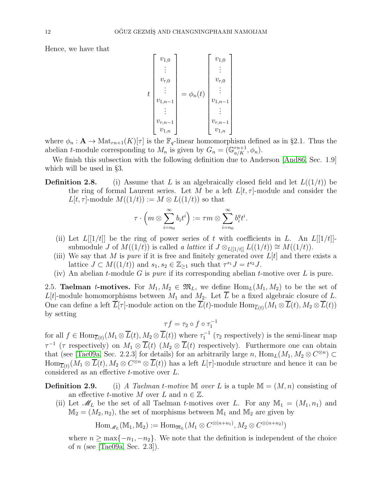Hence, we have that

$$
t\begin{bmatrix}v_{1,0} \\ \vdots \\ v_{r,0} \\ \vdots \\ v_{1,n-1} \\ \vdots \\ v_{r,n-1} \\ v_{1,n}\end{bmatrix}=\phi_n(t)\begin{bmatrix}v_{1,0} \\ \vdots \\ v_{r,0} \\ \vdots \\ v_{1,n-1} \\ \vdots \\ v_{r,n-1} \\ v_{1,n}\end{bmatrix}
$$

where  $\phi_n : \mathbf{A} \to \text{Mat}_{rn+1}(K)[\tau]$  is the  $\mathbb{F}_q$ -linear homomorphism defined as in §2.1. Thus the abelian *t*-module corresponding to  $M_n$  is given by  $G_n = (\mathbb{G}_{a/K}^{rn+1}, \phi_n)$ .

We finish this subsection with the following definition due to Anderson [\[And86,](#page-52-5) Sec. 1.9] which will be used in §3.

**Definition 2.8.** (i) Assume that L is an algebraically closed field and let  $L((1/t))$  be the ring of formal Laurent series. Let M be a left  $L[t, \tau]$ -module and consider the  $L[t, \tau]$ -module  $M((1/t)) := M \otimes L((1/t))$  so that

$$
\tau\cdot\Big(m\otimes \sum_{i=n_0}^\infty b_it^i\Big):=\tau m\otimes \sum_{i=n_0}^\infty b_i^qt^i.
$$

- (ii) Let  $L[[1/t]]$  be the ring of power series of t with coefficients in L. An  $L[[1/t]]$ submodule J of  $M((1/t))$  is called a lattice if  $J \otimes_{L[[1/t]]} L((1/t)) \cong M((1/t)).$
- (iii) We say that M is *pure* if it is free and finitely generated over  $L[t]$  and there exists a lattice  $J \subset M((1/t))$  and  $s_1, s_2 \in \mathbb{Z}_{\geq 1}$  such that  $\tau^{s_1} J = t^{s_2} J$ .
- (iv) An abelian t-module G is pure if its corresponding abelian t-motive over L is pure.

2.5. **Taelman t-motives.** For  $M_1, M_2 \in \mathfrak{M}_L$ , we define  $\text{Hom}_L(M_1, M_2)$  to be the set of  $L[t]$ -module homomorphisms between  $M_1$  and  $M_2$ . Let  $\overline{L}$  be a fixed algebraic closure of  $L$ . One can define a left  $L[\tau]$ -module action on the  $L(t)$ -module  $\text{Hom}_{\overline{L}(t)}(M_1 \otimes L(t), M_2 \otimes L(t))$ by setting

$$
\tau f = \tau_2 \circ f \circ \tau_1^{-1}
$$

for all  $f \in \text{Hom}_{\overline{L}(t)}(M_1 \otimes \overline{L}(t), M_2 \otimes \overline{L}(t))$  where  $\tau_1^{-1}$  ( $\tau_2$  respectively) is the semi-linear map  $\tau^{-1}$  ( $\tau$  respectively) on  $M_1 \otimes \overline{L}(t)$  ( $M_2 \otimes \overline{L}(t)$  respectively). Furthermore one can obtain that (see [\[Tae09a,](#page-53-22) Sec. 2.2.3] for details) for an arbitrarily large n,  $\text{Hom}_{L}(M_1, M_2 \otimes C^{\otimes n}) \subset$  $\text{Hom}_{\overline{L}(t)}(M_1 \otimes \overline{L}(t), M_2 \otimes C^{\otimes n} \otimes \overline{L}(t))$  has a left  $L[\tau]$ -module structure and hence it can be considered as an effective t-motive over L.

**Definition 2.9.** (i) A Taelman t-motive M over L is a tuple  $M = (M, n)$  consisting of an effective t-motive M over L and  $n \in \mathbb{Z}$ .

(ii) Let  $\mathscr{M}_L$  be the set of all Taelman *t*-motives over L. For any  $\mathbb{M}_1 = (M_1, n_1)$  and  $M_2 = (M_2, n_2)$ , the set of morphisms between  $M_1$  and  $M_2$  are given by

$$
\operatorname{Hom}_{\mathscr{M}_L}(\mathbb{M}_1, \mathbb{M}_2) := \operatorname{Hom}_{\mathfrak{M}_L}(M_1 \otimes C^{\otimes (n+n_1)}, M_2 \otimes C^{\otimes (n+n_2)})
$$

where  $n \geq \max\{-n_1, -n_2\}$ . We note that the definition is independent of the choice of n (see [\[Tae09a,](#page-53-22) Sec. 2.3]).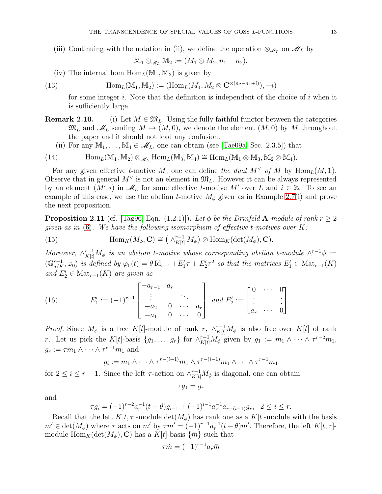(iii) Continuing with the notation in (ii), we define the operation  $\otimes_{\mathscr{M}_L}$  on  $\mathscr{M}_L$  by

<span id="page-12-1"></span>
$$
\mathbb{M}_1 \otimes_{\mathscr{M}_L} \mathbb{M}_2 := (M_1 \otimes M_2, n_1 + n_2).
$$

(iv) The internal hom  $\text{Hom}_L(\mathbb{M}_1, \mathbb{M}_2)$  is given by

(13) 
$$
\text{Hom}_L(\mathbb{M}_1, \mathbb{M}_2) := (\text{Hom}_L(M_1, M_2 \otimes \mathbf{C}^{\otimes (n_2 - n_1 + i)}), -i)
$$

for some integer i. Note that the definition is independent of the choice of i when it is sufficiently large.

- **Remark 2.10.** (i) Let  $M \in \mathfrak{M}_L$ . Using the fully faithful functor between the categories  $\mathfrak{M}_L$  and  $\mathscr{M}_L$  sending  $M \mapsto (M, 0)$ , we denote the element  $(M, 0)$  by M throughout the paper and it should not lead any confusion.
	- (ii) For any  $M_1, \ldots, M_4 \in \mathcal{M}_L$ , one can obtain (see [\[Tae09a,](#page-53-22) Sec. 2.3.5]) that

<span id="page-12-2"></span>(14) 
$$
\text{Hom}_{L}(\mathbb{M}_{1}, \mathbb{M}_{2}) \otimes_{\mathscr{M}_{L}} \text{Hom}_{L}(\mathbb{M}_{3}, \mathbb{M}_{4}) \cong \text{Hom}_{L}(\mathbb{M}_{1} \otimes \mathbb{M}_{3}, \mathbb{M}_{2} \otimes \mathbb{M}_{4}).
$$

For any given effective t-motive M, one can define the dual  $M^{\vee}$  of M by  $\text{Hom}_{L}(M, 1)$ . Observe that in general  $M^{\vee}$  is not an element in  $\mathfrak{M}_{L}$ . However it can be always represented by an element  $(M', i)$  in  $\mathscr{M}_L$  for some effective t-motive M' over L and  $i \in \mathbb{Z}$ . To see an example of this case, we use the abelian t-motive  $M_{\phi}$  given as in Example 2.7(i) and prove the next proposition.

<span id="page-12-0"></span>**Proposition 2.11** (cf. [\[Tag96,](#page-53-24) Eqn. (1.2.1)]). Let  $\phi$  be the Drinfeld A-module of rank  $r > 2$ given as in  $(6)$ . We have the following isomorphism of effective t-motives over K:

<span id="page-12-3"></span>(15) 
$$
\operatorname{Hom}_K(M_\phi, \mathbf{C}) \cong \left(\wedge_{K[t]}^{r-1} M_\phi\right) \otimes \operatorname{Hom}_K(\det(M_\phi), \mathbf{C}).
$$

Moreover,  $\wedge_{K[t]}^{r-1} M_\phi$  is an abelian t-motive whose corresponding abelian t-module  $\wedge^{r-1} \phi :=$  $(\mathbb{G}_{a/K}^{r-1}, \varphi_0)$  is defined by  $\varphi_0(t) = \theta \, \mathrm{Id}_{r-1} + E'_1 \tau + E'_2 \tau^2$  so that the matrices  $E'_1 \in \mathrm{Mat}_{r-1}(K)$ and  $E'_2 \in Mat_{r-1}(K)$  are given as

<span id="page-12-4"></span>(16) 
$$
E'_1 := (-1)^{r-1} \begin{bmatrix} -a_{r-1} & a_r \\ \vdots & & \ddots \\ -a_2 & 0 & \cdots & a_r \\ -a_1 & 0 & \cdots & 0 \end{bmatrix} \text{ and } E'_2 := \begin{bmatrix} 0 & \cdots & 0 \\ \vdots & & \vdots \\ a_r & \cdots & 0 \end{bmatrix}.
$$

*Proof.* Since  $M_{\phi}$  is a free K[t]-module of rank r,  $\wedge_{K[t]}^{r-1}M_{\phi}$  is also free over K[t] of rank r. Let us pick the K[t]-basis  $\{g_1, \ldots, g_r\}$  for  $\wedge_{K[t]}^{r-1} M_\phi$  given by  $g_1 := m_1 \wedge \cdots \wedge \tau^{r-2} m_1$ ,  $g_r := \tau m_1 \wedge \cdots \wedge \tau^{r-1} m_1$  and

$$
g_i := m_1 \wedge \cdots \wedge \tau^{r-(i+1)} m_1 \wedge \tau^{r-(i-1)} m_1 \wedge \cdots \wedge \tau^{r-1} m_1
$$

for  $2 \leq i \leq r-1$ . Since the left  $\tau$ -action on  $\wedge_{K[t]}^{r-1} M_{\phi}$  is diagonal, one can obtain

$$
\tau g_1 = g_r
$$

and

$$
\tau g_i = (-1)^{r-2} a_r^{-1} (t - \theta) g_{i-1} + (-1)^{i-1} a_r^{-1} a_{r-(i-1)} g_r, \quad 2 \le i \le r.
$$

Recall that the left  $K[t, \tau]$ -module  $\det(M_{\phi})$  has rank one as a  $K[t]$ -module with the basis  $m' \in \det(M_\phi)$  where  $\tau$  acts on  $m'$  by  $\tau m' = (-1)^{r-1} a_r^{-1} (t-\theta) m'$ . Therefore, the left  $K[t, \tau]$ module  $\text{Hom}_K(\det(M_{\phi}), \mathbf{C})$  has a  $K[t]$ -basis  $\{\tilde{m}\}\$  such that

$$
\tau \tilde{m} = (-1)^{r-1} a_r \tilde{m}
$$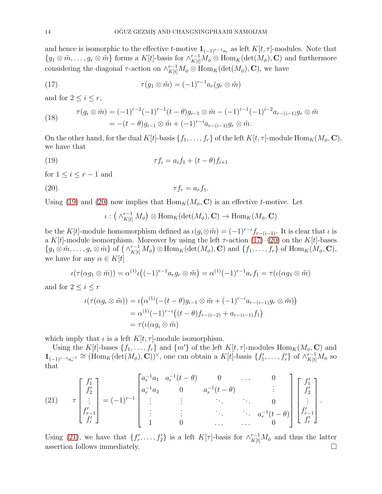and hence is isomorphic to the effective  $t$ -motive  $\mathbf{1}_{(-1)^{r-1}a_r}$  as left  $K[t, \tau]$ -modules. Note that  ${g_1 \otimes \tilde{m}, \ldots, g_r \otimes \tilde{m}}$  forms a  $K[t]$ -basis for  $\wedge^{r-1}_{K[t]} M_\phi \otimes \text{Hom}_K(\text{det}(M_\phi), \mathbf{C})$  and furthermore considering the diagonal  $\tau$ -action on  $\wedge^{r-1}_{K[t]}M_{\phi}\otimes \text{Hom}_K(\det(M_{\phi}), \mathbf{C}),$  we have

<span id="page-13-2"></span>(17) 
$$
\tau(g_1 \otimes \tilde{m}) = (-1)^{r-1} a_r(g_r \otimes \tilde{m})
$$

and for  $2 \leq i \leq r$ ,

(18) 
$$
\tau(g_i \otimes \tilde{m}) = (-1)^{r-2} (-1)^{r-1} (t - \theta) g_{i-1} \otimes \tilde{m} - (-1)^{r-1} (-1)^{i-2} a_{r-(i-1)} g_r \otimes \tilde{m}
$$

$$
= -(t - \theta) g_{i-1} \otimes \tilde{m} + (-1)^{r-i} a_{r-(i-1)} g_r \otimes \tilde{m}.
$$

On the other hand, for the dual  $K[t]$ -basis  $\{f_1, \ldots, f_r\}$  of the left  $K[t, \tau]$ -module  $\text{Hom}_K(M_\phi, \mathbf{C}),$ we have that

(19) 
$$
\tau f_i = a_i f_1 + (t - \theta) f_{i+1}
$$

for  $1 \leq i \leq r-1$  and

$$
\tau f_r = a_r f_1.
$$

Using [\(19\)](#page-13-0) and [\(20\)](#page-13-1) now implies that  $\text{Hom}_K(M_\phi, \mathbf{C})$  is an effective t-motive. Let

<span id="page-13-1"></span><span id="page-13-0"></span>
$$
\iota: (\wedge^{r-1}_{K[t]} M_{\phi}) \otimes \text{Hom}_{K}(\text{det}(M_{\phi}), \mathbf{C}) \to \text{Hom}_{K}(M_{\phi}, \mathbf{C})
$$

be the K[t]-module homomorphism defined as  $\iota(g_i\otimes\tilde{m}) = (-1)^{r-i}f_{r-(i-1)}$ . It is clear that  $\iota$  is a K[t]-module isomorphism. Moreover by using the left  $\tau$ -action [\(17\)](#page-13-2)–[\(20\)](#page-13-1) on the K[t]-bases  $\{g_1\otimes\tilde{m},\ldots,g_r\otimes\tilde{m}\}\$  of  $\left(\wedge^{r-1}_{K[t]}M_{\phi}\right)\otimes\text{Hom}_K(\det(M_{\phi}),\mathbf{C})$  and  $\{f_1,\ldots,f_r\}$  of  $\text{Hom}_K(M_{\phi},\mathbf{C}),$ we have for any  $\alpha \in K[t]$ 

$$
\iota(\tau(\alpha g_1\otimes \tilde m))=\alpha^{(1)}\iota\big((-1)^{r-1}a_r g_r\otimes \tilde m\big)=\alpha^{(1)}(-1)^{r-1}a_rf_1=\tau(\iota(\alpha g_1\otimes \tilde m))
$$

and for  $2 \leq i \leq r$ 

$$
\iota(\tau(\alpha g_i \otimes \tilde{m})) = \iota(\alpha^{(1)}(-(t-\theta)g_{i-1} \otimes \tilde{m} + (-1)^{r-i} a_{r-(i-1)} g_r \otimes \tilde{m}))
$$
  
=  $\alpha^{(1)}(-1)^{r-i} \big( (t-\theta) f_{r-(i-2)} + a_{r-(i-1)} f_1 \big)$   
=  $\tau(\iota(\alpha g_i \otimes \tilde{m}))$ 

which imply that  $\iota$  is a left  $K[t, \tau]$ -module isomorphism.

Using the K[t]-bases  $\{f_1, \ldots, f_r\}$  and  $\{m'\}$  of the left  $K[t, \tau]$ -modules  $\text{Hom}_K(M_\phi, \mathbf{C})$  and  $\mathbf{1}_{(-1)^{r-1}a_r^{-1}} \cong (\text{Hom}_K(\det(M_\phi), \mathbf{C}))^\vee$ , one can obtain a  $K[t]$ -basis  $\{f'_1, \ldots, f'_r\}$  of  $\wedge_{K[t]}^{r-1}M_\phi$  so that

<span id="page-13-3"></span>(21) 
$$
\tau \begin{bmatrix} f_1' \\ f_2' \\ \vdots \\ f_{r-1}' \\ f_r' \end{bmatrix} = (-1)^{r-1} \begin{bmatrix} a_r^{-1}a_1 & a_r^{-1}(t-\theta) & 0 & \cdots & 0 \\ a_r^{-1}a_2 & 0 & a_r^{-1}(t-\theta) & \vdots \\ \vdots & \vdots & \ddots & \vdots \\ 1 & 0 & \cdots & a_r^{-1}(t-\theta) \\ 1 & 0 & \cdots & 0 \end{bmatrix} \begin{bmatrix} f_1' \\ f_2' \\ \vdots \\ f_{r-1}' \\ f_r' \end{bmatrix}.
$$

Using [\(21\)](#page-13-3), we have that  $\{f'_r, \ldots, f'_2\}$  is a left  $K[\tau]$ -basis for  $\wedge_{K[t]}^{r-1} M_\phi$  and thus the latter assertion follows immediately.  $\Box$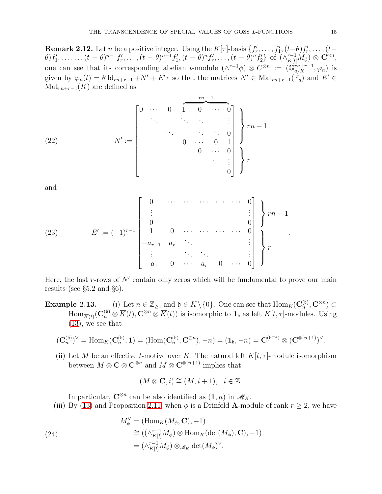<span id="page-14-0"></span>**Remark 2.12.** Let *n* be a positive integer. Using the  $K[\tau]$ -basis  $\{f'_r, \ldots, f'_1, (t-\theta)f'_r, \ldots, (t-\theta)f'_r\}$  $\theta) f'_1, \ldots, (t - \theta)^{n-1} f'_r, \ldots, (t - \theta)^{n-1} f'_1, (t - \theta)^n f'_r, \ldots, (t - \theta)^n f'_2 \}$  of  $(\wedge_{K[t]}^{r-1} M_\phi) \otimes \mathbf{C}^{\otimes n}$ , one can see that its corresponding abelian t-module  $(\wedge^{r-1}\phi) \otimes C^{\otimes n} := (\mathbb{G}_{a/K}^{rn+r-1}, \varphi_n)$  is given by  $\varphi_n(t) = \theta \, \mathrm{Id}_{rn+r-1} + N' + E' \tau$  so that the matrices  $N' \in \mathrm{Mat}_{rn+r-1}(\mathbb{F}_q)$  and  $E' \in$  $\text{Mat}_{rn+r-1}(K)$  are defined as

<span id="page-14-3"></span>(22) 
$$
N' := \begin{bmatrix} 0 & \cdots & 0 & 1 & 0 & \cdots & 0 \\ & \ddots & \ddots & \ddots & \ddots & \vdots \\ & & & \ddots & \ddots & 0 \\ & & & & 0 & \cdots & 0 \\ & & & & 0 & \cdots & 0 \\ & & & & & \ddots & \vdots \\ & & & & & & 0 \end{bmatrix} \begin{bmatrix} rn-1 \\ rn-1 \\ \vdots \\ r \end{bmatrix}
$$

and

<span id="page-14-2"></span>(23) 
$$
E' := (-1)^{r-1} \begin{bmatrix} 0 & \cdots & \cdots & \cdots & \cdots & 0 \\ \vdots & & & & \vdots \\ 0 & & & & 0 \\ -a_{r-1} & a_r & \cdots & & & 0 \\ \vdots & & & \ddots & & & \vdots \\ -a_1 & 0 & \cdots & a_r & 0 & \cdots & 0 \end{bmatrix} \begin{bmatrix} r-1 \\ r \end{bmatrix}
$$

Here, the last  $r$ -rows of  $N'$  contain only zeros which will be fundamental to prove our main results (see §5.2 and §6).

**Example 2.13.** (i) Let  $n \in \mathbb{Z}_{\geq 1}$  and  $\mathfrak{b} \in K \setminus \{0\}$ . One can see that  $\text{Hom}_K(\mathbf{C}_n^{(\mathfrak{b})})$  $_n^{(\mathfrak{b})},\mathbf{C}^{\otimes n})\subset$  $\text{Hom}_{\overline{K}(t)}(\mathbf{C}_n^{(\mathfrak{b})} \otimes \overline{K}(t), \mathbf{C}^{\otimes n} \otimes \overline{K}(t))$  is isomorphic to  $\mathbf{1}_{\mathfrak{b}}$  as left  $K[t, \tau]$ -modules. Using [\(13\)](#page-12-1), we see that

$$
(\mathbf{C}_n^{(\mathfrak{b})})^{\vee} = \text{Hom}_K(\mathbf{C}_n^{(\mathfrak{b})}, \mathbf{1}) = (\text{Hom}(\mathbf{C}_n^{(\mathfrak{b})}, \mathbf{C}^{\otimes n}), -n) = (\mathbf{1}_{\mathfrak{b}}, -n) = \mathbf{C}^{(\mathfrak{b}^{-1})} \otimes (\mathbf{C}^{\otimes (n+1)})^{\vee}.
$$

(ii) Let M be an effective t-motive over K. The natural left  $K[t, \tau]$ -module isomorphism between  $M \otimes \mathbf{C} \otimes \mathbf{C}^{\otimes n}$  and  $M \otimes \mathbf{C}^{\otimes (n+1)}$  implies that

$$
(M\otimes \mathbf{C}, i)\cong (M, i+1), \quad i\in \mathbb{Z}.
$$

In particular,  $\mathbf{C}^{\otimes n}$  can be also identified as  $(1, n)$  in  $\mathscr{M}_K$ .

(iii) By [\(13\)](#page-12-1) and Proposition [2.11,](#page-12-0) when  $\phi$  is a Drinfeld **A**-module of rank  $r \geq 2$ , we have

<span id="page-14-1"></span>(24)  
\n
$$
M_{\phi}^{\vee} = (\text{Hom}_{K}(M_{\phi}, \mathbf{C}), -1)
$$
\n
$$
\cong ((\wedge_{K[t]}^{r-1} M_{\phi}) \otimes \text{Hom}_{K}(\det(M_{\phi}), \mathbf{C}), -1)
$$
\n
$$
= (\wedge_{K[t]}^{r-1} M_{\phi}) \otimes_{\mathscr{M}_{K}} \det(M_{\phi})^{\vee}.
$$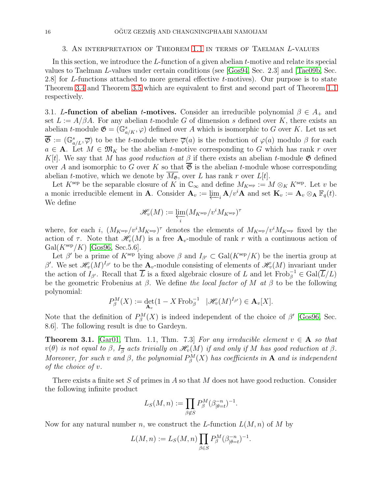### 3. An interpretation of Theorem [1.1](#page-2-0) in terms of Taelman L-values

In this section, we introduce the L-function of a given abelian t-motive and relate its special values to Taelman L-values under certain conditions (see [\[Gos94,](#page-53-25) Sec. 2.3] and [\[Tae09b,](#page-53-12) Sec. 2.8] for L-functions attached to more general effective t-motives). Our purpose is to state Theorem [3.4](#page-20-3) and Theorem [3.5](#page-20-4) which are equivalent to first and second part of Theorem [1.1](#page-2-0) respectively.

3.1. L-function of abelian t-motives. Consider an irreducible polynomial  $\beta \in A_+$  and set  $L := A/\beta A$ . For any abelian t-module G of dimension s defined over K, there exists an abelian t-module  $\mathfrak{G} = (\mathbb{G}_{a/K}^s, \varphi)$  defined over A which is isomorphic to G over K. Let us set  $\overline{\mathfrak{G}} := (\mathbb{G}_{a/L}^s, \overline{\varphi})$  to be the t-module where  $\overline{\varphi}(a)$  is the reduction of  $\varphi(a)$  modulo  $\beta$  for each  $a \in A$ . Let  $M \in \mathfrak{M}_K$  be the abelian t-motive corresponding to G which has rank r over K[t]. We say that M has good reduction at  $\beta$  if there exists an abelian t-module  $\mathfrak{G}$  defined over A and isomorphic to G over K so that  $\overline{\mathfrak{G}}$  is the abelian t-module whose corresponding abelian t-motive, which we denote by  $\overline{M_{\mathfrak{G}}}$ , over L has rank r over L[t].

Let  $K^{\text{sep}}$  be the separable closure of K in  $\mathbb{C}_{\infty}$  and define  $M_{K^{\text{sep}}} := M \otimes_{K} K^{\text{sep}}$ . Let v be a monic irreducible element in **A**. Consider  $\mathbf{A}_v := \varprojlim_i \mathbf{A}/v^i\mathbf{A}$  and set  $\mathbf{K}_v := \mathbf{A}_v \otimes_{\mathbf{A}} \mathbb{F}_q(t)$ . We define

$$
\mathscr{H}_v(M):=\varprojlim_i (M_{K^{\text{sep}}}/v^iM_{K^{\text{sep}}})^\tau
$$

where, for each i,  $(M_{K^{\text{sep}}}/v^{i}M_{K^{\text{sep}}})^{\tau}$  denotes the elements of  $M_{K^{\text{sep}}}/v^{i}M_{K^{\text{sep}}}$  fixed by the action of  $\tau$ . Note that  $\mathscr{H}_v(M)$  is a free  $\mathbf{A}_v$ -module of rank r with a continuous action of  $Gal(K<sup>sep</sup>/K)$  [\[Gos96,](#page-53-5) Sec.5.6].

Let  $\beta'$  be a prime of  $K^{\text{sep}}$  lying above  $\beta$  and  $I_{\beta'} \subset \text{Gal}(K^{\text{sep}}/K)$  be the inertia group at β'. We set  $\mathscr{H}_v(M)^{I_{\beta'}}$  to be the  $\mathbf{A}_v$ -module consisting of elements of  $\mathscr{H}_v(M)$  invariant under the action of  $I_{\beta'}$ . Recall that  $\overline{L}$  is a fixed algebraic closure of L and let  $\text{Frob}_{\beta}^{-1} \in \text{Gal}(\overline{L}/L)$ be the geometric Frobenius at  $\beta$ . We define the local factor of M at  $\beta$  to be the following polynomial:

$$
P_{\beta}^{M}(X) := \det_{\mathbf{A}_{v}} (1 - X \operatorname{Frob}_{\beta}^{-1} \ |\mathscr{H}_{v}(M)^{I_{\beta'}}) \in \mathbf{A}_{v}[X].
$$

Note that the definition of  $P_{\beta}^{M}(X)$  is indeed independent of the choice of  $\beta'$  [\[Gos96,](#page-53-5) Sec. 8.6]. The following result is due to Gardeyn.

**Theorem 3.1.** [\[Gar01,](#page-53-8) Thm. 1.1, Thm. 7.3] For any irreducible element  $v \in A$  so that  $v(\theta)$  is not equal to  $\beta$ ,  $I_{\overline{\beta}}$  acts trivially on  $\mathscr{H}_v(M)$  if and only if M has good reduction at  $\beta$ . Moreover, for such v and  $\beta$ , the polynomial  $P_{\beta}^{M}(X)$  has coefficients in **A** and is independent of the choice of v.

There exists a finite set  $S$  of primes in  $A$  so that  $M$  does not have good reduction. Consider the following infinite product

$$
L_S(M,n):=\prod_{\beta\not\in S}P^M_{\beta}(\beta_{|\theta=t}^{-n})^{-1}.
$$

Now for any natural number n, we construct the L-function  $L(M, n)$  of M by

$$
L(M, n) := L_S(M, n) \prod_{\beta \in S} P_{\beta}^M(\beta_{|\theta = t}^{-n})^{-1}.
$$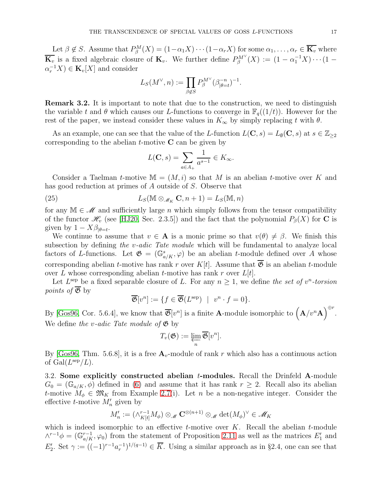Let  $\beta \notin S$ . Assume that  $P^M_{\beta}(X) = (1 - \alpha_1 X) \cdots (1 - \alpha_r X)$  for some  $\alpha_1, \ldots, \alpha_r \in \overline{\mathbf{K}_v}$  where  $\overline{\mathbf{K}_v}$  is a fixed algebraic closure of  $\mathbf{K}_v$ . We further define  $P_{\beta}^{M^{\vee}}(X) := (1 - \alpha_1^{-1}X) \cdots (1 \alpha_r^{-1}X$ )  $\in \mathbf{K}_v[X]$  and consider

$$
L_S(M^\vee, n) := \prod_{\beta \not\in S} P_\beta^{M^\vee}(\beta_{|\theta = t}^{-n})^{-1}.
$$

Remark 3.2. It is important to note that due to the construction, we need to distinguish the variable t and  $\theta$  which causes our L-functions to converge in  $\mathbb{F}_q((1/t))$ . However for the rest of the paper, we instead consider these values in  $K_{\infty}$  by simply replacing t with  $\theta$ .

As an example, one can see that the value of the L-function  $L(C, s) = L_{\emptyset}(C, s)$  at  $s \in \mathbb{Z}_{\geq 2}$ corresponding to the abelian  $t$ -motive  $C$  can be given by

<span id="page-16-0"></span>
$$
L(\mathbf{C},s) = \sum_{a \in A_+} \frac{1}{a^{s-1}} \in K_\infty.
$$

Consider a Taelman t-motive  $\mathbb{M} = (M, i)$  so that M is an abelian t-motive over K and has good reduction at primes of A outside of S. Observe that

(25) 
$$
L_S(\mathbb{M} \otimes_{\mathscr{M}_K} \mathbf{C}, n+1) = L_S(\mathbb{M}, n)
$$

for any  $\mathbb{M} \in \mathscr{M}$  and sufficiently large n which simply follows from the tensor compatibility of the functor  $\mathscr{H}_v$  (see [\[HJ20,](#page-53-26) Sec. 2.3.5]) and the fact that the polynomial  $P_\beta(X)$  for **C** is given by  $1 - X\beta_{|\theta=t}$ .

We continue to assume that  $v \in A$  is a monic prime so that  $v(\theta) \neq \beta$ . We finish this subsection by defining the v-adic Tate module which will be fundamental to analyze local factors of L-functions. Let  $\mathfrak{G} = (\mathbb{G}_{a/K}^s, \varphi)$  be an abelian t-module defined over A whose corresponding abelian *t*-motive has rank r over K[t]. Assume that  $\overline{\mathfrak{G}}$  is an abelian *t*-module over L whose corresponding abelian t-motive has rank r over  $L[t]$ .

Let  $L^{\text{sep}}$  be a fixed separable closure of L. For any  $n \geq 1$ , we define the set of  $v^n$ -torsion *points of*  $\overline{\mathfrak{G}}$  by

$$
\overline{\mathfrak{G}}[v^n] := \{ f \in \overline{\mathfrak{G}}(L^{\text{sep}}) \mid v^n \cdot f = 0 \}.
$$

By [\[Gos96,](#page-53-5) Cor. 5.6.4], we know that  $\overline{\mathfrak{G}}[v^n]$  is a finite **A**-module isomorphic to  $({\bf A}/v^n{\bf A})^{\oplus r}$ . We define the v-adic Tate module of  $\mathfrak{G}$  by

$$
T_v(\mathfrak{G}) := \varprojlim_n \overline{\mathfrak{G}}[v^n].
$$

By [\[Gos96,](#page-53-5) Thm. 5.6.8], it is a free  $A_v$ -module of rank r which also has a continuous action of  $Gal(L^{\rm sep}/L)$ .

3.2. Some explicitly constructed abelian  $t$ -modules. Recall the Drinfeld A-module  $G_0 = (\mathbb{G}_{a/K}, \phi)$  defined in [\(6\)](#page-6-0) and assume that it has rank  $r \geq 2$ . Recall also its abelian t-motive  $M_{\phi} \in \mathfrak{M}_K$  from Example 2.7(i). Let n be a non-negative integer. Consider the effective  $t$ -motive  $M'_n$  given by

$$
M'_n := (\wedge_{K[t]}^{r-1} M_\phi) \otimes_{\mathscr{M}} \mathbf{C}^{\otimes (n+1)} \otimes_{\mathscr{M}} \det(M_\phi)^\vee \in \mathscr{M}_K
$$

which is indeed isomorphic to an effective  $t$ -motive over K. Recall the abelian  $t$ -module  $\wedge^{r-1}\phi = (\mathbb{G}_{a/K}^{r-1}, \varphi_0)$  from the statement of Proposition [2.11](#page-12-0) as well as the matrices  $E'_1$  and  $E'_2$ . Set  $\gamma := ((-1)^{r-1}a_r^{-1})^{1/(q-1)} \in \overline{K}$ . Using a similar approach as in §2.4, one can see that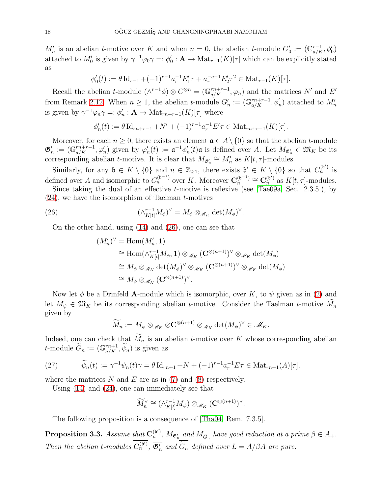$M'_n$  is an abelian t-motive over K and when  $n = 0$ , the abelian t-module  $G'_0 := (\mathbb{G}_{a/K}^{r-1}, \phi'_0)$ attached to  $M'_0$  is given by  $\gamma^{-1}\varphi_0\gamma = \varphi'_0$ :  $\mathbf{A} \to \text{Mat}_{r-1}(K)[\tau]$  which can be explicitly stated as

$$
\phi'_0(t) := \theta \operatorname{Id}_{r-1} + (-1)^{r-1} a_r^{-1} E'_1 \tau + a_r^{-q-1} E'_2 \tau^2 \in \operatorname{Mat}_{r-1}(K)[\tau].
$$

Recall the abelian t-module  $(\wedge^{r-1}\phi) \otimes C^{\otimes n} = (\mathbb{G}_{a/K}^{rn+r-1}, \varphi_n)$  and the matrices N' and E' from Remark [2.12.](#page-14-0) When  $n \geq 1$ , the abelian t-module  $G'_n := (\mathbb{G}_{a/K}^{r_n+r-1}, \phi'_n)$  attached to  $M'_n$ is given by  $\gamma^{-1}\varphi_n\gamma =: \phi'_n : \mathbf{A} \to \text{Mat}_{rn+r-1}(K)[\tau]$  where

$$
\phi'_n(t) := \theta \operatorname{Id}_{rn+r-1} + N' + (-1)^{r-1} a_r^{-1} E' \tau \in \operatorname{Mat}_{rn+r-1}(K)[\tau].
$$

Moreover, for each  $n \geq 0$ , there exists an element  $\mathfrak{a} \in A \setminus \{0\}$  so that the abelian *t*-module  $\mathfrak{G}'_n := (\mathbb{G}_{a/K}^{rn+r-1}, \varphi'_n)$  given by  $\varphi'_n(t) := \mathfrak{a}^{-1} \phi'_n(t) \mathfrak{a}$  is defined over A. Let  $M_{\mathfrak{G}'_n} \in \mathfrak{M}_K$  be its corresponding abelian *t*-motive. It is clear that  $M_{\mathfrak{G}'_n} \cong M'_n$  as  $K[t, \tau]$ -modules.

Similarly, for any  $\mathfrak{b} \in K \setminus \{0\}$  and  $n \in \mathbb{Z}_{\geq 1}$ , there exists  $\mathfrak{b}' \in K \setminus \{0\}$  so that  $C_n^{(\mathfrak{b}')}$  is defined over A and isomorphic to  $C_n^{(b^{-1})}$  over K. Moreover  $\mathbf{C}_n^{(b^{-1})}$  $\mathbf{C}_n^{(\mathfrak{b}^{-1})}\cong \mathbf{C}_n^{(\mathfrak{b}^\prime)}$  $n^{(b')}$  as  $K[t, \tau]$ -modules.

Since taking the dual of an effective  $t$ -motive is reflexive (see [\[Tae09a,](#page-53-22) Sec. 2.3.5]), by  $(24)$ , we have the isomorphism of Taelman t-motives

(26) 
$$
(\wedge_{K[t]}^{r-1} M_{\phi})^{\vee} = M_{\phi} \otimes_{\mathscr{M}_K} \det(M_{\phi})^{\vee}.
$$

On the other hand, using [\(14\)](#page-12-2) and [\(26\)](#page-17-0), one can see that

<span id="page-17-0"></span>
$$
(M'_n)^{\vee} = \text{Hom}(M'_n, \mathbf{1})
$$
  
\n
$$
\cong \text{Hom}(\wedge_{K[t]}^{r-1} M_{\phi}, \mathbf{1}) \otimes_{\mathcal{M}_K} (\mathbf{C}^{\otimes (n+1)})^{\vee} \otimes_{\mathcal{M}_K} \det(M_{\phi})
$$
  
\n
$$
\cong M_{\phi} \otimes_{\mathcal{M}_K} \det(M_{\phi})^{\vee} \otimes_{\mathcal{M}_K} (\mathbf{C}^{\otimes (n+1)})^{\vee} \otimes_{\mathcal{M}_K} \det(M_{\phi})
$$
  
\n
$$
\cong M_{\phi} \otimes_{\mathcal{M}_K} (\mathbf{C}^{\otimes (n+1)})^{\vee}.
$$

Now let  $\phi$  be a Drinfeld A-module which is isomorphic, over K, to  $\psi$  given as in [\(2\)](#page-1-1) and let  $M_{\psi} \in \mathfrak{M}_K$  be its corresponding abelian t-motive. Consider the Taelman t-motive  $M_n$ given by

$$
\widetilde{M}_n := M_{\psi} \otimes_{\mathscr{M}_K} \otimes \mathbf{C}^{\otimes (n+1)} \otimes_{\mathscr{M}_K} \det(M_{\psi})^{\vee} \in \mathscr{M}_K.
$$

Indeed, one can check that  $\widetilde{M}_n$  is an abelian t-motive over K whose corresponding abelian t-module  $\widetilde{G}_n := (\mathbb{G}_{a/K}^{rn+1}, \widetilde{\psi}_n)$  is given as

<span id="page-17-2"></span>(27) 
$$
\widetilde{\psi}_n(t) := \gamma^{-1} \psi_n(t) \gamma = \theta \operatorname{Id}_{rn+1} + N + (-1)^{r-1} a_r^{-1} E \tau \in \operatorname{Mat}_{rn+1}(A)[\tau].
$$

where the matrices N and E are as in  $(7)$  and  $(8)$  respectively.

Using [\(14\)](#page-12-2) and [\(24\)](#page-14-1), one can immediately see that

$$
\widetilde{M}_n^{\vee} \cong (\wedge_{K[t]}^{r-1} M_\psi) \otimes_{\mathscr{M}_K} (\mathbf{C}^{\otimes (n+1)})^{\vee}.
$$

The following proposition is a consequence of [\[Tha04,](#page-53-4) Rem. 7.3.5].

<span id="page-17-1"></span>Proposition 3.3. Assume that  $\mathbf{C}_n^{(\mathfrak{b}')}$  $\lambda_n^{(6')}$ ,  $M_{\mathfrak{S}_n}$  and  $M_{\widetilde{G}_n}$  have good reduction at a prime  $\beta \in A_+.$ Then the abelian t-modules  $C_n^{(b')}$ ,  $\overline{\mathfrak{G}'_n}$  and  $\overline{\widetilde{G}_n}$  defined over  $L = A/\beta A$  are pure.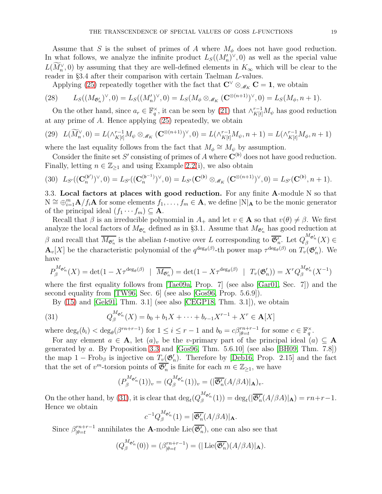Assume that S is the subset of primes of A where  $M_{\phi}$  does not have good reduction. In what follows, we analyze the infinite product  $L_S((M'_n)^{\vee},0)$  as well as the special value  $L(M_n^{\vee},0)$  by assuming that they are well-defined elements in  $K_{\infty}$  which will be clear to the reader in §3.4 after their comparison with certain Taelman L-values.

<span id="page-18-1"></span>Applying [\(25\)](#page-16-0) repeatedly together with the fact that  $\mathbb{C}^{\vee} \otimes_{\mathscr{M}_K} \mathbb{C} = 1$ , we obtain

(28) 
$$
L_S((M_{\mathfrak{G}'_n})^{\vee},0)=L_S((M'_n)^{\vee},0)=L_S(M_{\phi}\otimes_{\mathscr{M}_K}(\mathbf{C}^{\otimes(n+1)})^{\vee},0)=L_S(M_{\phi},n+1).
$$

On the other hand, since  $a_r \in \mathbb{F}_q^{\times}$ , it can be seen by [\(21\)](#page-13-3) that  $\wedge_{K[t]}^{r-1} M_{\psi}$  has good reduction at any prime of A. Hence applying [\(25\)](#page-16-0) repeatedly, we obtain

<span id="page-18-3"></span>
$$
(29)\quad L(\widetilde{M}_n^{\vee}, 0) = L(\wedge_{K[t]}^{r-1} M_{\psi} \otimes_{\mathscr{M}_K} (\mathbf{C}^{\otimes (n+1)})^{\vee}, 0) = L(\wedge_{K[t]}^{r-1} M_{\psi}, n+1) = L(\wedge_{K[t]}^{r-1} M_{\phi}, n+1)
$$

where the last equality follows from the fact that  $M_{\phi} \cong M_{\psi}$  by assumption.

Consider the finite set S' consisting of primes of A where  $\mathbf{C}^{(\mathfrak{b})}$  does not have good reduction. Finally, letting  $n \in \mathbb{Z}_{\geq 1}$  and using Example [2.2\(](#page-6-2)i), we also obtain

<span id="page-18-2"></span>
$$
(30) \ L_{S'}((\mathbf{C}_n^{(\mathfrak{b}')})^{\vee},0) = L_{S'}((\mathbf{C}_n^{(\mathfrak{b}^{-1})})^{\vee},0) = L_{S'}(\mathbf{C}^{(\mathfrak{b})} \otimes_{\mathscr{M}_K} (\mathbf{C}^{\otimes (n+1)})^{\vee},0) = L_{S'}(\mathbf{C}^{(\mathfrak{b})},n+1).
$$

3.3. Local factors at places with good reduction. For any finite A-module  $N$  so that  $N \cong \bigoplus_{i=1}^m \mathbf{A}/f_i\mathbf{A}$  for some elements  $f_1, \ldots, f_m \in \mathbf{A}$ , we define  $|N|_{\mathbf{A}}$  to be the monic generator of the principal ideal  $(f_1 \cdots f_m) \subseteq A$ .

Recall that  $\beta$  is an irreducible polynomial in  $A_+$  and let  $v \in \mathbf{A}$  so that  $v(\theta) \neq \beta$ . We first analyze the local factors of  $M_{\mathfrak{G}'_n}$  defined as in §3.1. Assume that  $M_{\mathfrak{G}'_n}$  has good reduction at β and recall that  $\overline{M_{\mathfrak{G}'_n}}$  is the abelian t-motive over L corresponding to  $\overline{\mathfrak{G}'_n}$ . Let  $Q_{\beta}^{M_{\mathfrak{G}'_n}}(X) \in$  $\mathbf{A}_v[X]$  be the characteristic polynomial of the  $q^{\deg_{\theta}(\beta)}$ -th power map  $\tau^{\deg_{\theta}(\beta)}$  on  $T_v(\mathfrak{G}'_n)$ . We have

$$
P_{\beta}^{M_{\mathfrak{G}'_{n}}}(X) = \det(1 - X\tau^{\deg_{\theta}(\beta)} \mid \overline{M_{\mathfrak{G}'_{n}}}) = \det(1 - X\tau^{\deg_{\theta}(\beta)} \mid T_{v}(\mathfrak{G}'_{n})) = X^{r}Q_{\beta}^{M_{\mathfrak{G}'_{n}}}(X^{-1})
$$

where the first equality follows from [\[Tae09a,](#page-53-22) Prop. 7] (see also [\[Gar01,](#page-53-8) Sec. 7]) and the second equality from [\[TW96,](#page-53-27) Sec. 6] (see also [\[Gos96,](#page-53-5) Prop. 5.6.9]).

<span id="page-18-0"></span>By [\(15\)](#page-12-3) and [\[Gek91,](#page-53-28) Thm. 3.1] (see also [\[CEGP18,](#page-52-8) Thm. 3.1]), we obtain

(31) 
$$
Q_{\beta}^{M_{\mathfrak{G}'_{n}}}(X) = b_{0} + b_{1}X + \cdots + b_{r-1}X^{r-1} + X^{r} \in \mathbf{A}[X]
$$

where  $\deg_t(b_i) < \deg_\theta(\beta^{rn+r-1})$  for  $1 \leq i \leq r-1$  and  $b_0 = c\beta^{rn+r-1}_{|\theta=t}$  for some  $c \in \mathbb{F}_q^\times$ .

For any element  $a \in A$ , let  $(a)_v$  be the v-primary part of the principal ideal  $(a) \subseteq A$ generated by a. By Proposition [3.3](#page-17-1) and  $[Gos96, Thm. 5.6.10]$  (see also [\[BH09,](#page-52-15) Thm. 7.8]) the map  $1 - \text{Frob}_{\beta}$  is injective on  $T_v(\mathfrak{G}'_n)$ . Therefore by [\[Deb16,](#page-52-16) Prop. 2.15] and the fact that the set of  $v^m$ -torsion points of  $\overline{\mathfrak{G}'_n}$  is finite for each  $m \in \mathbb{Z}_{\geq 1}$ , we have

$$
(P_{\beta}^{M_{\mathfrak{G}'_{n}}}(1))_{v}=(Q_{\beta}^{M_{\mathfrak{G}'_{n}}}(1))_{v}=(|\overline{\mathfrak{G}'_{n}}(A/\beta A)|_{\mathbf{A}})_{v}.
$$

On the other hand, by [\(31\)](#page-18-0), it is clear that  $\deg_t(Q_{\beta}^{M_{\mathfrak{G}'_n}}(1)) = \deg_t(|\overline{\mathfrak{G}'_n}(A/\beta A)|_{\mathbf{A}}) = rn + r - 1$ . Hence we obtain

$$
c^{-1}Q_{\beta}^{M_{\mathfrak{G}'_{n}}}(1) = |\overline{\mathfrak{G}'_{n}}(A/\beta A)|_{\mathbf{A}}.
$$

Since  $\beta_{\mathsf{left}}^{rn+r-1}$  $\prod_{|\theta=t}^{rn+r-1}$  annihilates the **A**-module Lie( $\mathfrak{G}'_n$ ), one can also see that

$$
(Q_{\beta}^{M_{\mathfrak{G}'_{n}}}(0)) = (\beta_{|\theta=t}^{rn+r-1}) = (|\operatorname{Lie}(\overline{\mathfrak{G}'_{n}})(A/\beta A)|_{\mathbf{A}}).
$$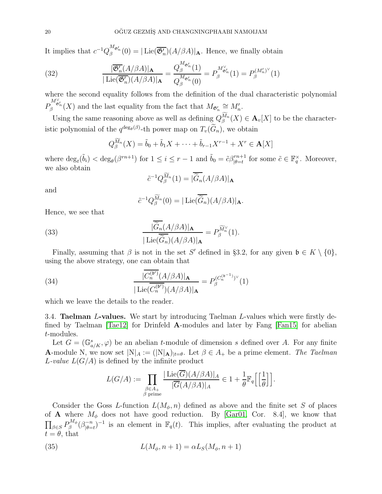It implies that  $c^{-1}Q_{\beta}^{M_{\mathfrak{G}'_{n}}}(0) = |\text{Lie}(\overline{\mathfrak{G}'_{n}})(A/\beta A)|_{\mathbf{A}}$ . Hence, we finally obtain

<span id="page-19-0"></span>(32) 
$$
\frac{|\overline{\mathfrak{G}'_n}(A/\beta A)|_{\mathbf{A}}}{|\operatorname{Lie}(\overline{\mathfrak{G}'_n})(A/\beta A)|_{\mathbf{A}}} = \frac{Q_{\beta}^{M_{\mathfrak{G}'_n}}(1)}{Q_{\beta}^{M_{\mathfrak{G}'_n}}(0)} = P_{\beta}^{M_{\mathfrak{G}'_n}}(1) = P_{\beta}^{(M'_n)^{\vee}}(1)
$$

where the second equality follows from the definition of the dual characteristic polynomial P  $M^{\vee}_{\mathfrak{G}'_n}(X)$  and the last equality from the fact that  $M_{\mathfrak{G}'_n} \cong M'_n$ .

Using the same reasoning above as well as defining  $Q_{\beta}^{\widetilde{M}_n}$  $\mathbb{A}_{\beta}^{M_n}(X) \in \mathbf{A}_{v}[X]$  to be the characteristic polynomial of the  $q^{\deg_{\theta}(\beta)}$ -th power map on  $T_v(\widehat{G}_n)$ , we obtain

$$
Q_{\beta}^{\widetilde{M}_n}(X) = \widetilde{b}_0 + \widetilde{b}_1 X + \cdots + \widetilde{b}_{r-1} X^{r-1} + X^r \in \mathbf{A}[X]
$$

where  $\deg_t(\tilde{b}_i) < \deg_\theta(\beta^{rn+1})$  for  $1 \leq i \leq r-1$  and  $\tilde{b}_0 = \tilde{c}\beta^{rn+1}_{|\theta=t}$  for some  $\tilde{c} \in \mathbb{F}_q^\times$ . Moreover, we also obtain

$$
\tilde{c}^{-1}Q_{\beta}^{\widetilde{M}_n}(1) = |\overline{\tilde{G}_n}(A/\beta A)|_{\mathbf{A}}
$$

and

<span id="page-19-3"></span><span id="page-19-2"></span>
$$
\tilde{c}^{-1}Q_{\beta}^{\widetilde{M}_n}(0)=|\operatorname{Lie}(\overline{\widetilde{G}_n})(A/\beta A)|_{\mathbf{A}}.
$$

Hence, we see that

(33) 
$$
\frac{|\widetilde{G}_n(A/\beta A)|_{\mathbf{A}}}{|\operatorname{Lie}(\widetilde{G}_n)(A/\beta A)|_{\mathbf{A}}} = P_{\beta}^{\widetilde{M}_n^{\vee}}(1).
$$

Finally, assuming that  $\beta$  is not in the set S' defined in §3.2, for any given  $\mathfrak{b} \in K \setminus \{0\}$ , using the above strategy, one can obtain that

(34) 
$$
\frac{|\overline{C_n^{(b')}}(A/\beta A)|_{\mathbf{A}}}{|\operatorname{Lie}(\overline{C_n^{(b')}})(A/\beta A)|_{\mathbf{A}}}=P_\beta^{(C_n^{(b^{-1})})^\vee}(1)
$$

which we leave the details to the reader.

3.4. Taelman L-values. We start by introducing Taelman L-values which were firstly defined by Taelman [\[Tae12\]](#page-53-9) for Drinfeld A-modules and later by Fang [\[Fan15\]](#page-53-10) for abelian t-modules.

Let  $G = (\mathbb{G}^s_{a/K}, \varphi)$  be an abelian t-module of dimension s defined over A. For any finite **A**-module N, we now set  $|N|_A := (|N|_A)_{|t=\theta}$ . Let  $\beta \in A_+$  be a prime element. The Taelman L-value  $L(G/A)$  is defined by the infinite product

<span id="page-19-1"></span>
$$
L(G/A) := \prod_{\substack{\beta \in A_+ \\ \beta \text{ prime}}} \frac{|\operatorname{Lie}(\overline{G})(A/\beta A)|_A}{|\overline{G}(A/\beta A)|_A} \in 1 + \frac{1}{\theta} \mathbb{F}_q \Big[ \Big[ \frac{1}{\theta} \Big] \Big].
$$

Consider the Goss L-function  $L(M_{\phi}, n)$  defined as above and the finite set S of places of **A** where  $M_{\phi}$  does not have good reduction. By [\[Gar01,](#page-53-8) Cor. 8.4], we know that  $\prod_{\beta \in S} P_{\beta}^{M_{\phi}}$  $\beta^{{M_\phi}}(\beta_{|\theta=}^{-n}% )^{1/n}=\frac{\alpha_{\theta}^{{M_\phi}}}{{\alpha_{\theta}}^2} \label{eq:25}$  $(\bar{\theta}-t)^{-n}$  is an element in  $\mathbb{F}_q(t)$ . This implies, after evaluating the product at  $t = \theta$ , that

(35) 
$$
L(M_{\phi}, n+1) = \alpha L_S(M_{\phi}, n+1)
$$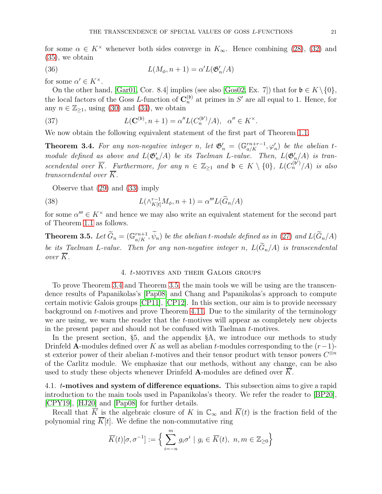for some  $\alpha \in K^{\times}$  whenever both sides converge in  $K_{\infty}$ . Hence combining [\(28\)](#page-18-1), [\(32\)](#page-19-0) and [\(35\)](#page-19-1), we obtain

<span id="page-20-0"></span>(36) 
$$
L(M_{\phi}, n+1) = \alpha' L(\mathfrak{G}'_{n}/A)
$$

for some  $\alpha' \in K^{\times}$ .

On the other hand, [\[Gar01,](#page-53-8) Cor. 8.4] implies (see also [\[Gos02,](#page-53-29) Ex. 7]) that for  $\mathfrak{b} \in K \setminus \{0\}$ , the local factors of the Goss L-function of  $\mathbf{C}_n^{(b)}$  $_n^{(b)}$  at primes in S' are all equal to 1. Hence, for any  $n \in \mathbb{Z}_{\geq 1}$ , using [\(30\)](#page-18-2) and [\(34\)](#page-19-2), we obtain

<span id="page-20-1"></span>(37) 
$$
L(\mathbf{C}^{(\mathfrak{b})}, n+1) = \alpha'' L(C_n^{(\mathfrak{b}')}/A), \ \alpha'' \in K^{\times}.
$$

We now obtain the following equivalent statement of the first part of Theorem [1.1.](#page-2-0)

<span id="page-20-3"></span>**Theorem 3.4.** For any non-negative integer n, let  $\mathfrak{G}'_n = (\mathbb{G}_{a/K}^{rn+r-1}, \varphi'_n)$  be the abelian tmodule defined as above and  $L(\mathfrak{G}_n'/A)$  be its Taelman L-value. Then,  $L(\mathfrak{G}_n'/A)$  is transcendental over  $\overline{K}$ . Furthermore, for any  $n \in \mathbb{Z}_{\geq 1}$  and  $\mathfrak{b} \in K \setminus \{0\}$ ,  $L(C_n^{(\mathfrak{b}')}/A)$  is also transcendental over  $\overline{K}$ .

Observe that [\(29\)](#page-18-3) and [\(33\)](#page-19-3) imply

(38) 
$$
L(\wedge_{K[t]}^{r-1} M_{\phi}, n+1) = \alpha''' L(\widetilde{G}_n/A)
$$

for some  $\alpha''' \in K^{\times}$  and hence we may also write an equivalent statement for the second part of Theorem [1.1](#page-2-0) as follows.

<span id="page-20-4"></span>**Theorem 3.5.** Let  $\tilde{G}_n = (\mathbb{G}_{a/K}^{rn+1}, \tilde{\psi}_n)$  be the abelian t-module defined as in [\(27\)](#page-17-2) and  $L(\tilde{G}_n/A)$ be its Taelman L-value. Then for any non-negative integer n,  $L(\widetilde{G}_n/A)$  is transcendental over  $\overline{K}$ .

### <span id="page-20-2"></span>4. t-motives and their Galois groups

To prove Theorem [3.4](#page-20-3) and Theorem [3.5,](#page-20-4) the main tools we will be using are the transcendence results of Papanikolas's [\[Pap08\]](#page-53-11) and Chang and Papanikolas's approach to compute certain motivic Galois groups [\[CP11\]](#page-52-17), [\[CP12\]](#page-52-10). In this section, our aim is to provide necessary background on t-motives and prove Theorem [4.11.](#page-26-0) Due to the similarity of the terminology we are using, we warn the reader that the t-motives will appear as completely new objects in the present paper and should not be confused with Taelman t-motives.

In the present section, §5, and the appendix §A, we introduce our methods to study Drinfeld A-modules defined over K as well as abelian t-modules corresponding to the  $(r-1)$ st exterior power of their abelian t-motives and their tensor product with tensor powers  $C^{\otimes n}$ of the Carlitz module. We emphasize that our methods, without any change, can be also used to study these objects whenever Drinfeld A-modules are defined over  $\overline{K}$ .

4.1. t-motives and system of difference equations. This subsection aims to give a rapid introduction to the main tools used in Papanikolas's theory. We refer the reader to [\[BP20\]](#page-52-12), [\[CPY19\]](#page-52-18), [\[HJ20\]](#page-53-26) and [\[Pap08\]](#page-53-11) for further details.

Recall that  $\overline{K}$  is the algebraic closure of K in  $\mathbb{C}_{\infty}$  and  $\overline{K}(t)$  is the fraction field of the polynomial ring  $\overline{K}[t]$ . We define the non-commutative ring

$$
\overline{K}(t)[\sigma, \sigma^{-1}] := \Big\{\sum_{i=-n}^{m} g_i \sigma^i \mid g_i \in \overline{K}(t), \ n, m \in \mathbb{Z}_{\geq 0} \Big\}
$$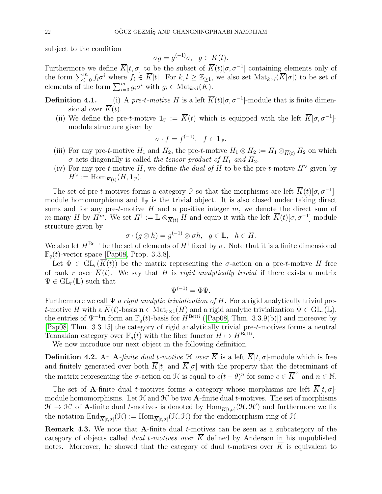subject to the condition

$$
\sigma g = g^{(-1)}\sigma, \ \ g \in \overline{K}(t).
$$

Furthermore we define  $\overline{K}[t,\sigma]$  to be the subset of  $\overline{K}(t)[\sigma,\sigma^{-1}]$  containing elements only of the form  $\sum_{i=0}^m f_i \sigma^i$  where  $f_i \in \overline{K}[t]$ . For  $k, l \geq \mathbb{Z}_{\geq 1}$ , we also set  $\text{Mat}_{k \times l}(\overline{K}[\sigma])$  to be set of elements of the form  $\sum_{i=0}^{m} g_i \sigma^i$  with  $g_i \in \text{Mat}_{k \times l}(\overline{K})$ .

- **Definition 4.1.** (i) A pre-t-motive H is a left  $\overline{K}(t)[\sigma, \sigma^{-1}]$ -module that is finite dimensional over  $\overline{K}(t)$ .
	- (ii) We define the pre-t-motive  $\mathbf{1}_{\mathcal{P}} := \overline{K}(t)$  which is equipped with the left  $\overline{K}[\sigma, \sigma^{-1}]$ module structure given by

$$
\sigma\cdot f=f^{(-1)},\quad f\in\mathbf{1}_{\mathcal{P}}.
$$

- (iii) For any pre-t-motive  $H_1$  and  $H_2$ , the pre-t-motive  $H_1 \otimes H_2 := H_1 \otimes_{\overline{K}(t)} H_2$  on which  $\sigma$  acts diagonally is called the tensor product of  $H_1$  and  $H_2$ .
- (iv) For any pre-t-motive H, we define the dual of H to be the pre-t-motive  $H^{\vee}$  given by  $H^{\vee} := \text{Hom}_{\overline{K}(t)}(H, \mathbf{1}_{\mathcal{P}}).$

The set of pre-t-motives forms a category P so that the morphisms are left  $\overline{K}(t)[\sigma, \sigma^{-1}]$ module homomorphisms and  $\mathbf{1}_p$  is the trivial object. It is also closed under taking direct sums and for any pre-t-motive  $H$  and a positive integer  $m$ , we denote the direct sum of m-many H by  $H^m$ . We set  $H^{\dagger} := \mathbb{L} \otimes_{\overline{K}(t)} H$  and equip it with the left  $\overline{K}(t)[\sigma, \sigma^{-1}]$ -module structure given by

$$
\sigma \cdot (g \otimes h) = g^{(-1)} \otimes \sigma h, \ \ g \in \mathbb{L}, \ \ h \in H.
$$

We also let  $H^{\text{Betti}}$  be the set of elements of  $H^{\dagger}$  fixed by  $\sigma$ . Note that it is a finite dimensional  $\mathbb{F}_q(t)$ -vector space [\[Pap08,](#page-53-11) Prop. 3.3.8].

Let  $\Phi \in GL_r(\overline{K}(t))$  be the matrix representing the *σ*-action on a pre-*t*-motive H free of rank r over  $\overline{K}(t)$ . We say that H is rigid analytically trivial if there exists a matrix  $\Psi \in GL_r(\mathbb{L})$  such that

$$
\Psi^{(-1)}=\Phi\Psi.
$$

Furthermore we call  $\Psi$  *a rigid analytic trivialization of H*. For a rigid analytically trivial pret-motive H with a  $\overline{K}(t)$ -basis  $n \in Mat_{r\times 1}(H)$  and a rigid analytic trivialization  $\Psi \in GL_r(\mathbb{L}),$ the entries of  $\Psi^{-1}$ **n** form an  $\mathbb{F}_q(t)$ -basis for  $H^{\text{Betti}}$  ([\[Pap08,](#page-53-11) Thm. 3.3.9(b)]) and moreover by [\[Pap08,](#page-53-11) Thm. 3.3.15] the category of rigid analytically trivial pre-t-motives forms a neutral Tannakian category over  $\mathbb{F}_q(t)$  with the fiber functor  $H \mapsto H^{\text{Betti}}$ .

We now introduce our next object in the following definition.

**Definition 4.2.** An A-finite dual t-motive  $\mathcal{H}$  over  $\overline{K}$  is a left  $\overline{K}[t, \sigma]$ -module which is free and finitely generated over both  $\overline{K}[t]$  and  $\overline{K}[\sigma]$  with the property that the determinant of the matrix representing the  $\sigma$ -action on  $\mathcal H$  is equal to  $c(t-\theta)^n$  for some  $c \in \overline K^\times$  and  $n \in \mathbb N$ .

The set of A-finite dual t-motives forms a category whose morphisms are left  $\overline{K}[t, \sigma]$ module homomorphisms. Let  $H$  and  $H'$  be two **A**-finite dual t-motives. The set of morphisms  $\mathcal{H} \to \mathcal{H}'$  of **A**-finite dual *t*-motives is denoted by  $\text{Hom}_{\overline{K}[t,\sigma]}(\mathcal{H},\mathcal{H}')$  and furthermore we fix the notation  $\text{End}_{\overline{K}[t,\sigma]}(\mathcal{H}) := \text{Hom}_{\overline{K}[t,\sigma]}(\mathcal{H},\mathcal{H})$  for the endomorphism ring of  $\mathcal{H}$ .

<span id="page-21-0"></span>Remark 4.3. We note that A-finite dual t-motives can be seen as a subcategory of the category of objects called *dual t-motives over*  $\overline{K}$  defined by Anderson in his unpublished notes. Moreover, he showed that the category of dual *t*-motives over  $\overline{K}$  is equivalent to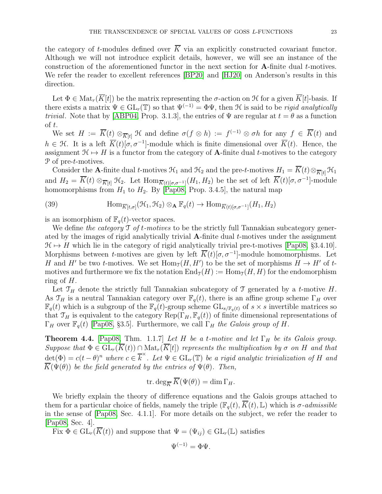the category of t-modules defined over  $\overline{K}$  via an explicitly constructed covariant functor. Although we will not introduce explicit details, however, we will see an instance of the construction of the aforementioned functor in the next section for A-finite dual t-motives. We refer the reader to excellent references [\[BP20\]](#page-52-12) and [\[HJ20\]](#page-53-26) on Anderson's results in this direction.

Let  $\Phi \in \text{Mat}_r(\overline{K}[t])$  be the matrix representing the  $\sigma$ -action on  $\mathcal H$  for a given  $\overline{K}[t]$ -basis. If there exists a matrix  $\Psi \in GL_r(\mathbb{T})$  so that  $\Psi^{(-1)} = \Phi \Psi$ , then H is said to be rigid analytically *trivial.* Note that by [\[ABP04,](#page-52-19) Prop. 3.1.3], the entries of  $\Psi$  are regular at  $t = \theta$  as a function of t.

We set  $H := \overline{K}(t) \otimes_{\overline{K}[t]} \mathfrak{H}$  and define  $\sigma(f \otimes h) := f^{(-1)} \otimes \sigma h$  for any  $f \in \overline{K}(t)$  and  $h \in \mathcal{H}$ . It is a left  $\overline{K}(t)[\sigma, \sigma^{-1}]$ -module which is finite dimensional over  $\overline{K}(t)$ . Hence, the assignment  $\mathfrak{H} \mapsto H$  is a functor from the category of **A**-finite dual t-motives to the category P of pre-t-motives.

Consider the A-finite dual t-motives  $\mathcal{H}_1$  and  $\mathcal{H}_2$  and the pre-t-motives  $H_1 = \overline{K}(t) \otimes_{\overline{K}(t)} \mathcal{H}_1$ and  $H_2 = \overline{K}(t) \otimes_{\overline{K}[t]} \mathfrak{H}_2$ . Let  $\text{Hom}_{\overline{K}(t)[\sigma,\sigma^{-1}]}(H_1, H_2)$  be the set of left  $\overline{K}(t)[\sigma, \sigma^{-1}]$ -module homomorphisms from  $H_1$  to  $H_2$ . By [\[Pap08,](#page-53-11) Prop. 3.4.5], the natural map

<span id="page-22-0"></span>(39) 
$$
\text{Hom}_{\overline{K}[t,\sigma]}(\mathcal{H}_1,\mathcal{H}_2) \otimes_{\mathbf{A}} \mathbb{F}_q(t) \to \text{Hom}_{\overline{K}(t)[\sigma,\sigma^{-1}]}(H_1,H_2)
$$

is an isomorphism of  $\mathbb{F}_q(t)$ -vector spaces.

We define the category  $\mathcal T$  of t-motives to be the strictly full Tannakian subcategory generated by the images of rigid analytically trivial  $\bf{A}$ -finite dual *t*-motives under the assignment  $\mathcal{H} \mapsto H$  which lie in the category of rigid analytically trivial pre-t-motives [\[Pap08,](#page-53-11) §3.4.10]. Morphisms between t-motives are given by left  $\overline{K}(t)[\sigma, \sigma^{-1}]$ -module homomorphisms. Let H and H' be two t-motives. We set  $\text{Hom}_{\mathcal{J}}(H, H')$  to be the set of morphisms  $H \to H'$  of tmotives and furthermore we fix the notation  $\text{End}_{\mathcal{I}}(H) := \text{Hom}_{\mathcal{I}}(H, H)$  for the endomorphism ring of  $H$ .

Let  $\mathfrak{T}_H$  denote the strictly full Tannakian subcategory of T generated by a t-motive H. As  $\mathcal{T}_H$  is a neutral Tannakian category over  $\mathbb{F}_q(t)$ , there is an affine group scheme  $\Gamma_H$  over  $\mathbb{F}_q(t)$  which is a subgroup of the  $\mathbb{F}_q(t)$ -group scheme  $GL_{s/\mathbb{F}_q(t)}$  of  $s \times s$  invertible matrices so that  $\mathcal{T}_H$  is equivalent to the category  $\text{Rep}(\Gamma_H, \mathbb{F}_q(t))$  of finite dimensional representations of  $\Gamma_H$  over  $\mathbb{F}_q(t)$  [\[Pap08,](#page-53-11) §3.5]. Furthermore, we call  $\Gamma_H$  the Galois group of H.

<span id="page-22-1"></span>**Theorem 4.4.** [\[Pap08,](#page-53-11) Thm. 1.1.7] Let H be a t-motive and let  $\Gamma_H$  be its Galois group. Suppose that  $\Phi \in GL_r(\overline{K}(t)) \cap Mat_r(\overline{K}[t])$  represents the multiplication by  $\sigma$  on H and that  $\det(\Phi) = c(t - \theta)^n$  where  $c \in \overline{k}^{\times}$ . Let  $\Psi \in GL_r(\mathbb{T})$  be a rigid analytic trivialization of H and  $\overline{K}(\Psi(\theta))$  be the field generated by the entries of  $\Psi(\theta)$ . Then,

$$
\operatorname{tr.deg}_{\overline{K}}\overline{K}(\Psi(\theta)) = \dim \Gamma_H.
$$

We briefly explain the theory of difference equations and the Galois groups attached to them for a particular choice of fields, namely the triple  $(\mathbb{F}_a(t), \overline{K}(t), \mathbb{L})$  which is  $\sigma$ -admissible in the sense of [\[Pap08,](#page-53-11) Sec. 4.1.1]. For more details on the subject, we refer the reader to [\[Pap08,](#page-53-11) Sec. 4].

Fix  $\Phi \in GL_r(\overline{K}(t))$  and suppose that  $\Psi = (\Psi_{ij}) \in GL_r(\mathbb{L})$  satisfies

$$
\Psi^{(-1)} = \Phi \Psi.
$$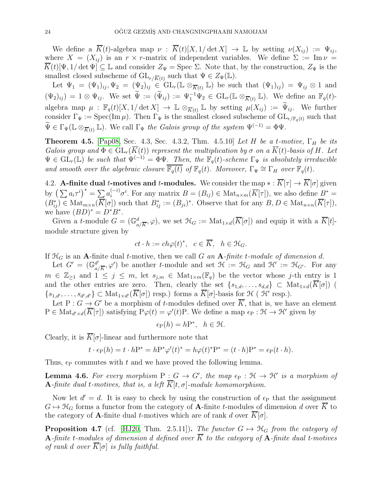We define a  $\overline{K}(t)$ -algebra map  $\nu : \overline{K}(t)[X,1/\det X] \to \mathbb{L}$  by setting  $\nu(X_{ij}) := \Psi_{ij}$ , where  $X = (X_{ij})$  is an  $r \times r$ -matrix of independent variables. We define  $\Sigma := \text{Im}\,\nu =$  $\overline{K}(t)[\Psi,1/\det\Psi] \subseteq \mathbb{L}$  and consider  $Z_{\Psi} = \text{Spec } \Sigma$ . Note that, by the construction,  $Z_{\Psi}$  is the smallest closed subscheme of  $\mathrm{GL}_{r/\overline{K}(t)}$  such that  $\Psi \in Z_{\Psi}(\mathbb{L})$ .

Let  $\Psi_1 = (\Psi_1)_{ij}, \Psi_2 = (\Psi_2)_{ij} \in GL_r(\mathbb{L} \otimes_{\overline{K}(t)} \mathbb{L})$  be such that  $(\Psi_1)_{ij} = \Psi_{ij} \otimes 1$  and  $(\Psi_2)_{ij} = 1 \otimes \Psi_{ij}$ . We set  $\widetilde{\Psi} := (\widetilde{\Psi}_{ij}) := \Psi_1^{-1} \Psi_2 \in GL_r(\mathbb{L} \otimes_{\overline{K}(t)} \mathbb{L})$ . We define an  $\mathbb{F}_q(t)$ algebra map  $\mu : \mathbb{F}_q(t)[X, 1/\det X] \to \mathbb{L} \otimes_{\overline{K}(t)} \mathbb{L}$  by setting  $\mu(X_{ij}) := \Psi_{ij}$ . We further consider  $\Gamma_{\Psi} := \text{Spec}(\text{Im }\mu)$ . Then  $\Gamma_{\Psi}$  is the smallest closed subscheme of  $\text{GL}_{r/\mathbb{F}_q(t)}$  such that  $\widetilde{\Psi} \in \Gamma_{\Psi}(\mathbb{L} \otimes_{\overline{K}(t)} \mathbb{L}).$  We call  $\Gamma_{\Psi}$  the Galois group of the system  $\Psi^{(-1)} = \Phi \Psi$ .

<span id="page-23-1"></span>**Theorem 4.5.** [\[Pap08,](#page-53-11) Sec. 4.3, Sec. 4.3.2, Thm. 4.5.10] Let H be a t-motive,  $\Gamma_H$  be its Galois group and  $\Phi \in GL_r(K(t))$  represent the multiplication by  $\sigma$  on a  $K(t)$ -basis of H. Let  $\Psi \in \widetilde{\mathrm{GL}}_r(\mathbb{L})$  be such that  $\Psi^{(-1)} = \Phi \Psi$ . Then, the  $\mathbb{F}_q(t)$ -scheme  $\Gamma_{\Psi}$  is absolutely irreducible and smooth over the algebraic closure  $\overline{\mathbb{F}_q(t)}$  of  $\mathbb{F}_q(t)$ . Moreover,  $\Gamma_{\Psi} \cong \Gamma_H$  over  $\mathbb{F}_q(t)$ .

4.2. **A-finite dual t-motives and t-modules.** We consider the map  $* : \overline{K}[\tau] \to \overline{K}[\sigma]$  given by  $\left(\sum a_i \tau^i\right)^* = \sum a_i^{(-i)} \sigma^i$ . For any matrix  $B = (B_{ij}) \in \text{Mat}_{n \times m}(\overline{K}[\tau])$ , we also define  $B^* =$  $(B_{ij}^*) \in \text{Mat}_{m \times n}(\overline{K}[\sigma])$  such that  $B_{ij}^* := (B_{ji})^*$ . Observe that for any  $B, D \in \text{Mat}_{n \times n}(\overline{K}[\tau]),$ we have  $(BD)^* = D^*B^*$ .

Given a t-module  $G = (\mathbb{G}_{a/\overline{K}}^d, \varphi)$ , we set  $\mathcal{H}_G := \text{Mat}_{1 \times d}(\overline{K}[\sigma])$  and equip it with a  $\overline{K}[t]$ module structure given by

$$
ct \cdot h := ch\varphi(t)^*, \quad c \in \overline{K}, \quad h \in \mathfrak{H}_G.
$$

If  $\mathcal{H}_G$  is an **A**-finite dual *t*-motive, then we call G an **A**-finite *t*-module of dimension d.

Let  $G' = (\mathbb{G}_q^{d'})$  $\mathcal{A}'_{a/\overline{K}}, \varphi'$  be another t-module and set  $\mathcal{H} := \mathcal{H}_G$  and  $\mathcal{H}' := \mathcal{H}_{G'}$ . For any  $m \in \mathbb{Z}_{\geq 1}$  and  $1 \leq j \leq m$ , let  $s_{j,m} \in \text{Mat}_{1 \times m}(\mathbb{F}_q)$  be the vector whose j-th entry is 1 and the other entries are zero. Then, clearly the set  $\{s_{1,d},\ldots,s_{d,d}\}\subset \text{Mat}_{1\times d}(K[\sigma])$  (  $\{s_{1,d'},\ldots,s_{d',d'}\}\subset \text{Mat}_{1\times d'}(\overline{K}[\sigma])$  resp.) forms a  $\overline{K}[\sigma]$ -basis for  $\mathfrak{H}(\mathcal{H}'$  resp.).

Let P :  $G \to G'$  be a morphism of t-modules defined over  $\overline{K}$ , that is, we have an element  $P \in Mat_{d' \times d}(\overline{K}[\tau])$  satisfying  $P\varphi(t) = \varphi'(t)P$ . We define a map  $\epsilon_P : \mathfrak{H} \to \mathfrak{H}'$  given by

$$
\epsilon_{\mathcal{P}}(h) = h\mathcal{P}^*, \ \ h \in \mathfrak{H}.
$$

Clearly, it is  $\overline{K}[\sigma]$ -linear and furthermore note that

$$
t \cdot \epsilon_{\mathcal{P}}(h) = t \cdot h\mathcal{P}^* = h\mathcal{P}^*\varphi'(t)^* = h\varphi(t)^*\mathcal{P}^* = (t \cdot h)\mathcal{P}^* = \epsilon_{\mathcal{P}}(t \cdot h).
$$

Thus,  $\epsilon_{\rm P}$  commutes with t and we have proved the following lemma.

**Lemma 4.6.** For every morphism  $P: G \to G'$ , the map  $\epsilon_P: \mathfrak{H} \to \mathfrak{H}'$  is a morphism of **A**-finite dual t-motives, that is, a left  $\overline{K}[t, \sigma]$ -module homomorphism.

Now let  $d' = d$ . It is easy to check by using the construction of  $\epsilon_{P}$  that the assignment  $G \mapsto \mathcal{H}_G$  forms a functor from the category of **A**-finite t-modules of dimension d over K to the category of **A**-finite dual *t*-motives which are of rank d over  $\overline{K}[\sigma]$ .

<span id="page-23-0"></span>**Proposition 4.7** (cf. [\[HJ20,](#page-53-26) Thm. 2.5.11]). The functor  $G \mapsto \mathcal{H}_G$  from the category of **A**-finite t-modules of dimension d defined over  $\overline{K}$  to the category of **A**-finite dual t-motives of rank d over  $\overline{K}[\sigma]$  is fully faithful.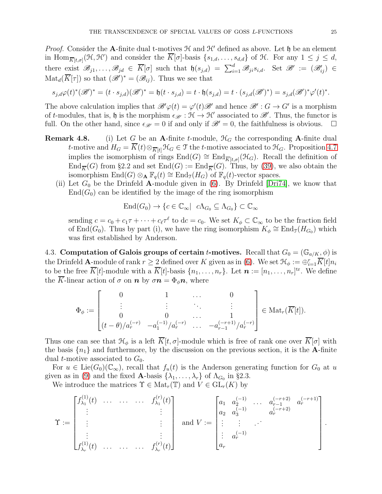*Proof.* Consider the A-finite dual t-motives  $H$  and  $H'$  defined as above. Let  $\mathfrak h$  be an element in  $\text{Hom}_{\overline{K}[t,\sigma]}(\mathcal{H},\mathcal{H}')$  and consider the  $\overline{K}[\sigma]$ -basis  $\{s_{1,d},\ldots,s_{d,d}\}$  of  $\mathcal{H}$ . For any  $1 \leq j \leq d$ , there exist  $\mathscr{B}_{j1},\ldots,\mathscr{B}_{jd} \in \overline{K}[\sigma]$  such that  $\mathfrak{h}(s_{j,d}) = \sum_{i=1}^d \mathscr{B}_{ji} s_{i,d}$ . Set  $\mathscr{B}' := (\mathscr{B}'_{ij}) \in$  $\text{Mat}_{d}(\overline{K}[\tau])$  so that  $(\mathscr{B}')^* = (\mathscr{B}_{ij})$ . Thus we see that

$$
s_{j,d}\varphi(t)^{*}(\mathscr{B}')^{*}=(t\cdot s_{j,d})(\mathscr{B}')^{*}=\mathfrak{h}(t\cdot s_{j,d})=t\cdot \mathfrak{h}(s_{j,d})=t\cdot (s_{j,d}(\mathscr{B}')^{*})=s_{j,d}(\mathscr{B}')^{*}\varphi'(t)^{*}.
$$

The above calculation implies that  $\mathscr{B}'\varphi(t) = \varphi'(t)\mathscr{B}'$  and hence  $\mathscr{B}' : G \to G'$  is a morphism of t-modules, that is, h is the morphism  $\epsilon_{\mathscr{B}'} : \mathcal{H} \to \mathcal{H}'$  associated to  $\mathscr{B}'$ . Thus, the functor is full. On the other hand, since  $\epsilon_{\mathscr{B}'} = 0$  if and only if  $\mathscr{B}' = 0$ , the faithfulness is obvious.  $\square$ 

- **Remark 4.8.** (i) Let G be an A-finite t-module,  $\mathcal{H}_G$  the corresponding A-finite dual t-motive and  $H_G = \overline{K}(t) \otimes_{\overline{K}[t]} \mathfrak{H}_G \in \mathfrak{T}$  the t-motive associated to  $\mathfrak{H}_G$ . Proposition [4.7](#page-23-0) implies the isomorphism of rings  $\text{End}(G) \cong \text{End}_{\overline{K}[t,\sigma]}(\mathcal{H}_G)$ . Recall the definition of  $\text{End}_{\overline{K}}(G)$  from §2.2 and set  $\text{End}(G) := \text{End}_{\overline{K}}(G)$ . Thus, by [\(39\)](#page-22-0), we also obtain the isomorphism  $\text{End}(G) \otimes_{\mathbf{A}} \mathbb{F}_q(t) \cong \text{End}_{\mathfrak{I}}(H_G)$  of  $\mathbb{F}_q(t)$ -vector spaces.
	- (ii) Let  $G_0$  be the Drinfeld A-module given in [\(6\)](#page-6-0). By Drinfeld [\[Dri74\]](#page-53-20), we know that  $End(G_0)$  can be identified by the image of the ring isomorphism

$$
End(G_0) \to \{c \in \mathbb{C}_{\infty} | \ c\Lambda_{G_0} \subseteq \Lambda_{G_0}\} \subset \mathbb{C}_{\infty}
$$

sending  $c = c_0 + c_1 \tau + \cdots + c_\ell \tau^\ell$  to  $dc = c_0$ . We set  $K_\phi \subset \mathbb{C}_\infty$  to be the fraction field of End( $G_0$ ). Thus by part (i), we have the ring isomorphism  $K_{\phi} \cong \text{End}_{\mathfrak{I}}(H_{G_0})$  which was first established by Anderson.

4.3. Computation of Galois groups of certain t-motives. Recall that  $G_0 = (\mathbb{G}_{a/K}, \phi)$  is the Drinfeld A-module of rank  $r \geq 2$  defined over K given as in [\(6\)](#page-6-0). We set  $\mathcal{H}_{\phi} := \bigoplus_{i=1}^r \overline{K}[t] n_i$ to be the free  $\overline{K}[t]$ -module with a  $\overline{K}[t]$ -basis  $\{n_1, \ldots, n_r\}$ . Let  $\boldsymbol{n} := [n_1, \ldots, n_r]$ <sup>tr</sup>. We define the  $\overline{K}$ -linear action of  $\sigma$  on  $n$  by  $\sigma n = \Phi_{\phi} n$ , where

$$
\Phi_{\phi}:=\begin{bmatrix}0 & 1 & & 0 \\ \vdots & \vdots & & \vdots \\ 0 & 0 & & 1 \\ (t-\theta)/a_r^{(-r)} & -a_1^{(-1)}/a_r^{(-r)} & \dots & -a_{r-1}^{(-r+1)}/a_r^{(-r)}\end{bmatrix}\in \text{Mat}_r(\overline{K}[t]).
$$

Thus one can see that  $\mathcal{H}_{\phi}$  is a left  $\overline{K}[t, \sigma]$ -module which is free of rank one over  $\overline{K}[\sigma]$  with the basis  $\{n_1\}$  and furthermore, by the discussion on the previous section, it is the **A**-finite dual *t*-motive associated to  $G_0$ .

For  $u \in \text{Lie}(G_0)(\mathbb{C}_{\infty})$ , recall that  $f_u(t)$  is the Anderson generating function for  $G_0$  at u given as in [\(9\)](#page-7-1) and the fixed **A**-basis  $\{\lambda_1, \ldots, \lambda_r\}$  of  $\Lambda_{G_0}$  in §2.3.

We introduce the matrices  $\Upsilon \in Mat_r(\mathbb{T})$  and  $V \in GL_r(K)$  by

$$
\Upsilon := \begin{bmatrix} f_{\lambda_1}^{(1)}(t) & \cdots & \cdots & \cdots & f_{\lambda_1}^{(r)}(t) \\ \vdots & & & \vdots \\ \vdots & & & \vdots \\ f_{\lambda_r}^{(1)}(t) & \cdots & \cdots & \cdots & f_{\lambda_r}^{(r)}(t) \end{bmatrix} \text{ and } V := \begin{bmatrix} a_1 & a_2^{(-1)} & \cdots & a_{r-1}^{(-r+2)} & a_r^{(-r+1)} \\ a_2 & a_3^{(-1)} & & a_r^{(-r+2)} \\ \vdots & \vdots & \cdots & \vdots \\ a_r^{(-1)} & & & \vdots \end{bmatrix}.
$$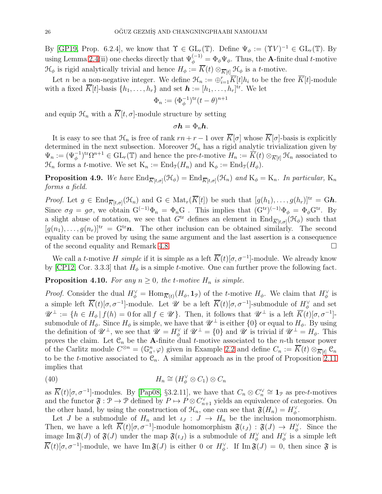By [\[GP19,](#page-53-21) Prop. 6.2.4], we know that  $\Upsilon \in GL_r(\mathbb{T})$ . Define  $\Psi_{\phi} := (\Upsilon V)^{-1} \in GL_r(\mathbb{T})$ . By using Lemma [2.4\(](#page-7-2)ii) one checks directly that  $\Psi_{\phi}^{(-1)} = \Phi_{\phi} \Psi_{\phi}$ . Thus, the **A**-finite dual *t*-motive  $\mathcal{H}_{\phi}$  is rigid analytically trivial and hence  $H_{\phi} := \overline{K}(t) \otimes_{\overline{K}[t]} \mathcal{H}_{\phi}$  is a t-motive.

Let *n* be a non-negative integer. We define  $\mathcal{H}_n := \bigoplus_{i=1}^r \overline{K}[t]h_i$  to be the free  $\overline{K}[t]$ -module with a fixed  $\overline{K}[t]$ -basis  $\{h_1, \ldots, h_r\}$  and set  $\boldsymbol{h} := [h_1, \ldots, h_r]^{\text{tr}}$ . We let

$$
\Phi_n := (\Phi_{\phi}^{-1})^{\text{tr}}(t-\theta)^{n+1}
$$

and equip  $\mathcal{H}_n$  with a  $\overline{K}[t, \sigma]$ -module structure by setting

$$
\sigma \boldsymbol{h} = \Phi_n \boldsymbol{h}.
$$

It is easy to see that  $\mathcal{H}_n$  is free of rank  $rn + r - 1$  over  $\overline{K}[\sigma]$  whose  $\overline{K}[\sigma]$ -basis is explicitly determined in the next subsection. Moreover  $\mathcal{H}_n$  has a rigid analytic trivialization given by  $\Psi_n := (\Psi_{\phi}^{-1})^{tr} \Omega^{n+1} \in GL_r(\mathbb{T})$  and hence the pre-t-motive  $H_n := \overline{K}(t) \otimes_{\overline{K}[t]} \mathcal{H}_n$  associated to  $\mathcal{H}_n$  forms a *t*-motive. We set  $K_n := \text{End}_{\mathcal{I}}(H_n)$  and  $K_{\phi} := \text{End}_{\mathcal{I}}(H_{\phi})$ .

<span id="page-25-2"></span>**Proposition 4.9.** We have  $\text{End}_{\overline{K}[t,\sigma]}(\mathcal{H}_{\phi}) = \text{End}_{\overline{K}[t,\sigma]}(\mathcal{H}_{n})$  and  $K_{\phi} = K_{n}$ . In particular,  $K_{n}$ forms a field.

*Proof.* Let  $g \in \text{End}_{\overline{K}[t,\sigma]}(\mathcal{H}_n)$  and  $G \in \text{Mat}_r(\overline{K}[t])$  be such that  $[g(h_1),\ldots,g(h_r)]^{\text{tr}} = Gh$ . Since  $\sigma g = g\sigma$ , we obtain  $G^{(-1)}\Phi_n = \Phi_n G$ . This implies that  $(G^{tr})^{(-1)}\Phi_\phi = \Phi_\phi G^{tr}$ . By a slight abuse of notation, we see that  $G<sup>tr</sup>$  defines an element in  $\text{End}_{\overline{K}[t,\sigma]}(\mathcal{H}_{\phi})$  such that  $[g(n_1), \ldots, g(n_r)]^{\text{tr}} = G^{\text{tr}} \boldsymbol{n}$ . The other inclusion can be obtained similarly. The second equality can be proved by using the same argument and the last assertion is a consequence of the second equality and Remark 4.8.

We call a t-motive H simple if it is simple as a left  $\overline{K}(t)[\sigma, \sigma^{-1}]$ -module. We already know by [\[CP12,](#page-52-10) Cor. 3.3.3] that  $H_{\phi}$  is a simple *t*-motive. One can further prove the following fact.

### <span id="page-25-1"></span>**Proposition 4.10.** For any  $n \geq 0$ , the t-motive  $H_n$  is simple.

*Proof.* Consider the dual  $H_{\phi}^{\vee} = \text{Hom}_{\overline{K}(t)}(H_{\phi}, \mathbf{1}_{\mathcal{P}})$  of the t-motive  $H_{\phi}$ . We claim that  $H_{\phi}^{\vee}$  is a simple left  $\overline{K}(t)[\sigma, \sigma^{-1}]$ -module. Let  $\mathscr U$  be a left  $\overline{K}(t)[\sigma, \sigma^{-1}]$ -submodule of  $H_{\phi}^{\vee}$  and set  $\mathscr{U}^{\perp} := \{ h \in H_{\phi} | f(h) = 0 \text{ for all } f \in \mathscr{U} \}.$  Then, it follows that  $\mathscr{U}^{\perp}$  is a left  $\overline{K}(t)[\sigma, \sigma^{-1}]$ . submodule of  $H_{\phi}$ . Since  $H_{\phi}$  is simple, we have that  $\mathscr{U}^{\perp}$  is either  $\{0\}$  or equal to  $H_{\phi}$ . By using the definition of  $\mathscr{U}^{\perp}$ , we see that  $\mathscr{U} = H_{\phi}^{\vee}$  if  $\mathscr{U}^{\perp} = \{0\}$  and  $\mathscr{U}$  is trivial if  $\mathscr{U}^{\perp} = H_{\phi}$ . This proves the claim. Let  $\mathfrak{C}_n$  be the A-finite dual t-motive associated to the n-th tensor power of the Carlitz module  $C^{\otimes n} = (\mathbb{G}_a^n, \varphi)$  given in Example [2.2](#page-6-2) and define  $C_n := \overline{K}(t) \otimes_{\overline{K}[t]} C_n$ to be the t-motive associated to  $\mathcal{C}_n$ . A similar approach as in the proof of Proposition [2.11](#page-12-0) implies that

<span id="page-25-0"></span>(40) 
$$
H_n \cong (H_{\phi}^{\vee} \otimes C_1) \otimes C_n
$$

as  $\overline{K}(t)[\sigma, \sigma^{-1}]$ -modules. By [\[Pap08,](#page-53-11) §3.2.11], we have that  $C_n \otimes C_n^{\vee} \cong \mathbf{1}_{\mathcal{P}}$  as pre-t-motives and the functor  $\mathfrak{F} : \mathcal{P} \to \mathcal{P}$  defined by  $P \mapsto P \otimes C_{n+1}^{\vee}$  yields an equivalence of categories. On the other hand, by using the construction of  $\mathcal{H}_n$ , one can see that  $\mathfrak{F}(H_n) = H_{\phi}^{\vee}$ .

Let J be a submodule of  $H_n$  and let  $\iota_J: J \to H_n$  be the inclusion monomorphism. Then, we have a left  $\overline{K}(t)[\sigma, \sigma^{-1}]$ -module homomorphism  $\mathfrak{F}(\iota_J) : \mathfrak{F}(J) \to H_{\phi}^{\vee}$ . Since the image Im  $\mathfrak{F}(J)$  of  $\mathfrak{F}(J)$  under the map  $\mathfrak{F}(\iota_J)$  is a submodule of  $H_{\phi}^{\vee}$  and  $H_{\phi}^{\vee}$  is a simple left  $\overline{K}(t)[\sigma, \sigma^{-1}]$ -module, we have Im  $\mathfrak{F}(J)$  is either 0 or  $H_{\phi}^{\vee}$ . If Im  $\mathfrak{F}(J) = 0$ , then since  $\mathfrak{F}$  is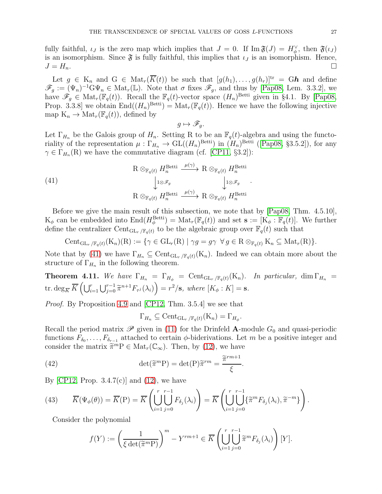fully faithful,  $\iota_J$  is the zero map which implies that  $J = 0$ . If  $\text{Im } \mathfrak{F}(J) = H_{\phi}^{\vee}$ , then  $\mathfrak{F}(\iota_J)$ is an isomorphism. Since  $\mathfrak{F}$  is fully faithful, this implies that  $\iota_J$  is an isomorphism. Hence,  $J = H_n.$ 

Let  $g \in K_n$  and  $G \in Mat_r(\overline{K}(t))$  be such that  $[g(h_1),..., g(h_r)]^{\text{tr}} = Gh$  and define  $\mathscr{F}_g := (\Psi_n)^{-1} \mathcal{G} \Psi_n \in \text{Mat}_r(\mathbb{L})$ . Note that  $\sigma$  fixes  $\mathscr{F}_g$ , and thus by [\[Pap08,](#page-53-11) Lem. 3.3.2], we have  $\mathscr{F}_g \in \text{Mat}_r(\mathbb{F}_q(t))$ . Recall the  $\mathbb{F}_q(t)$ -vector space  $(H_n)^{\text{Betti}}$  given in §4.1. By [\[Pap08,](#page-53-11) Prop. 3.3.8] we obtain  $\text{End}((H_n)^{\text{Betti}}) = \text{Mat}_r(\mathbb{F}_q(t))$ . Hence we have the following injective map  $K_n \to Mat_r(\mathbb{F}_q(t))$ , defined by

<span id="page-26-1"></span>
$$
g\mapsto \mathscr{F}_g.
$$

Let  $\Gamma_{H_n}$  be the Galois group of  $H_n$ . Setting R to be an  $\mathbb{F}_q(t)$ -algebra and using the functoriality of the representation  $\mu : \Gamma_{H_n} \to GL((H_n)^{\text{Betti}})$  in  $(H_n)^{\text{Betti}}$  ([\[Pap08,](#page-53-11) §3.5.2]), for any  $\gamma \in \Gamma_{H_n}(\mathbb{R})$  we have the commutative diagram (cf. [\[CP11,](#page-52-17) §3.2]):

.

(41)  
\n
$$
R \otimes_{\mathbb{F}_q(t)} H_n^{\text{Betti}} \xrightarrow{\mu(\gamma)} R \otimes_{\mathbb{F}_q(t)} H_n^{\text{Betti}}
$$
\n
$$
\downarrow^{1 \otimes \mathscr{F}_g} \qquad \qquad \downarrow^{1 \otimes \mathscr{F}_g} \qquad \downarrow^{1 \otimes \mathscr{F}_g}
$$
\n
$$
R \otimes_{\mathbb{F}_q(t)} H_n^{\text{Betti}} \xrightarrow{\mu(\gamma)} R \otimes_{\mathbb{F}_q(t)} H_n^{\text{Betti}}
$$

Before we give the main result of this subsection, we note that by [\[Pap08,](#page-53-11) Thm. 4.5.10],  $K_{\phi}$  can be embedded into  $\text{End}(H_{\phi}^{\text{Betti}}) = \text{Mat}_r(\mathbb{F}_q(t))$  and set  $\mathbf{s} := [K_{\phi} : \mathbb{F}_q(t)]$ . We further define the centralizer Cent<sub>GLr</sub> / $F_q(t)$  to be the algebraic group over  $F_q(t)$  such that

 $\text{Cent}_{\text{GL}_r/\mathbb{F}_q(t)}(K_n)(R) := \{ \gamma \in \text{GL}_r(R) \mid \gamma g = g \gamma \ \forall g \in R \otimes_{\mathbb{F}_q(t)} K_n \subseteq \text{Mat}_r(R) \}.$ 

Note that by [\(41\)](#page-26-1) we have  $\Gamma_{H_n} \subseteq \text{Cent}_{\text{GL}_r/\mathbb{F}_q(t)}(K_n)$ . Indeed we can obtain more about the structure of  $\Gamma_{H_n}$  in the following theorem.

<span id="page-26-0"></span>**Theorem 4.11.** We have  $\Gamma_{H_n} = \Gamma_{H_{\phi}} = \text{Cent}_{\text{GL}_r/\mathbb{F}_q(t)}(K_n)$ . In particular, dim  $\Gamma_{H_n} =$ tr.  $\deg_{\overline{K}} \overline{K} \left( \bigcup_{i=1}^{r} \bigcup_{j=0}^{r-1} \widetilde{\pi}^{n+1} F_{\tau^j}(\lambda_i) \right) = r^2 / \mathbf{s}, \text{ where } [K_\phi : K] = \mathbf{s}.$ 

Proof. By Proposition [4.9](#page-25-2) and [\[CP12,](#page-52-10) Thm. 3.5.4] we see that

<span id="page-26-2"></span>
$$
\Gamma_{H_n} \subseteq \text{Cent}_{\text{GL}_r/\mathbb{F}_q(t)}(\mathcal{K}_n) = \Gamma_{H_\phi}.
$$

Recall the period matrix  $\mathscr P$  given in [\(11\)](#page-9-0) for the Drinfeld A-module  $G_0$  and quasi-periodic functions  $F_{\delta_0}, \ldots, F_{\delta_{r-1}}$  attached to certain  $\phi$ -biderivations. Let m be a positive integer and consider the matrix  $\widetilde{\pi}^m P \in Mat_r(\mathbb{C}_{\infty})$ . Then, by [\(12\)](#page-9-1), we have

(42) 
$$
\det(\widetilde{\pi}^m P) = \det(P)\widetilde{\pi}^{rm} = \frac{\widetilde{\pi}^{rm+1}}{\xi}.
$$

By [\[CP12,](#page-52-10) Prop.  $3.4.7(c)$ ] and  $(12)$ , we have

<span id="page-26-3"></span>(43) 
$$
\overline{K}(\Psi_{\phi}(\theta)) = \overline{K}(\mathbf{P}) = \overline{K} \left( \bigcup_{i=1}^{r} \bigcup_{j=0}^{r-1} F_{\delta_j}(\lambda_i) \right) = \overline{K} \left( \bigcup_{i=1}^{r} \bigcup_{j=0}^{r-1} \{\widetilde{\pi}^m F_{\delta_j}(\lambda_i), \widetilde{\pi}^{-m}\} \right).
$$

Consider the polynomial

$$
f(Y) := \left(\frac{1}{\xi \det(\widetilde{\pi}^m \mathcal{P})}\right)^m - Y^{rm+1} \in \overline{K} \left(\bigcup_{i=1}^r \bigcup_{j=0}^{r-r-1} \widetilde{\pi}^m F_{\delta_j}(\lambda_i)\right)[Y].
$$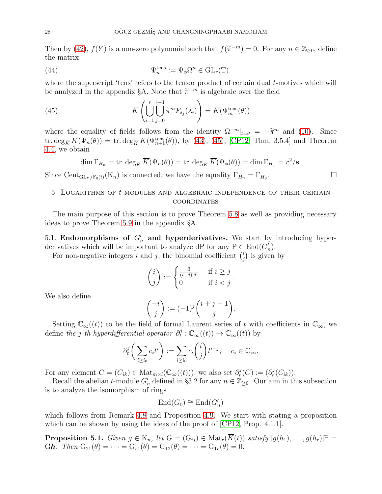Then by [\(42\)](#page-26-2),  $f(Y)$  is a non-zero polynomial such that  $f(\tilde{\pi}^{-m}) = 0$ . For any  $n \in \mathbb{Z}_{\geq 0}$ , define the matrix

<span id="page-27-2"></span>(44) 
$$
\Psi_n^{\text{tens}} := \Psi_{\phi} \Omega^n \in \text{GL}_r(\mathbb{T}).
$$

where the superscript 'tens' refers to the tensor product of certain dual *t*-motives which will be analyzed in the appendix §A. Note that  $\tilde{\pi}^{-m}$  is algebraic over the field

(45) 
$$
\overline{K}\left(\bigcup_{i=1}^{r} \bigcup_{j=0}^{r-1} \widetilde{\pi}^{m} F_{\delta_{j}}(\lambda_{i})\right) = \overline{K}(\Psi_{m}^{\text{tens}}(\theta))
$$

where the equality of fields follows from the identity  $\Omega^{-m}|_{t=\theta} = -\tilde{\pi}^m$  and [\(10\)](#page-8-0). Since tr.  $\deg_{\overline{K}} \overline{K}(\Psi_n(\theta)) = \text{tr. } \deg_{\overline{K}} \overline{K}(\Psi_{n+1}^{\text{tens}}(\theta)),$  by [\(43\)](#page-26-3), [\(45\)](#page-27-0), [\[CP12,](#page-52-10) Thm. 3.5.4] and Theorem [4.4,](#page-22-1) we obtain

<span id="page-27-0"></span>
$$
\dim \Gamma_{H_n} = \text{tr. } \deg_{\overline{K}} \overline{K}(\Psi_n(\theta)) = \text{tr. } \deg_{\overline{K}} \overline{K}(\Psi_{\phi}(\theta)) = \dim \Gamma_{H_{\phi}} = r^2/\mathbf{s}.
$$

Since Cent<sub>GLr</sub> / $\mathbb{F}_{q(t)}(K_n)$  is connected, we have the equality  $\Gamma_{H_n} = \Gamma_{H_n}$ .

# 5. LOGARITHMS OF  $t$ -MODULES AND ALGEBRAIC INDEPENDENCE OF THEIR CERTAIN **COORDINATES**

The main purpose of this section is to prove Theorem 5.8 as well as providing necessary ideas to prove Theorem [5.9](#page-40-0) in the appendix §A.

5.1. Endomorphisms of  $G'_n$  and hyperderivatives. We start by introducing hyperderivatives which will be important to analyze dP for any  $P \in \text{End}(G'_n)$ .

For non-negative integers i and j, the binomial coefficient  $\binom{i}{i}$  $j$  is given by

$$
\binom{i}{j} := \begin{cases} \frac{i!}{(i-j)!\,j!} & \text{if } i \geq j \\ 0 & \text{if } i < j \end{cases}.
$$

We also define

$$
\binom{-i}{j} := (-1)^j \binom{i+j-1}{j}.
$$

Setting  $\mathbb{C}_{\infty}((t))$  to be the field of formal Laurent series of t with coefficients in  $\mathbb{C}_{\infty}$ , we define the j-th hyperdifferential operator  $\partial_t^j$  $\mathcal{C}_{\infty}^{j}(\mathcal{C}_{\infty}(\mathcal{C})) \to \mathbb{C}_{\infty}(\mathcal{C}_{\infty}(\mathcal{C}))$  by

$$
\partial_t^j \bigg(\sum_{i \ge i_0} c_i t^i\bigg) := \sum_{i \ge i_0} c_i \binom{i}{j} t^{i-j}, \quad c_i \in \mathbb{C}_{\infty}.
$$

For any element  $C = (C_{ik}) \in Mat_{m \times l}(\mathbb{C}_{\infty}((t))),$  we also set  $\partial_t^j$  $t^j_t(C):=(\partial_t^j$  $_t^j(C_{ik})$ ).

Recall the abelian t-module  $G'_n$  defined in §3.2 for any  $n \in \mathbb{Z}_{\geq 0}$ . Our aim in this subsection is to analyze the isomorphism of rings

$$
End(G_0) \cong End(G'_n)
$$

which follows from Remark 4.8 and Proposition [4.9.](#page-25-2) We start with stating a proposition which can be shown by using the ideas of the proof of  $\langle CP12, Prop. 4.1.1 \rangle$ .

<span id="page-27-1"></span>**Proposition 5.1.** Given  $g \in K_n$ , let  $G = (G_{ij}) \in Mat_r(\overline{K}(t))$  satisfy  $[g(h_1), \ldots, g(h_r)]^{\text{tr}} =$ Gh. Then  $G_{21}(\theta) = \cdots = G_{r1}(\theta) = G_{12}(\theta) = \cdots = G_{1r}(\theta) = 0.$ 

.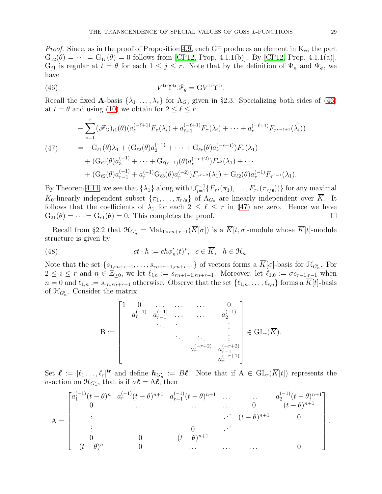*Proof.* Since, as in the proof of Proposition [4.9,](#page-25-2) each  $G<sup>tr</sup>$  produces an element in  $K_{\phi}$ , the part  $G_{12}(\theta) = \cdots = G_{1r}(\theta) = 0$  follows from [\[CP12,](#page-52-10) Prop. 4.1.1(b)]. By [CP12, Prop. 4.1.1(a)],  $G_{j1}$  is regular at  $t = \theta$  for each  $1 \leq j \leq r$ . Note that by the definition of  $\Psi_n$  and  $\Psi_{\phi}$ , we have

<span id="page-28-0"></span>(46) 
$$
V^{\text{tr}} \Upsilon^{\text{tr}} \mathscr{F}_g = \mathrm{G} V^{\text{tr}} \Upsilon^{\text{tr}}.
$$

Recall the fixed A-basis  $\{\lambda_1, \ldots, \lambda_r\}$  for  $\Lambda_{G_0}$  given in §2.3. Specializing both sides of [\(46\)](#page-28-0) at  $t = \theta$  and using [\(10\)](#page-8-0) we obtain for  $2 \leq \ell \leq r$ 

<span id="page-28-1"></span>
$$
- \sum_{i=1}^{r} (\mathscr{F}_{G})_{i1}(\theta) (a_{\ell}^{(-\ell+1)} F_{\tau}(\lambda_{i}) + a_{\ell+1}^{(-\ell+1)} F_{\tau}(\lambda_{i}) + \cdots + a_{r}^{(-\ell+1)} F_{\tau^{r-\ell+1}}(\lambda_{i}))
$$
  
\n
$$
= -G_{\ell 1}(\theta) \lambda_{1} + (G_{\ell 2}(\theta) a_{2}^{(-1)} + \cdots + G_{\ell r}(\theta) a_{r}^{(-r+1)}) F_{\tau}(\lambda_{1})
$$
  
\n
$$
+ (G_{\ell 2}(\theta) a_{3}^{(-1)} + \cdots + G_{\ell(r-1)}(\theta) a_{r}^{(-r+2)}) F_{\tau^{2}}(\lambda_{1}) + \cdots
$$
  
\n
$$
+ (G_{\ell 2}(\theta) a_{r-1}^{(-1)} + a_{r}^{(-1)} G_{\ell 3}(\theta) a_{r}^{(-2)}) F_{\tau^{r-2}}(\lambda_{1}) + G_{\ell 2}(\theta) a_{r}^{(-1)} F_{\tau^{r-1}}(\lambda_{1}).
$$

By Theorem [4.11,](#page-26-0) we see that  $\{\lambda_1\}$  along with  $\bigcup_{j=1}^{r-1} \{F_{\tau^j}(\pi_1), \ldots, F_{\tau^j}(\pi_{r/s})\}$  for any maximal K<sub>0</sub>-linearly independent subset  $\{\pi_1, \ldots, \pi_{r/s}\}\$  of  $\Lambda_{G_0}$  are linearly independent over  $\overline{K}$ . It follows that the coefficients of  $\lambda_1$  for each  $2 \leq \ell \leq r$  in [\(47\)](#page-28-1) are zero. Hence we have  $G_{21}(\theta) = \cdots = G_{r1}(\theta) = 0$ . This completes the proof.

Recall from §2.2 that  $\mathcal{H}_{G'_n} = \text{Mat}_{1 \times rn+r-1}(\overline{K}[\sigma])$  is a  $\overline{K}[t,\sigma]$ -module whose  $\overline{K}[t]$ -module structure is given by

(48) 
$$
ct \cdot h := ch\phi_n'(t)^*, \quad c \in \overline{K}, \quad h \in \mathcal{H}_n.
$$

Note that the set  $\{s_{1,m+r-1},\ldots,s_{rn+r-1,rn+r-1}\}$  of vectors forms a  $\overline{K}[\sigma]$ -basis for  $\mathfrak{K}_{G'_n}$ . For  $2 \leq i \leq r$  and  $n \in \mathbb{Z}_{\geq 0}$ , we let  $\ell_{i,n} := s_{rn+i-1,rn+r-1}$ . Moreover, let  $\ell_{1,0} := \sigma s_{r-1,r-1}$  when  $n = 0$  and  $\ell_{1,n} := s_{rn, rn+r-1}$  otherwise. Observe that the set  $\{\ell_{1,n}, \ldots, \ell_{r,n}\}$  forms a  $\overline{K}[t]$ -basis of  $\mathfrak{H}_{G'_n}$ . Consider the matrix

<span id="page-28-2"></span>
$$
B := \begin{bmatrix} 1 & 0 & \dots & \dots & 0 \\ a_r^{(-1)} & a_{r-1}^{(-1)} & \dots & a_2^{(-1)} \\ & \ddots & \ddots & \ddots & \vdots \\ & & & a_r^{(-r+2)} & a_{r-1}^{(-r+2)} \\ & & & & a_r^{(-r+1)} \end{bmatrix} \in GL_r(\overline{K}).
$$

Set  $\mathcal{L} := [\ell_1, \ldots, \ell_r]^{tr}$  and define  $h_{G'_n} := B\ell$ . Note that if  $A \in GL_r(\overline{K}[t])$  represents the  $\sigma$ -action on  $\mathfrak{H}_{G'_n}$ , that is if  $\sigma \ell = A\ell$ , then

$$
A = \begin{bmatrix} a_1^{(-1)}(t-\theta)^n & a_r^{(-1)}(t-\theta)^{n+1} & a_{r-1}^{(-1)}(t-\theta)^{n+1} & \dots & a_2^{(-1)}(t-\theta)^{n+1} \\ 0 & \dots & \dots & 0 & (t-\theta)^{n+1} \\ \vdots & \vdots & \ddots & \vdots & \vdots \\ 0 & 0 & (t-\theta)^{n+1} & 0 \\ (t-\theta)^n & 0 & \dots & \dots & 0 \end{bmatrix}
$$

.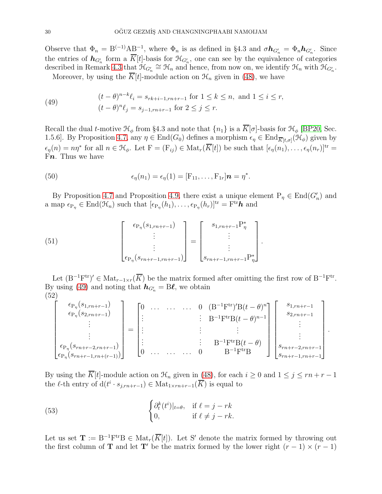Observe that  $\Phi_n = B^{(-1)}AB^{-1}$ , where  $\Phi_n$  is as defined in §4.3 and  $\sigma h_{G'_n} = \Phi_n h_{G'_n}$ . Since the entries of  $h_{G'_n}$  form a  $\overline{K}[t]$ -basis for  $\mathfrak{H}_{G'_n}$ , one can see by the equivalence of categories described in Remark [4.3](#page-21-0) that  $\mathcal{H}_{G'_n} \cong \mathcal{H}_n$  and hence, from now on, we identify  $\mathcal{H}_n$  with  $\mathcal{H}_{G'_n}$ .

Moreover, by using the  $\overline{K}[t]$ -module action on  $\mathcal{H}_n$  given in [\(48\)](#page-28-2), we have

<span id="page-29-0"></span>(49) 
$$
(t - \theta)^{n-k} \ell_i = s_{rk+i-1, rn+r-1} \text{ for } 1 \le k \le n, \text{ and } 1 \le i \le r,
$$

$$
(t - \theta)^n \ell_j = s_{j-1, rn+r-1} \text{ for } 2 \le j \le r.
$$

Recall the dual t-motive  $\mathcal{H}_{\phi}$  from §4.3 and note that  $\{n_1\}$  is a  $\overline{K}[\sigma]$ -basis for  $\mathcal{H}_{\phi}$  [\[BP20,](#page-52-12) Sec. 1.5.6]. By Proposition [4.7,](#page-23-0) any  $\eta \in \text{End}(G_0)$  defines a morphism  $\epsilon_{\eta} \in \text{End}_{\overline{K}[t,\sigma]}(\mathcal{H}_{\phi})$  given by  $\epsilon_{\eta}(n) = n\eta^*$  for all  $n \in \mathcal{H}_{\phi}$ . Let  $F = (F_{ij}) \in Mat_r(\overline{K}[t])$  be such that  $[\epsilon_{\eta}(n_1), \ldots, \epsilon_{\eta}(n_r)]^{\text{tr}} =$ Fn. Thus we have

<span id="page-29-4"></span>(50) 
$$
\epsilon_{\eta}(n_1) = \epsilon_{\eta}(1) = [\mathbf{F}_{11}, \ldots, \mathbf{F}_{1r}] \mathbf{n} = \eta^*.
$$

By Proposition [4.7](#page-23-0) and Proposition [4.9,](#page-25-2) there exist a unique element  $P_{\eta} \in \text{End}(G'_{n})$  and a map  $\epsilon_{P_{\eta}} \in \text{End}(\mathcal{H}_n)$  such that  $[\epsilon_{P_{\eta}}(h_1), \ldots, \epsilon_{P_{\eta}}(h_r)]^{\text{tr}} = \text{F}^{\text{tr}} \hat{\boldsymbol{h}}$  and

.

<span id="page-29-2"></span>(51) 
$$
\begin{bmatrix} \epsilon_{P_{\eta}}(s_{1,m+r-1}) \\ \vdots \\ \epsilon_{P_{\eta}}(s_{rn+r-1,m+r-1}) \end{bmatrix} = \begin{bmatrix} s_{1,m+r-1}P_{\eta}^{*} \\ \vdots \\ s_{rn+r-1,m+r-1}P_{\eta}^{*} \end{bmatrix}
$$

Let  $(B^{-1}F^{tr})' \in Mat_{r-1 \times r}(\overline{K})$  be the matrix formed after omitting the first row of  $B^{-1}F^{tr}$ . By using [\(49\)](#page-29-0) and noting that  $h_{G'_n} = B\ell$ , we obtain (52)

<span id="page-29-3"></span>
$$
\begin{bmatrix}\n\epsilon_{P_{\eta}}(s_{1,rn+r-1}) \\
\epsilon_{P_{\eta}}(s_{2,rn+r-1}) \\
\vdots \\
\epsilon_{P_{\eta}}(s_{rn+r-2,rn+r-1}) \\
\epsilon_{P_{\eta}}(s_{rn+r-1,rn+(r-1)})\n\end{bmatrix} = \begin{bmatrix}\n0 & \cdots & \cdots & \cdots & 0 & (B^{-1}F^{tr})'B(t-\theta)^n \\
\vdots & & \vdots & B^{-1}F^{tr}B(t-\theta)^{n-1} \\
\vdots & & \vdots & \vdots \\
0 & \cdots & \cdots & 0 & B^{-1}F^{tr}B'\n\end{bmatrix} \begin{bmatrix}\ns_{1,rn+r-1} \\
s_{2,rn+r-1} \\
\vdots \\
s_{rn+r-2,rn+r-1} \\
s_{rn+r-2,rn+r-1}\n\end{bmatrix}.
$$

By using the  $\overline{K}[t]$ -module action on  $\mathcal{H}_n$  given in [\(48\)](#page-28-2), for each  $i \geq 0$  and  $1 \leq j \leq rn + r - 1$ the  $\ell$ -th entry of  $d(t^i \cdot s_{j, rn+r-1}) \in Mat_{1 \times rn+r-1}(\overline{K})$  is equal to

<span id="page-29-1"></span>(53) 
$$
\begin{cases} \partial_t^k(t^i)|_{t=\theta}, & \text{if } \ell = j - rk \\ 0, & \text{if } \ell \neq j - rk. \end{cases}
$$

Let us set  $\mathbf{T} := B^{-1}F^{\text{tr}}B \in \text{Mat}_r(\overline{K}[t])$ . Let S' denote the matrix formed by throwing out the first column of **T** and let **T**' be the matrix formed by the lower right  $(r - 1) \times (r - 1)$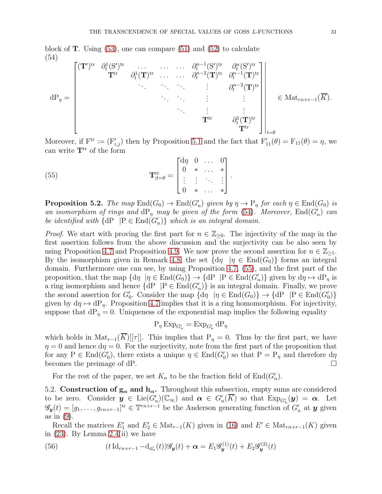block of **T**. Using  $(53)$ , one can compare  $(51)$  and  $(52)$  to calculate (54)

<span id="page-30-0"></span>
$$
dP_{\eta} = \begin{bmatrix} (\mathbf{T}')^{tr} & \partial_t^1 (S')^{tr} & \dots & \dots & \partial_t^{n-1} (S')^{tr} & \partial_t^n (S')^{tr} \\ & \mathbf{T}^{tr} & \partial_t^1 (\mathbf{T})^{tr} & \dots & \dots & \partial_t^{n-2} (\mathbf{T})^{tr} & \partial_t^{n-1} (\mathbf{T})^{tr} \\ & \vdots & \vdots & \vdots & \vdots \\ & & \mathbf{T}^{tr} & \partial_t^1 (\mathbf{T})^{tr} \\ & & & \mathbf{T}^{tr} & \partial_t^1 (\mathbf{T})^{tr} \\ & & & & \mathbf{T}^{tr} \end{bmatrix} \in Mat_{rn+r-1}(\overline{K}).
$$

Moreover, if  $F^{tr} := (F'_{i,j})$  then by Proposition [5.1](#page-27-1) and the fact that  $F'_{11}(\theta) = F_{11}(\theta) = \eta$ , we can write  $T<sup>tr</sup>$  of the form

<span id="page-30-1"></span>(55) 
$$
\mathbf{T}_{|t=\theta}^{\text{tr}} = \begin{bmatrix} d\eta & 0 & \dots & 0 \\ 0 & * & \dots & * \\ \vdots & \vdots & \ddots & \vdots \\ 0 & * & \dots & * \end{bmatrix}.
$$

<span id="page-30-3"></span>**Proposition 5.2.** The map  $\text{End}(G_0) \to \text{End}(G'_n)$  given by  $\eta \to \text{P}_{\eta}$  for each  $\eta \in \text{End}(G_0)$  is an isomorphism of rings and  $\text{dP}_\eta$  may be given of the form [\(54\)](#page-30-0). Moreover,  $\text{End}(G'_n)$  can be identified with  $\{dP \mid P \in End(G'_n)\}\$  which is an integral domain.

*Proof.* We start with proving the first part for  $n \in \mathbb{Z}_{\geq 0}$ . The injectivity of the map in the first assertion follows from the above discussion and the surjectivity can be also seen by using Proposition [4.7](#page-23-0) and Proposition [4.9.](#page-25-2) We now prove the second assertion for  $n \in \mathbb{Z}_{\geq 1}$ . By the isomorphism given in Remark 4.8, the set  $\{d\eta \mid \eta \in \text{End}(G_0)\}\)$  forms an integral domain. Furthermore one can see, by using Proposition [4.7,](#page-23-0) [\(55\)](#page-30-1), and the first part of the proposition, that the map  $\{d\eta \mid \eta \in \text{End}(G_0)\}\$   $\to$   $\{dP \mid P \in \text{End}(G'_n)\}\$  given by  $d\eta \mapsto dP_\eta$  is a ring isomorphism and hence  $\{dP \mid P \in End(G'_n)\}$  is an integral domain. Finally, we prove the second assertion for  $G'_0$ . Consider the map  $\{d\eta \mid \eta \in \text{End}(G_0)\}\rightarrow \{dP \mid P \in \text{End}(G'_0)\}\$ given by  $d\eta \mapsto dP_{\eta}$ . Proposition [4.7](#page-23-0) implies that it is a ring homomorphism. For injectivity, suppose that  $dP_\eta = 0$ . Uniqueness of the exponential map implies the following equality

$$
P_{\eta} \operatorname{Exp}_{G'_n} = \operatorname{Exp}_{G'_n} dP_{\eta}
$$

which holds in Mat<sub>r−1</sub>( $\overline{K}$ )[[ $\tau$ ]]. This implies that P<sub>n</sub> = 0. Thus by the first part, we have  $\eta = 0$  and hence  $d\eta = 0$ . For the surjectivity, note from the first part of the proposition that for any P  $\in$  End( $G'_{0}$ ), there exists a unique  $\eta \in$  End( $G'_{0}$ ) so that  $P = P_{\eta}$  and therefore  $d\eta$ becomes the preimage of dP.

For the rest of the paper, we set  $K_n$  to be the fraction field of  $End(G'_n)$ .

5.2. Construction of  $g_{\alpha}$  and  $h_{\alpha}$ . Throughout this subsection, empty sums are considered to be zero. Consider  $y \in \text{Lie}(G'_n)(\mathbb{C}_{\infty})$  and  $\alpha \in G'_n(\overline{K})$  so that  $\text{Exp}_{G'_n}(y) = \alpha$ . Let  $\mathscr{G}_y(t) = [g_1, \ldots, g_{rn+r-1}]^{\text{tr}} \in \mathbb{T}^{rn+r-1}$  be the Anderson generating function of  $G'_n$  at  $y$  given as in [\(9\)](#page-7-1).

Recall the matrices  $E'_1$  and  $E'_2 \in Mat_{r-1}(K)$  given in [\(16\)](#page-12-4) and  $E' \in Mat_{rn+r-1}(K)$  given in [\(23\)](#page-14-2). By Lemma [2.4\(](#page-7-2)ii) we have

<span id="page-30-2"></span>(56) 
$$
(t\operatorname{Id}_{rn+r-1} - \operatorname{d}_{\phi'_n}(t))\mathscr{G}_y(t) + \alpha = E_1\mathscr{G}_y^{(1)}(t) + E_2\mathscr{G}_y^{(2)}(t)
$$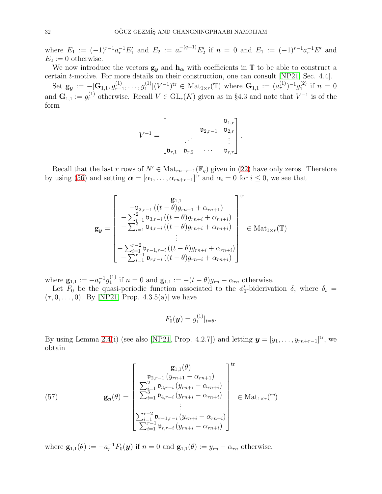where  $E_1 := (-1)^{r-1} a_r^{-1} E_1'$  and  $E_2 := a_r^{-(q+1)} E_2'$  if  $n = 0$  and  $E_1 := (-1)^{r-1} a_r^{-1} E'$  and  $E_2 := 0$  otherwise.

We now introduce the vectors  $g_y$  and  $h_\alpha$  with coefficients in T to be able to construct a certain t-motive. For more details on their construction, one can consult [\[NP21,](#page-53-17) Sec. 4.4].

 $\operatorname{Set}\ \mathbf{g}_{\boldsymbol y} := -[\mathbf{G}_{1,1}, g^{(1)}_{r-}]$  $g^{(1)}_{r-1},\ldots,g^{(1)}_1$  $\mathbf{I}_{1}^{(1)}[(V^{-1})^{\text{tr}} \in \text{Mat}_{1 \times r}(\mathbb{T}) \text{ where } \mathbf{G}_{1,1} := (a_r^{(1)})^{-1} g_1^{(2)}$  $i^{(2)}$  if  $n = 0$ and  $\mathbf{G}_{1,1} := g_r^{(1)}$  otherwise. Recall  $V \in GL_r(K)$  given as in §4.3 and note that  $V^{-1}$  is of the form

$$
V^{-1} = \begin{bmatrix} \mathfrak{v}_{1,r} \\ \vdots \\ \mathfrak{v}_{r,1} & \mathfrak{v}_{r,2} & \cdots & \mathfrak{v}_{r,r} \end{bmatrix}.
$$

Recall that the last r rows of  $N' \in Mat_{rn+r-1}(\mathbb{F}_q)$  given in [\(22\)](#page-14-3) have only zeros. Therefore by using [\(56\)](#page-30-2) and setting  $\boldsymbol{\alpha} = [\alpha_1, \ldots, \alpha_{rn+r-1}]^{\text{tr}}$  and  $\alpha_i = 0$  for  $i \leq 0$ , we see that

$$
\mathbf{g}_{y} = \begin{bmatrix} \mathbf{g}_{1,1} \\ -\mathbf{b}_{2,r-1} \left( (t-\theta) g_{rn+1} + \alpha_{rn+1} \right) \\ -\sum_{i=1}^{2} \mathbf{b}_{3,r-i} \left( (t-\theta) g_{rn+i} + \alpha_{rn+i} \right) \\ -\sum_{i=1}^{2} \mathbf{b}_{4,r-i} \left( (t-\theta) g_{rn+i} + \alpha_{rn+i} \right) \\ \vdots \\ -\sum_{i=1}^{r-2} \mathbf{b}_{r-1,r-i} \left( (t-\theta) g_{rn+i} + \alpha_{rn+i} \right) \\ -\sum_{i=1}^{r-1} \mathbf{b}_{r,r-i} \left( (t-\theta) g_{rn+i} + \alpha_{rn+i} \right) \end{bmatrix} \in \text{Mat}_{1 \times r}(\mathbb{T})
$$

where  $\mathbf{g}_{1,1}:=-a_r^{-1}g_1^{(1)}$  $\mathbf{g}_1^{(1)}$  if  $n = 0$  and  $\mathbf{g}_{1,1} := -(t - \theta)g_{rn} - \alpha_{rn}$  otherwise.

Let  $F_0$  be the quasi-periodic function associated to the  $\phi'_0$ -biderivation  $\delta$ , where  $\delta_t =$  $(\tau, 0, \ldots, 0)$ . By [\[NP21,](#page-53-17) Prop. 4.3.5(a)] we have

$$
F_0(\boldsymbol{y})=g_1^{(1)}|_{t=\theta}.
$$

By using Lemma [2.4\(](#page-7-2)i) (see also [\[NP21,](#page-53-17) Prop. 4.2.7]) and letting  $\mathbf{y} = [y_1, \ldots, y_{rn+r-1}]^{\text{tr}}$ , we obtain

<span id="page-31-0"></span>(57) 
$$
\mathbf{g}_{y}(\theta) = \begin{bmatrix} \mathbf{g}_{1,1}(\theta) \\ \sum_{i=1}^{2} \mathbf{v}_{3,r-i} (y_{rn+1} - \alpha_{rn+1}) \\ \sum_{i=1}^{2} \mathbf{v}_{3,r-i} (y_{rn+i} - \alpha_{rn+i}) \\ \sum_{i=1}^{3} \mathbf{v}_{4,r-i} (y_{rn+i} - \alpha_{rn+i}) \\ \vdots \\ \sum_{i=1}^{r-2} \mathbf{v}_{r-1,r-i} (y_{rn+i} - \alpha_{rn+i}) \\ \sum_{i=1}^{r-1} \mathbf{v}_{r,r-i} (y_{rn+i} - \alpha_{rn+i}) \end{bmatrix} \in \text{Mat}_{1 \times r}(\mathbb{T})
$$

where  $\mathbf{g}_{1,1}(\theta) := -a_r^{-1} F_0(\mathbf{y})$  if  $n = 0$  and  $\mathbf{g}_{1,1}(\theta) := y_{rn} - \alpha_{rn}$  otherwise.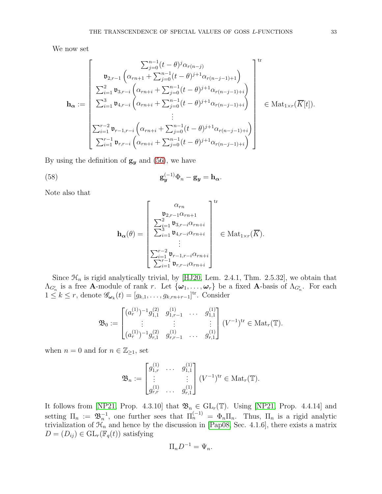We now set

$$
\mathbf{h}_{\alpha} := \begin{bmatrix} \sum_{j=0}^{n-1} (t-\theta)^j \alpha_{r(n-j)} & \sum_{j=0}^{n-1} (t-\theta)^{j+1} \alpha_{r(n-j-1)+1} & \sum_{j=0}^{2} (t-\theta)^{j+1} \alpha_{r(n-j-1)+1} & \sum_{i=1}^{2} \mathfrak{v}_{3,r-i} \left( \alpha_{rn+i} + \sum_{j=0}^{n-1} (t-\theta)^{j+1} \alpha_{r(n-j-1)+i} \right) & \sum_{i=1}^{3} \mathfrak{v}_{4,r-i} \left( \alpha_{rn+i} + \sum_{j=0}^{n-1} (t-\theta)^{j+1} \alpha_{r(n-j-1)+i} \right) & \sum_{i=1}^{r-2} \mathfrak{v}_{r-1,r-i} \left( \alpha_{rn+i} + \sum_{j=0}^{n-1} (t-\theta)^{j+1} \alpha_{r(n-j-1)+i} \right) & \sum_{i=1}^{r-1} \mathfrak{v}_{r,r-i} \left( \alpha_{rn+i} + \sum_{j=0}^{n-1} (t-\theta)^{j+1} \alpha_{r(n-j-1)+i} \right) & \end{bmatrix} \in \text{Mat}_{1 \times r}(\overline{K}[t]).
$$

By using the definition of  $g_y$  and [\(56\)](#page-30-2), we have

(58) 
$$
\mathbf{g}_{\mathbf{y}}^{(-1)}\Phi_{n}-\mathbf{g}_{\mathbf{y}}=\mathbf{h}_{\alpha}.
$$

Note also that

<span id="page-32-0"></span>
$$
\mathbf{h}_{\alpha}(\theta) = \begin{bmatrix} \alpha_{rn} \\ \sum_{i=1}^{2} \mathfrak{v}_{3,r-i} \alpha_{rn+i} \\ \sum_{i=1}^{3} \mathfrak{v}_{3,r-i} \alpha_{rn+i} \\ \vdots \\ \sum_{i=1}^{r-2} \mathfrak{v}_{r-1,r-i} \alpha_{rn+i} \\ \sum_{i=1}^{r-1} \mathfrak{v}_{r,r-i} \alpha_{rn+i} \end{bmatrix} \in \text{Mat}_{1 \times r}(\overline{K}).
$$

Since  $\mathcal{H}_n$  is rigid analytically trivial, by [\[HJ20,](#page-53-26) Lem. 2.4.1, Thm. 2.5.32], we obtain that  $\Lambda_{G'_n}$  is a free **A**-module of rank r. Let  $\{\omega_1,\ldots,\omega_r\}$  be a fixed **A**-basis of  $\Lambda_{G'_n}$ . For each  $1 \leq k \leq r$ , denote  $\mathscr{G}_{\omega_k}(t) = [g_{k,1}, \ldots, g_{k,rn+r-1}]^{\text{tr}}$ . Consider

$$
\mathfrak{B}_0 := \begin{bmatrix} (a_r^{(1)})^{-1} g_{1,1}^{(2)} & g_{1,r-1}^{(1)} & \cdots & g_{1,1}^{(1)} \\ \vdots & \vdots & & \vdots \\ (a_r^{(1)})^{-1} g_{r,1}^{(2)} & g_{r,r-1}^{(1)} & \cdots & g_{r,1}^{(1)} \end{bmatrix} (V^{-1})^{\mathrm{tr}} \in \mathrm{Mat}_r(\mathbb{T}).
$$

when  $n = 0$  and for  $n \in \mathbb{Z}_{\geq 1}$ , set

$$
\mathfrak{B}_n := \begin{bmatrix} g_{1,r}^{(1)} & \cdots & g_{1,1}^{(1)} \\ \vdots & & \vdots \\ g_{r,r}^{(1)} & \cdots & g_{r,1}^{(1)} \end{bmatrix} (V^{-1})^{\mathrm{tr}} \in \mathrm{Mat}_r(\mathbb{T}).
$$

It follows from [\[NP21,](#page-53-17) Prop. 4.3.10] that  $\mathfrak{B}_n \in GL_r(\mathbb{T})$ . Using [NP21, Prop. 4.4.14] and setting  $\Pi_n := \mathfrak{B}_n^{-1}$ , one further sees that  $\Pi_n^{(-1)} = \Phi_n \Pi_n$ . Thus,  $\Pi_n$  is a rigid analytic trivialization of  $\mathcal{H}_n$  and hence by the discussion in [\[Pap08,](#page-53-11) Sec. 4.1.6], there exists a matrix  $D = (D_{ij}) \in GL_r(\mathbb{F}_q(t))$  satisfying

$$
\Pi_n D^{-1} = \Psi_n.
$$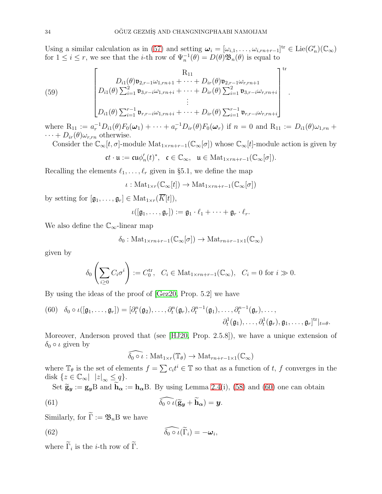Using a similar calculation as in [\(57\)](#page-31-0) and setting  $\boldsymbol{\omega}_i = [\omega_{i,1}, \ldots, \omega_{i,m+r-1}]^{\text{tr}} \in \text{Lie}(G'_n)(\mathbb{C}_{\infty})$ for  $1 \leq i \leq r$ , we see that the *i*-th row of  $\Psi_n^{-1}(\theta) = D(\theta) \mathfrak{B}_n(\theta)$  is equal to

<span id="page-33-3"></span>(59) 
$$
\begin{bmatrix}\nR_{11} \\
D_{i1}(\theta)\mathfrak{v}_{2,r-1}\omega_{1,rn+1} + \cdots + D_{ir}(\theta)\mathfrak{v}_{2,r-1}\omega_{r,rn+1} \\
D_{i1}(\theta)\sum_{i=1}^{2}\mathfrak{v}_{3,r-i}\omega_{1,rn+i} + \cdots + D_{ir}(\theta)\sum_{i=1}^{2}\mathfrak{v}_{3,r-i}\omega_{r,rn+i} \\
\vdots \\
D_{i1}(\theta)\sum_{i=1}^{r-1}\mathfrak{v}_{r,r-i}\omega_{1,rn+i} + \cdots + D_{ir}(\theta)\sum_{i=1}^{r-1}\mathfrak{v}_{r,r-i}\omega_{r,rn+i}\n\end{bmatrix}^{\mathrm{tr}}
$$

where  $R_{11} := a_r^{-1}D_{i1}(\theta)F_0(\omega_1) + \cdots + a_r^{-1}D_{ir}(\theta)F_0(\omega_r)$  if  $n = 0$  and  $R_{11} := D_{i1}(\theta)\omega_{1, rn} +$  $\cdots + D_{ir}(\theta)\omega_{r,rn}$  otherwise.

Consider the  $\mathbb{C}_{\infty}[t,\sigma]$ -module  $\text{Mat}_{1\times rn+r-1}(\mathbb{C}_{\infty}[\sigma])$  whose  $\mathbb{C}_{\infty}[t]$ -module action is given by

$$
\mathfrak{c}t\cdot\mathfrak{u}:=\mathfrak{c} \mathfrak{u}\phi_n'(t)^*,\quad \mathfrak{c}\in\mathbb{C}_{\infty},\quad \mathfrak{u}\in\mathrm{Mat}_{1\times rn+r-1}(\mathbb{C}_{\infty}[\sigma]).
$$

Recalling the elements  $\ell_1, \ldots, \ell_r$  given in §5.1, we define the map

$$
\iota: \mathrm{Mat}_{1 \times r}(\mathbb{C}_{\infty}[t]) \to \mathrm{Mat}_{1 \times rn+r-1}(\mathbb{C}_{\infty}[\sigma])
$$

by setting for  $[\mathfrak{g}_1, \ldots, \mathfrak{g}_r] \in \text{Mat}_{1 \times r}(\overline{K}[t]),$ 

$$
\iota([\mathfrak{g}_1,\ldots,\mathfrak{g}_r]):=\mathfrak{g}_1\cdot\ell_1+\cdots+\mathfrak{g}_r\cdot\ell_r.
$$

We also define the  $\mathbb{C}_{\infty}$ -linear map

$$
\delta_0
$$
: Mat<sub>1×rn+r-1</sub> $(\mathbb{C}_{\infty}[\sigma]) \to \text{Mat}_{rn+r-1\times 1}(\mathbb{C}_{\infty})$ 

given by

$$
\delta_0\left(\sum_{i\geq 0} C_i \sigma^i\right) := C_0^{\text{tr}}, \quad C_i \in \text{Mat}_{1 \times rn + r - 1}(\mathbb{C}_{\infty}), \quad C_i = 0 \text{ for } i \gg 0.
$$

By using the ideas of the proof of [\[Gez20,](#page-53-7) Prop. 5.2] we have

<span id="page-33-0"></span>(60) 
$$
\delta_0 \circ \iota([\mathfrak{g}_1, \ldots, \mathfrak{g}_r]) = [\partial_t^n(\mathfrak{g}_2), \ldots, \partial_t^n(\mathfrak{g}_r), \partial_t^{n-1}(\mathfrak{g}_1), \ldots, \partial_t^{n-1}(\mathfrak{g}_r), \ldots, \partial_t^{1}(\mathfrak{g}_r), \mathfrak{g}_1, \ldots, \mathfrak{g}_r]^{tr}|_{t=\theta}.
$$

Moreover, Anderson proved that (see [\[HJ20,](#page-53-26) Prop. 2.5.8]), we have a unique extension of  $\delta_0 \circ \iota$  given by

<span id="page-33-2"></span><span id="page-33-1"></span>
$$
\widehat{\delta_0 \circ \iota} : \mathrm{Mat}_{1 \times r}(\mathbb{T}_{\theta}) \to \mathrm{Mat}_{rn+r-1 \times 1}(\mathbb{C}_{\infty})
$$

where  $\mathbb{T}_{\theta}$  is the set of elements  $f = \sum c_i t^i \in \mathbb{T}$  so that as a function of t, f converges in the disk  $\{z \in \mathbb{C}_{\infty} | |z|_{\infty} \leq q\}.$ 

Set  $\widetilde{\mathbf{g}}_{y} := \mathbf{g}_{y}B$  and  $\widetilde{\mathbf{h}}_{\alpha} := \mathbf{h}_{\alpha}B$ . By using Lemma [2.4\(](#page-7-2)i), [\(58\)](#page-32-0) and [\(60\)](#page-33-0) one can obtain

(61) 
$$
\widehat{\delta_0 \circ \iota} (\widetilde{\mathbf{g}}_{\mathbf{y}} + \widetilde{\mathbf{h}}_{\alpha}) = \mathbf{y}.
$$

Similarly, for  $\widetilde{\Gamma} := \mathfrak{B}_n B$  we have

(62) 
$$
\widehat{\delta_0 \circ \iota}(\widetilde{\Gamma}_i) = -\boldsymbol{\omega}_i,
$$

where  $\Gamma_i$  is the *i*-th row of  $\Gamma$ .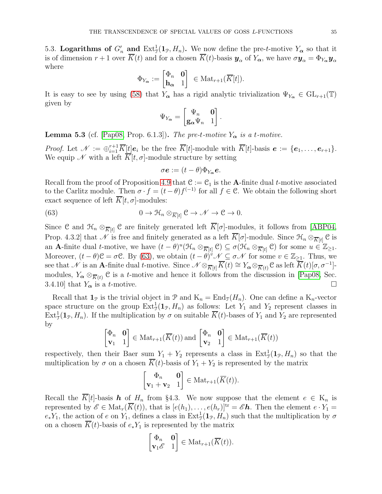5.3. Logarithms of  $G'_n$  and  $\text{Ext}^1_{\mathcal{J}}(1_{\mathcal{P}}, H_n)$ . We now define the pre-t-motive  $Y_{\alpha}$  so that it is of dimension  $r+1$  over  $\overline{K}(t)$  and for a chosen  $\overline{K}(t)$ -basis  $y_\alpha$  of  $Y_\alpha$ , we have  $\sigma y_\alpha = \Phi_{Y_\alpha} y_\alpha$ where

$$
\Phi_{Y_{\boldsymbol{\alpha}}}:=\begin{bmatrix}\Phi_n&\mathbf{0}\\ \mathbf{h}_{\boldsymbol{\alpha}}&1\end{bmatrix}\ \in\mathrm{Mat}_{r+1}(\overline{K}[t]).
$$

It is easy to see by using [\(58\)](#page-32-0) that  $Y_{\alpha}$  has a rigid analytic trivialization  $\Psi_{Y_{\alpha}} \in GL_{r+1}(\mathbb{T})$ given by

$$
\Psi_{Y_{\boldsymbol{\alpha}}} = \begin{bmatrix} \Psi_n & \mathbf{0} \\ \mathbf{g}_{\boldsymbol{\alpha}}\Psi_n & 1 \end{bmatrix}.
$$

<span id="page-34-1"></span>**Lemma 5.3** (cf. [\[Pap08,](#page-53-11) Prop. 6.1.3]). The pre-t-motive  $Y_{\alpha}$  is a t-motive.

*Proof.* Let  $\mathcal{N} := \bigoplus_{i=1}^{r+1} \overline{K}[t] e_i$  be the free  $\overline{K}[t]$ -module with  $\overline{K}[t]$ -basis  $e := \{e_1, \ldots, e_{r+1}\}.$ We equip N with a left  $\overline{K}[t, \sigma]$ -module structure by setting

<span id="page-34-0"></span>
$$
\sigma \mathbf{e} := (t - \theta) \Phi_{Y_{\alpha}} \mathbf{e}.
$$

Recall from the proof of Proposition [4.9](#page-25-2) that  $\mathcal{C} := \mathcal{C}_1$  is the **A**-finite dual *t*-motive associated to the Carlitz module. Then  $\sigma \cdot f = (t - \theta)f^{(-1)}$  for all  $f \in \mathcal{C}$ . We obtain the following short exact sequence of left  $\overline{K}[t, \sigma]$ -modules:

(63) 
$$
0 \to \mathcal{H}_n \otimes_{\overline{K}[t]} \mathcal{C} \to \mathcal{N} \to \mathcal{C} \to 0.
$$

Since C and  $\mathcal{H}_n \otimes_{\overline{K}[t]} C$  are finitely generated left  $K[\sigma]$ -modules, it follows from [\[ABP04,](#page-52-19) Prop. 4.3.2] that N is free and finitely generated as a left  $\overline{K}[\sigma]$ -module. Since  $\mathcal{H}_n \otimes_{\overline{K}[t]} \mathcal{C}$  is an **A**-finite dual t-motive, we have  $(t - \theta)^u (\mathcal{H}_n \otimes_{\overline{K}[t]} \mathcal{C}) \subseteq \sigma (\mathcal{H}_n \otimes_{\overline{K}[t]} \mathcal{C})$  for some  $u \in \mathbb{Z}_{\geq 1}$ . Moreover,  $(t - \theta)$ C =  $\sigma$ C. By [\(63\)](#page-34-0), we obtain  $(t - \theta)^{\nu}$   $\mathscr{N} \subseteq \sigma \mathscr{N}$  for some  $v \in \mathbb{Z}_{\geq 1}$ . Thus, we see that N is an A-finite dual t-motive. Since  $\mathscr{N} \otimes_{\overline{K}[t]} \overline{K}(t) \cong Y_{\boldsymbol{\alpha}} \otimes_{\overline{K}(t)} \mathfrak{C}$  as left  $\overline{\overline{K}}(t)[\sigma, \sigma^{-1}]$ modules,  $Y_{\alpha} \otimes_{\overline{K}(t)} \mathcal{C}$  is a t-motive and hence it follows from the discussion in [\[Pap08,](#page-53-11) Sec. 3.4.10] that  $Y_{\alpha}$  is a *t*-motive.

Recall that  $\mathbf{1}_{\mathcal{P}}$  is the trivial object in  $\mathcal{P}$  and  $K_n = \text{End}_{\mathcal{T}}(H_n)$ . One can define a  $K_n$ -vector space structure on the group  $\text{Ext}^1_{\mathcal{J}}(\mathbf{1}_{\mathcal{P}}, H_n)$  as follows: Let  $Y_1$  and  $Y_2$  represent classes in  $\text{Ext}^1_{\mathcal{J}}(\mathbf{1}_{\mathcal{P}}, H_n)$ . If the multiplication by  $\sigma$  on suitable  $\overline{K}(t)$ -bases of  $Y_1$  and  $Y_2$  are represented by

$$
\begin{bmatrix} \Phi_n & \mathbf{0} \\ \mathbf{v}_1 & 1 \end{bmatrix} \in \text{Mat}_{r+1}(\overline{K}(t)) \text{ and } \begin{bmatrix} \Phi_n & \mathbf{0} \\ \mathbf{v}_2 & 1 \end{bmatrix} \in \text{Mat}_{r+1}(\overline{K}(t))
$$

respectively, then their Baer sum  $Y_1 + Y_2$  represents a class in  $Ext^1_{\mathcal{J}}(\mathbf{1}_{\mathcal{P}}, H_n)$  so that the multiplication by  $\sigma$  on a chosen  $\overline{K}(t)$ -basis of  $Y_1 + Y_2$  is represented by the matrix

$$
\begin{bmatrix} \Phi_n & \mathbf{0} \\ \mathbf{v}_1 + \mathbf{v}_2 & 1 \end{bmatrix} \in \text{Mat}_{r+1}(\overline{K}(t)).
$$

Recall the  $\overline{K}[t]$ -basis h of  $H_n$  from §4.3. We now suppose that the element  $e \in K_n$  is represented by  $\mathscr{E} \in \text{Mat}_r(\overline{K}(t))$ , that is  $[e(h_1), \ldots, e(h_r)]^{\text{tr}} = \mathscr{E} \mathbf{h}$ . Then the element  $e \cdot Y_1 =$  $e_*Y_1$ , the action of e on  $Y_1$ , defines a class in  $\text{Ext}^1_{\mathcal{J}}(\mathbf{1}_{\mathcal{P}}, H_n)$  such that the multiplication by  $\sigma$ on a chosen  $\overline{K}(t)$ -basis of  $e_*Y_1$  is represented by the matrix

$$
\begin{bmatrix} \Phi_n & \mathbf{0} \\ \mathbf{v}_1 \mathscr{E} & 1 \end{bmatrix} \in \text{Mat}_{r+1}(\overline{K}(t)).
$$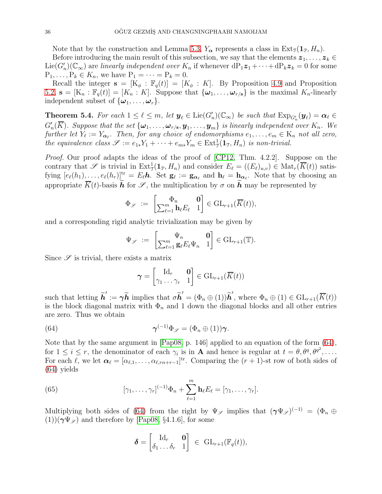Note that by the construction and Lemma [5.3,](#page-34-1)  $Y_{\alpha}$  represents a class in  $Ext_{\mathcal{T}}(1_{\mathcal{P}}, H_n)$ .

Before introducing the main result of this subsection, we say that the elements  $z_1, \ldots, z_k \in$  $Lie(G'_n)(\mathbb{C}_{\infty})$  are linearly independent over  $K_n$  if whenever  $dP_1z_1+\cdots+dP_kz_k=0$  for some  $P_1, \ldots, P_k \in K_n$ , we have  $P_1 = \cdots = P_k = 0$ .

Recall the integer  $\mathbf{s} = [K_{\phi} : \mathbb{F}_q(t)] = [K_{\phi} : K]$ . By Proposition [4.9](#page-25-2) and Proposition [5.2,](#page-30-3)  $\mathbf{s} = [K_n : \mathbb{F}_q(t)] = [K_n : K]$ . Suppose that  $\{\boldsymbol{\omega}_1, \dots, \boldsymbol{\omega}_{r/s}\}$  is the maximal  $K_n$ -linearly independent subset of  $\{\boldsymbol{\omega}_1, \ldots, \boldsymbol{\omega}_r\}.$ 

<span id="page-35-2"></span>**Theorem 5.4.** For each  $1 \leq \ell \leq m$ , let  $y_{\ell} \in \text{Lie}(G'_{n})(\mathbb{C}_{\infty})$  be such that  $\text{Exp}_{G'_{n}}(y_{\ell}) = \alpha_{\ell} \in$  $G'_n(\overline{K})$ . Suppose that the set  $\{\boldsymbol{\omega}_1,\ldots,\boldsymbol{\omega}_{r/{\bf s}}, {\bf y}_1,\ldots,{\bf y}_m\}$  is linearly independent over  $K_n$ . We further let  $Y_{\ell} := Y_{\alpha_{\ell}}$ . Then, for any choice of endomorphisms  $e_1, \ldots, e_m \in K_n$  not all zero, the equivalence class  $\mathscr{S} := e_{1*}Y_1 + \cdots + e_{m*}Y_m \in \text{Ext}^1_{\mathfrak{I}}(\mathbf{1}_{\mathfrak{I}}, H_n)$  is non-trivial.

Proof. Our proof adapts the ideas of the proof of [\[CP12,](#page-52-10) Thm. 4.2.2]. Suppose on the contrary that  $\mathscr S$  is trivial in  $\mathrm{Ext}^1_{\mathcal T}(\mathbf{1}_{\mathcal P}, H_n)$  and consider  $E_\ell = ((E_\ell)_{u,v}) \in \mathrm{Mat}_r(\overline{K}(t))$  satisfying  $[e_{\ell}(h_1),...,e_{\ell}(h_r)]^{\text{tr}} = E_{\ell}h$ . Set  $\mathbf{g}_{\ell} := \mathbf{g}_{\alpha_{\ell}}$  and  $\mathbf{h}_{\ell} = \mathbf{h}_{\alpha_{\ell}}$ . Note that by choosing an appropriate  $\overline{K}(t)$ -basis het  $\mathcal{S}$ , the multiplication by  $\sigma$  on he may be represented by

$$
\Phi_{\mathscr{S}} \; := \; \begin{bmatrix} \Phi_n & \mathbf{0} \\ \sum_{\ell=1}^m \mathbf{h}_{\ell} E_{\ell} & 1 \end{bmatrix} \in \mathrm{GL}_{r+1}(\overline{K}(t)),
$$

and a corresponding rigid analytic trivialization may be given by

$$
\Psi_{\mathscr{S}} \; := \; \begin{bmatrix} \Psi_n & \mathbf{0} \\ \sum_{\ell=1}^m \mathbf{g}_{\ell} E_{\ell} \Psi_n & 1 \end{bmatrix} \in \text{GL}_{r+1}(\mathbb{T}).
$$

Since  $\mathscr S$  is trivial, there exists a matrix

<span id="page-35-0"></span>
$$
\boldsymbol{\gamma} = \begin{bmatrix} \mathrm{Id}_r & \mathbf{0} \\ \gamma_1 \dots \gamma_r & 1 \end{bmatrix} \in \mathrm{GL}_{r+1}(\overline{K}(t))
$$

such that letting  $\tilde{h}' := \gamma \tilde{h}$  implies that  $\sigma \tilde{h}' = (\Phi_n \oplus (1))\tilde{h}'$ , where  $\Phi_n \oplus (1) \in \mathrm{GL}_{r+1}(\overline{K}(t))$ is the block diagonal matrix with  $\Phi_n$  and 1 down the diagonal blocks and all other entries are zero. Thus we obtain

(64) 
$$
\boldsymbol{\gamma}^{(-1)}\Phi_{\mathscr{S}}=(\Phi_n\oplus(1))\boldsymbol{\gamma}.
$$

Note that by the same argument in [\[Pap08,](#page-53-11) p. 146] applied to an equation of the form [\(64\)](#page-35-0), for  $1 \leq i \leq r$ , the denominator of each  $\gamma_i$  is in **A** and hence is regular at  $t = \theta, \theta^q, \theta^{q^2}, \dots$ . For each  $\ell$ , we let  $\boldsymbol{\alpha}_{\ell} = [\alpha_{\ell,1}, \ldots, \alpha_{\ell,rn+r-1}]^{\text{tr}}$ . Comparing the  $(r+1)$ -st row of both sides of [\(64\)](#page-35-0) yields

(65) 
$$
[\gamma_1,\ldots,\gamma_r]^{(-1)}\Phi_n+\sum_{\ell=1}^m\mathbf{h}_\ell E_\ell=[\gamma_1,\ldots,\gamma_r].
$$

Multiplying both sides of [\(64\)](#page-35-0) from the right by  $\Psi_{\mathscr{S}}$  implies that  $(\gamma \Psi_{\mathscr{S}})^{(-1)} = (\Phi_n \oplus \Psi_{\mathscr{S}})$  $(1)$ )( $\gamma \Psi_{\mathscr{S}}$ ) and therefore by [\[Pap08,](#page-53-11) §4.1.6], for some

<span id="page-35-1"></span>
$$
\boldsymbol{\delta} = \begin{bmatrix} \mathrm{Id}_r & \mathbf{0} \\ \delta_1 \ldots \delta_r & 1 \end{bmatrix} \in \mathrm{GL}_{r+1}(\mathbb{F}_q(t)),
$$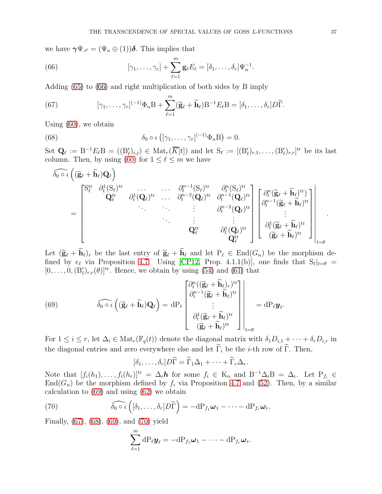we have  $\gamma \Psi_{\mathscr{S}} = (\Psi_n \oplus (1))\delta$ . This implies that

<span id="page-36-0"></span>(66) 
$$
[\gamma_1,\ldots,\gamma_r]+\sum_{\ell=1}^m\mathbf{g}_{\ell}E_{\ell}=[\delta_1,\ldots,\delta_r]\Psi_n^{-1}.
$$

Adding [\(65\)](#page-35-1) to [\(66\)](#page-36-0) and right multiplication of both sides by B imply

<span id="page-36-2"></span>(67) 
$$
[\gamma_1,\ldots,\gamma_r]^{(-1)}\Phi_n B + \sum_{\ell=1}^m (\widetilde{\mathbf{g}}_{\ell} + \widetilde{\mathbf{h}}_{\ell})B^{-1}E_{\ell}B = [\delta_1,\ldots,\delta_r]D\widetilde{\Gamma}.
$$

Using [\(60\)](#page-33-0), we obtain

(68) 
$$
\delta_0 \circ \iota ([\gamma_1, \ldots, \gamma_r]^{(-1)} \Phi_n B) = 0.
$$

Set  $\mathbf{Q}_{\ell} := \mathrm{B}^{-1}E_{\ell}\mathrm{B} = ((\mathrm{B}_{\ell}')_{i,j}) \in \mathrm{Mat}_r(\overline{K}[t])$  and let  $\mathrm{S}_{\ell} := [(\mathrm{B}_{\ell}')_{r,1}, \ldots, (\mathrm{B}_{\ell}')_{r,r}]^{\mathrm{tr}}$  be its last column. Then, by using [\(60\)](#page-33-0) for  $1 \leq \ell \leq m$  we have

<span id="page-36-3"></span>
$$
\begin{aligned}\widehat{\delta_0 \circ \iota} \left( (\widetilde{\mathbf{g}}_\ell + \widetilde{\mathbf{h}}_\ell) \mathbf{Q}_\ell \right) & = \begin{bmatrix} \mathbf{S}^{\mathrm{tr}}_\ell & \partial_t^1 (\mathbf{S}_\ell)^{\mathrm{tr}} & \partial_t^1 (\mathbf{S}_\ell)^{\mathrm{tr}} & \partial_t^2 (\mathbf{S}_\ell)^{\mathrm{tr}} \\ \mathbf{Q}_\ell^{\mathrm{tr}} & \partial_t^1 (\mathbf{Q}_\ell)^{\mathrm{tr}} & \cdots & \partial_t^{n-1} (\mathbf{Q}_\ell)^{\mathrm{tr}} & \partial_t^{n-1} (\mathbf{Q}_\ell)^{\mathrm{tr}} \\ \ddots & \ddots & \ddots & \vdots \\ \end{bmatrix} \begin{bmatrix} \partial_t^n (\widetilde{\mathbf{g}}_\ell + \widetilde{\mathbf{h}}_\ell)^{\mathrm{tr}} \\ \partial_t^{n-1} (\widetilde{\mathbf{g}}_\ell + \widetilde{\mathbf{h}}_\ell)^{\mathrm{tr}} \\ \partial_t^{n-2} (\mathbf{Q}_\ell)^{\mathrm{tr}} \\ \vdots \\ \partial_t^{n-2} (\mathbf{Q}_\ell)^{\mathrm{tr}} \\ \partial_t^{n-1} (\widetilde{\mathbf{g}}_\ell + \widetilde{\mathbf{h}}_\ell)^{\mathrm{tr}} \end{bmatrix} \begin{bmatrix} \partial_t^n (\widetilde{\mathbf{g}}_\ell + \widetilde{\mathbf{h}}_\ell)^{\mathrm{tr}} \\ \partial_t^{n-1} (\widetilde{\mathbf{g}}_\ell + \widetilde{\mathbf{h}}_\ell)^{\mathrm{tr}} \\ \vdots \\ \partial_t^{1} (\widetilde{\mathbf{g}}_\ell + \widetilde{\mathbf{h}}_\ell)^{\mathrm{tr}} \\ \vdots \\ \partial_t^{n-1} (\widetilde{\mathbf{g}}_\ell + \widetilde{\mathbf{h}}_\ell)^{\mathrm{tr}} \end{bmatrix} \end{aligned}
$$

Let  $(\widetilde{\mathbf{g}}_{\ell} + \widetilde{\mathbf{h}}_{\ell})_r$  be the last entry of  $\widetilde{\mathbf{g}}_{\ell} + \widetilde{\mathbf{h}}_{\ell}$  and let  $P_{\ell} \in \text{End}(G_n)$  be the morphism defined by  $e_{\ell}$  via Proposition [4.7.](#page-23-0) Using [\[CP12,](#page-52-10) Prop. 4.1.1(b)], one finds that  $S_{\ell}|_{t=\theta}$  =  $[0, \ldots, 0, (B'_{\ell})_{r,r}(\theta)]^{\text{tr}}$ . Hence, we obtain by using [\(54\)](#page-30-0) and [\(61\)](#page-33-1) that

<span id="page-36-1"></span>(69) 
$$
\widehat{\delta_0 \circ \iota} \left( (\widetilde{\mathbf{g}}_\ell + \widetilde{\mathbf{h}}_\ell) \mathbf{Q}_\ell \right) = dP_\ell \begin{bmatrix} \partial_t^n ((\widetilde{\mathbf{g}}_\ell + \widetilde{\mathbf{h}}_\ell)_r)^{\text{tr}} \\ \partial_t^{n-1} (\widetilde{\mathbf{g}}_\ell + \widetilde{\mathbf{h}}_\ell)^{\text{tr}} \\ \vdots \\ \partial_t^1 (\widetilde{\mathbf{g}}_\ell + \widetilde{\mathbf{h}}_\ell)^{\text{tr}} \\ (\widetilde{\mathbf{g}}_\ell + \widetilde{\mathbf{h}}_\ell)^{\text{tr}} \end{bmatrix} = dP_\ell \mathbf{y}_\ell
$$

For  $1 \leq i \leq r$ , let  $\Delta_i \in \text{Mat}_r(\mathbb{F}_q(t))$  denote the diagonal matrix with  $\delta_1 D_{i,1} + \cdots + \delta_r D_{i,r}$  in the diagonal entries and zero everywhere else and let  $\widetilde{\Gamma}_i$  be the *i*-th row of  $\widetilde{\Gamma}$ . Then,

.

$$
[\delta_1,\ldots,\delta_r]D\widetilde{\Gamma}=\widetilde{\Gamma}_1\Delta_1+\cdots+\widetilde{\Gamma}_r\Delta_r.
$$

Note that  $[f_i(h_1),...,f_i(h_r)]^{tr} = \Delta_i \mathbf{h}$  for some  $f_i \in K_n$  and  $B^{-1}\Delta_i B = \Delta_i$ . Let  $P_{f_i} \in$  $End(G_n)$  be the morphism defined by  $f_i$  via Proposition [4.7](#page-23-0) and [\(52\)](#page-29-3). Then, by a similar calculation to [\(69\)](#page-36-1) and using [\(62\)](#page-33-2) we obtain

(70) 
$$
\widehat{\delta_0 \circ \iota} \left( [\delta_1, \ldots, \delta_r] D \widetilde{\Gamma} \right) = -dP_{f_1} \boldsymbol{\omega}_1 - \cdots - dP_{f_r} \boldsymbol{\omega}_r.
$$

Finally, [\(67\)](#page-36-2), [\(68\)](#page-36-3), [\(69\)](#page-36-1), and [\(70\)](#page-36-4) yield

<span id="page-36-4"></span>
$$
\sum_{\ell=1}^m \mathrm{dP}_{\ell} \mathbf{y}_{\ell} = -\mathrm{dP}_{f_1} \boldsymbol{\omega}_1 - \cdots - \mathrm{dP}_{f_r} \boldsymbol{\omega}_r.
$$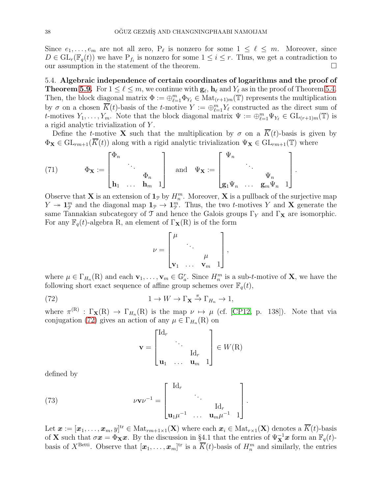Since  $e_1, \ldots, e_m$  are not all zero,  $P_\ell$  is nonzero for some  $1 \leq \ell \leq m$ . Moreover, since  $D \in GL_r(\mathbb{F}_q(t))$  we have  $P_{f_i}$  is nonzero for some  $1 \leq i \leq r$ . Thus, we get a contradiction to our assumption in the statement of the theorem.

5.4. Algebraic independence of certain coordinates of logarithms and the proof of **Theorem [5.9.](#page-40-0)** For  $1 \leq \ell \leq m$ , we continue with  $\mathbf{g}_{\ell}$ ,  $\mathbf{h}_{\ell}$  and  $Y_{\ell}$  as in the proof of Theorem [5.4.](#page-35-2) Then, the block diagonal matrix  $\Phi := \bigoplus_{\ell=1}^m \Phi_{Y_\ell} \in Mat_{(r+1)m}(\mathbb{T})$  represents the multiplication by  $\sigma$  on a chosen  $\overline{K}(t)$ -basis of the t-motive  $Y := \bigoplus_{\ell=1}^m Y_\ell$  constructed as the direct sum of t-motives  $Y_1, \ldots, Y_m$ . Note that the block diagonal matrix  $\Psi := \bigoplus_{\ell=1}^m \Psi_{Y_\ell} \in GL_{(r+1)m}(\mathbb{T})$  is a rigid analytic trivialization of Y .

Define the t-motive **X** such that the multiplication by  $\sigma$  on a  $\overline{K}(t)$ -basis is given by  $\Phi_{\mathbf{X}} \in GL_{rm+1}(\overline{K}(t))$  along with a rigid analytic trivialization  $\Psi_{\mathbf{X}} \in GL_{rm+1}(\mathbb{T})$  where

<span id="page-37-2"></span>(71) 
$$
\Phi_{\mathbf{X}} := \begin{bmatrix} \Phi_n \\ & \ddots & \\ & & \Phi_n \\ \mathbf{h}_1 & \dots & \mathbf{h}_m & 1 \end{bmatrix} \text{ and } \Psi_{\mathbf{X}} := \begin{bmatrix} \Psi_n & & \\ & \ddots & \\ & & \Psi_n \\ \mathbf{g}_1 \Psi_n & \dots & \mathbf{g}_m \Psi_n & 1 \end{bmatrix}.
$$

Observe that **X** is an extension of  $\mathbf{1}_{\mathcal{P}}$  by  $H_n^m$ . Moreover, **X** is a pullback of the surjective map  $Y \twoheadrightarrow \mathbf{1}_{\mathcal{P}}^m$  and the diagonal map  $\mathbf{1}_{\mathcal{P}} \rightarrow \mathbf{1}_{\mathcal{P}}^m$ . Thus, the two *t*-motives Y and **X** generate the same Tannakian subcategory of  $\mathcal T$  and hence the Galois groups  $\Gamma_Y$  and  $\Gamma_X$  are isomorphic. For any  $\mathbb{F}_q(t)$ -algebra R, an element of  $\Gamma_\mathbf{X}(\mathbf{R})$  is of the form

$$
\nu = \begin{bmatrix} \mu & & \\ & \ddots & \\ & & \mu \\ & & \nu_1 & \cdots & \nu_m & 1 \end{bmatrix},
$$

where  $\mu \in \Gamma_{H_n}(\mathbb{R})$  and each  $\mathbf{v}_1, \ldots, \mathbf{v}_m \in \mathbb{G}_a^r$ . Since  $H_n^m$  is a sub-*t*-motive of **X**, we have the following short exact sequence of affine group schemes over  $\mathbb{F}_q(t)$ ,

(72) 
$$
1 \to W \to \Gamma_{\mathbf{X}} \xrightarrow{\pi} \Gamma_{H_n} \to 1,
$$

where  $\pi^{(R)} : \Gamma_{\mathbf{X}}(R) \to \Gamma_{H_n}(R)$  is the map  $\nu \mapsto \mu$  (cf. [\[CP12,](#page-52-10) p. 138]). Note that via conjugation [\(72\)](#page-37-0) gives an action of any  $\mu \in \Gamma_{H_n}(\mathbb{R})$  on

<span id="page-37-1"></span><span id="page-37-0"></span>
$$
\mathbf{v} = \begin{bmatrix} \mathrm{Id}_r & & \\ & \ddots & \\ & & \mathrm{Id}_r \\ \mathbf{u}_1 & \dots & \mathbf{u}_m & 1 \end{bmatrix} \in W(\mathbf{R})
$$

defined by

(73) 
$$
\nu \mathbf{v} \nu^{-1} = \begin{bmatrix} \mathrm{Id}_r & & \\ & \ddots & \\ \mathbf{u}_1 \mu^{-1} & \cdots & \mathbf{u}_m \mu^{-1} & 1 \end{bmatrix}
$$

Let  $\boldsymbol{x} := [\boldsymbol{x}_1,\ldots,\boldsymbol{x}_m,y]^{\text{tr}} \in \text{Mat}_{rm+1 \times 1}(\mathbf{X})$  where each  $\boldsymbol{x}_i \in \text{Mat}_{rm+1}(\mathbf{X})$  denotes a  $\overline{K}(t)$ -basis of **X** such that  $\sigma x = \Phi_{\mathbf{X}} x$ . By the discussion in §4.1 that the entries of  $\Psi_{\mathbf{X}}^{-1} x$  form an  $\mathbb{F}_q(t)$ basis of  $X^{\text{Betti}}$ . Observe that  $[\boldsymbol{x}_1,\ldots,\boldsymbol{x}_m]^{\text{tr}}$  is a  $\overline{K}(t)$ -basis of  $H_n^m$  and similarly, the entries

.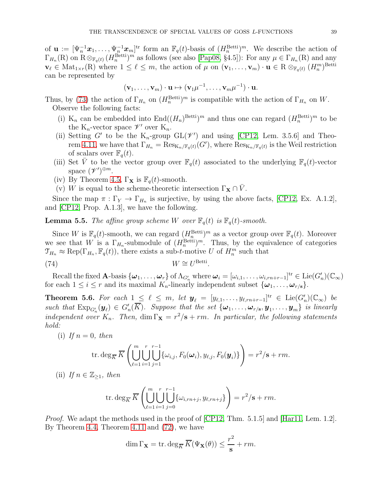of  $\mathbf{u} := [\Psi_n^{-1} \boldsymbol{x}_1, \dots, \Psi_n^{-1} \boldsymbol{x}_m]^{\text{tr}}$  form an  $\mathbb{F}_q(t)$ -basis of  $(H_n^{\text{Betti}})^m$ . We describe the action of  $\Gamma_{H_n}(\mathbf{R})$  on  $\mathbf{R} \otimes_{\mathbb{F}_q(t)} (H_n^{\text{Betti}})^m$  as follows (see also [\[Pap08,](#page-53-11) §4.5]): For any  $\mu \in \Gamma_{H_n}(\mathbf{R})$  and any  $\mathbf{v}_{\ell} \in \text{Mat}_{1 \times r}(\mathbf{R})$  where  $1 \leq \ell \leq m$ , the action of  $\mu$  on  $(\mathbf{v}_{1}, \ldots, \mathbf{v}_{m}) \cdot \mathbf{u} \in \mathbf{R} \otimes_{\mathbb{F}_{q}(t)} (H_{n}^{m})^{\text{Betti}}$ can be represented by

$$
(\mathbf{v}_1,\ldots,\mathbf{v}_m)\cdot\mathbf{u}\mapsto (\mathbf{v}_1\mu^{-1},\ldots,\mathbf{v}_m\mu^{-1})\cdot\mathbf{u}.
$$

Thus, by [\(73\)](#page-37-1) the action of  $\Gamma_{H_n}$  on  $(H_n^{\text{Betti}})^m$  is compatible with the action of  $\Gamma_{H_n}$  on W. Observe the following facts:

- (i)  $K_n$  can be embedded into  $\text{End}((H_n)^{\text{Betti}})^m$  and thus one can regard  $(H_n^{\text{Betti}})^m$  to be the K<sub>n</sub>-vector space  $\mathscr{V}'$  over K<sub>n</sub>.
- (ii) Setting G' to be the K<sub>n</sub>-group  $GL(\mathscr{V}')$  and using [\[CP12,](#page-52-10) Lem. 3.5.6] and Theo-rem [4.11,](#page-26-0) we have that  $\Gamma_{H_n} = \text{Res}_{K_n/\mathbb{F}_q(t)}(G')$ , where  $\text{Res}_{K_n/\mathbb{F}_q(t)}$  is the Weil restriction of scalars over  $\mathbb{F}_q(t)$ .
- (iii) Set V to be the vector group over  $\mathbb{F}_q(t)$  associated to the underlying  $\mathbb{F}_q(t)$ -vector space  $(\mathscr{V}')^{\oplus m}$ .
- (iv) By Theorem [4.5,](#page-23-1)  $\Gamma_{\mathbf{X}}$  is  $\mathbb{F}_q(t)$ -smooth.
- (v) W is equal to the scheme-theoretic intersection  $\Gamma_{\mathbf{X}} \cap V$ .

Since the map  $\pi : \Gamma_Y \to \Gamma_{H_n}$  is surjective, by using the above facts, [\[CP12,](#page-52-10) Ex. A.1.2], and [\[CP12,](#page-52-10) Prop. A.1.3], we have the following.

**Lemma 5.5.** The affine group scheme W over  $\mathbb{F}_q(t)$  is  $\mathbb{F}_q(t)$ -smooth.

Since W is  $\mathbb{F}_q(t)$ -smooth, we can regard  $(H_n^{\text{Betti}})^m$  as a vector group over  $\mathbb{F}_q(t)$ . Moreover we see that W is a  $\Gamma_{H_n}$ -submodule of  $(H_n^{\text{Betti}})^m$ . Thus, by the equivalence of categories  $\mathfrak{T}_{H_n} \approx \text{Rep}(\Gamma_{H_n}, \mathbb{F}_q(t)),$  there exists a sub-t-motive U of  $H_n^m$  such that

$$
(74) \t\t W \cong U^{\text{Betti}}.
$$

Recall the fixed A-basis  $\{\boldsymbol{\omega}_1,\ldots,\boldsymbol{\omega}_r\}$  of  $\Lambda_{G'_n}$  where  $\boldsymbol{\omega}_i = [\omega_{i,1},\ldots,\omega_{i,rn+r-1}]^{\mathrm{tr}} \in \mathrm{Lie}(G'_n)(\mathbb{C}_{\infty})$ for each  $1 \leq i \leq r$  and its maximal  $K_n$ -linearly independent subset  $\{\boldsymbol{\omega}_1, \ldots, \boldsymbol{\omega}_{r/s}\}.$ 

<span id="page-38-0"></span>Theorem 5.6. For each  $1 \leq \ell \leq m$ , let  $y_{\ell} = [y_{\ell,1}, \ldots, y_{\ell,rn+r-1}]^{\text{tr}} \in \text{Lie}(G'_n)(\mathbb{C}_{\infty})$  be such that  $\text{Exp}_{G'_n}(\mathbf{y}_\ell) \in G'_n(\overline{K})$ . Suppose that the set  $\{\boldsymbol{\omega}_1, \ldots, \boldsymbol{\omega}_{r/\mathbf{s}}, \mathbf{y}_1, \ldots, \mathbf{y}_m\}$  is linearly independent over  $K_n$ . Then,  $\dim \Gamma_{\mathbf{X}} = r^2/\mathbf{s} + rm$ . In particular, the following statements hold:

(i) If  $n = 0$ , then

<span id="page-38-1"></span>
$$
\operatorname{tr.deg}_{\overline{K}}\overline{K}\left(\bigcup_{\ell=1}^m\bigcup_{i=1}^r\bigcup_{j=1}^{r-r-1}\{\omega_{i,j},F_0(\boldsymbol{\omega}_i),y_{\ell,j},F_0(\boldsymbol{y}_i)\}\right)=r^2/\mathbf{s}+rm.
$$

(ii) If  $n \in \mathbb{Z}_{\geq 1}$ , then

$$
\operatorname{tr.deg}_{\overline{K}}\overline{K}\left(\bigcup_{\ell=1}^{m} \bigcup_{i=1}^{r} \bigcup_{j=0}^{r-1} \{\omega_{i,rn+j}, y_{\ell,rn+j}\}\right) = r^2/\mathbf{s} + rm.
$$

*Proof.* We adapt the methods used in the proof of  $[CP12, Thm. 5.1.5]$  and  $[Har11, Lem. 1.2]$ . By Theorem [4.4,](#page-22-1) Theorem [4.11](#page-26-0) and [\(72\)](#page-37-0), we have

$$
\dim \Gamma_{\mathbf{X}} = \text{tr.} \deg_{\overline{K}} \overline{K}(\Psi_{\mathbf{X}}(\theta)) \le \frac{r^2}{s} + rm.
$$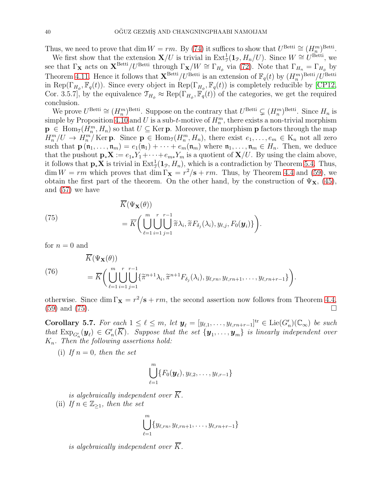Thus, we need to prove that dim  $W = rm$ . By [\(74\)](#page-38-1) it suffices to show that  $U^{\text{Betti}} \cong (H_m^m)^{\text{Betti}}$ .

We first show that the extension  $\mathbf{X}/U$  is trivial in  $\text{Ext}^1_{\mathcal{J}}(\mathbf{1}_{\mathcal{P}}, H_n/U)$ . Since  $W \cong U^{\text{Betti}}$ , we see that  $\Gamma_X$  acts on  $X^{\text{Betti}}/U^{\text{Betti}}$  through  $\Gamma_X/W \cong \Gamma_{H_{\phi}}$  via [\(72\)](#page-37-0). Note that  $\Gamma_{H_n} = \Gamma_{H_{\phi}}$  by Theorem [4.11.](#page-26-0) Hence it follows that  $\mathbf{X}^{\text{Betti}}/U^{\text{Betti}}$  is an extension of  $\mathbb{F}_q(t)$  by  $(H_n^m)^{\text{Betti}}/U^{\text{Betti}}$ in Rep( $\Gamma_{H_{\phi}}, \mathbb{F}_q(t)$ ). Since every object in Rep( $\Gamma_{H_{\phi}}, \mathbb{F}_q(t)$ ) is completely reducible by [\[CP12,](#page-52-10) Cor. 3.5.7], by the equivalence  $\mathcal{T}_{H_{\phi}} \approx \text{Rep}(\Gamma_{H_{\phi}}, \mathbb{F}_{q}(t))$  of the categories, we get the required conclusion.

We prove  $U^{\text{Betti}} \cong (H_n^m)^{\text{Betti}}$ . Suppose on the contrary that  $U^{\text{Betti}} \subsetneq (H_n^m)^{\text{Betti}}$ . Since  $H_n$  is simple by Proposition [4.10](#page-25-1) and U is a sub-t-motive of  $H_n^m$ , there exists a non-trivial morphism  $\mathbf{p} \in \text{Hom}_{\mathcal{I}}(H_n^m, H_n)$  so that  $U \subseteq \text{Ker } \mathbf{p}$ . Moreover, the morphism  $\mathbf{p}$  factors through the map  $H_n^m/U \to H_n^m/\text{Ker }p$ . Since  $p \in \text{Hom}_{\mathfrak{I}}(H_n^m, H_n)$ , there exist  $e_1, \ldots, e_m \in K_n$  not all zero such that  $\mathbf{p}(\mathfrak{n}_1,\ldots,\mathfrak{n}_m)=e_1(\mathfrak{n}_1)+\cdots+e_m(\mathfrak{n}_m)$  where  $\mathfrak{n}_1,\ldots,\mathfrak{n}_m\in H_n$ . Then, we deduce that the pushout  $\mathbf{p}_*\mathbf{X} := e_{1*}Y_1 + \cdots + e_{m*}Y_m$  is a quotient of  $\mathbf{X}/U$ . By using the claim above, it follows that  $\mathbf{p}_* \mathbf{X}$  is trivial in  $\text{Ext}^1_{\mathcal{J}}(\mathbf{1}_{\mathcal{P}}, H_n)$ , which is a contradiction by Theorem [5.4.](#page-35-2) Thus,  $\dim W = rm$  which proves that  $\dim \Gamma_{\mathbf{X}} = r^2/\mathbf{s} + rm$ . Thus, by Theorem [4.4](#page-22-1) and [\(59\)](#page-33-3), we obtain the first part of the theorem. On the other hand, by the construction of  $\Psi_{\mathbf{X}}$ , [\(45\)](#page-27-0), and [\(57\)](#page-31-0) we have

<span id="page-39-0"></span>(75)  

$$
= \overline{K} \left( \bigcup_{\ell=1}^{m} \bigcup_{i=1}^{r} \bigcup_{j=1}^{r-1} \widetilde{\pi} \lambda_i, \widetilde{\pi} F_{\delta_j}(\lambda_i), y_{\ell,j}, F_0(\boldsymbol{y}_i) \right).
$$

for  $n = 0$  and

(76)  
\n
$$
= \overline{K} \Big( \bigcup_{\ell=1}^m \bigcup_{i=1}^r \bigcup_{j=1}^{r-1} \{\widetilde{\pi}^{n+1} \lambda_i, \widetilde{\pi}^{n+1} F_{\delta_j}(\lambda_i), y_{\ell,rn}, y_{\ell,rn+1}, \dots, y_{\ell,rn+r-1} \} \Big).
$$

otherwise. Since dim  $\Gamma_X = r^2/s + rm$ , the second assertion now follows from Theorem [4.4,](#page-22-1) [\(59\)](#page-33-3) and [\(75\)](#page-39-0).

<span id="page-39-1"></span>Corollary 5.7. For each  $1 \leq \ell \leq m$ , let  $y_{\ell} = [y_{\ell,1},\ldots,y_{\ell,rn+r-1}]^{\text{tr}} \in \text{Lie}(G'_n)(\mathbb{C}_{\infty})$  be such that  $\mathrm{Exp}_{G'_n}(\bm{y}_{\ell}) \in G'_n(\overline{K})$ . Suppose that the set  $\{\bm{y}_1, \ldots, \bm{y}_m\}$  is linearly independent over  $K_n$ . Then the following assertions hold:

(i) If  $n = 0$ , then the set

$$
\bigcup_{\ell=1}^m \{F_0(\boldsymbol{y}_{\ell}), y_{\ell,2}, \ldots, y_{\ell,r-1}\}
$$

is algebraically independent over  $\overline{K}$ .

(ii) If  $n \in \mathbb{Z}_{\geq 1}$ , then the set

$$
\bigcup_{\ell=1}^m \{y_{\ell,rn}, y_{\ell,rn+1}, \ldots, y_{\ell,rn+r-1}\}
$$

is algebraically independent over  $\overline{K}$ .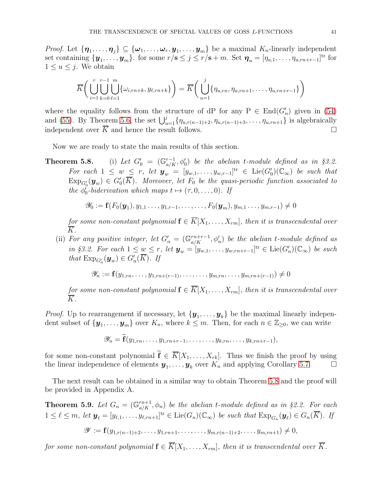*Proof.* Let  $\{\pmb{\eta}_1,\ldots,\pmb{\eta}_j\}\subseteq\{\pmb{\omega}_1,\ldots,\pmb{\omega}_r,\pmb{y}_1,\ldots,\pmb{y}_m\}$  be a maximal  $K_n$ -linearly independent set containing  $\{y_1, \ldots, y_m\}$ . for some  $r/s \leq j \leq r/s + m$ . Set  $\boldsymbol{\eta}_u = [\eta_{u,1}, \ldots, \eta_{u,rn+r-1}]^{\text{tr}}$  for  $1 \leq u \leq j$ . We obtain

$$
\overline{K}\left(\bigcup_{i=1}^r \bigcup_{k=0}^{r-1} \bigcup_{\ell=1}^m \{\omega_{i,rn+k}, y_{\ell,rn+k}\}\right) = \overline{K}\left(\bigcup_{u=1}^j \{\eta_{u,rn}, \eta_{u,rn+1}, \ldots, \eta_{u,rn+r-1}\}\right)
$$

where the equality follows from the structure of dP for any  $P \in End(G'_n)$  given in [\(54\)](#page-30-0) and [\(55\)](#page-30-1). By Theorem [5.6,](#page-38-0) the set  $\bigcup_{u=1}^{j} \{\eta_{u,r(n-1)+2}, \eta_{u,r(n-1)+3}, \ldots, \eta_{u,rn+1}\}\$ is algebraically independent over  $\overline{K}$  and hence the result follows.

Now we are ready to state the main results of this section.

Theorem 5.8.  $\mathcal{C}_0 = (\mathbb{G}_{a/K}^{r-1}, \phi_0')$  be the abelian t-module defined as in §3.2. For each  $1 \leq w \leq r$ , let  $y_w = [y_{w,1}, \ldots, y_{w,r-1}]^{\text{tr}} \in \text{Lie}(G'_0)(\mathbb{C}_{\infty})$  be such that  $\mathrm{Exp}_{G_0'}(\bm{y}_w) \in G_0'(\overline{K})$ . Moreover, let  $F_0$  be the quasi-periodic function associated to the  $\phi_0^r$ -biderivation which maps  $t \mapsto (\tau, 0, \ldots, 0)$ . If

$$
\mathscr{Y}_0 := \mathbf{f}(F_0(\mathbf{y}_1), y_{1,1}, \dots, y_{1,r-1}, \dots, \dots, F_0(\mathbf{y}_m), y_{m,1}, \dots, y_{m,r-1}) \neq 0
$$

for some non-constant polynomial  $f \in \overline{K}[X_1,\ldots,X_{rm}]$ , then it is transcendental over  $\overline{K}$ .

(ii) For any positive integer, let  $G'_n = (\mathbb{G}_{a/K}^{rn+r-1}, \phi'_n)$  be the abelian t-module defined as in §3.2. For each  $1 \leq w \leq r$ , let  $\mathbf{y}_w = [y_{w,1}, \ldots, y_{w, rn+r-1}]^{\text{tr}} \in \text{Lie}(G'_n)(\mathbb{C}_{\infty})$  be such that  $\text{Exp}_{G'_n}(\mathbf{y}_w) \in G'_n(\overline{K})$ . If

$$
\mathscr{Y}_n := \mathbf{f}(y_{1,rn}, \dots, y_{1,rn+(r-1)}, \dots, \dots, y_{m,rn}, \dots, y_{m,rn+(r-1)}) \neq 0
$$

for some non-constant polynomial  $f \in \overline{K}[X_1,\ldots,X_{rm}]$ , then it is transcendental over  $\overline{K}$ .

*Proof.* Up to rearrangement if necessary, let  $\{y_1, \ldots, y_k\}$  be the maximal linearly independent subset of  $\{y_1, \ldots, y_m\}$  over  $K_n$ , where  $k \leq m$ . Then, for each  $n \in \mathbb{Z}_{\geq 0}$ , we can write

$$
\mathscr{Y}_n = \widetilde{\mathbf{f}}(y_{1,rn},\ldots,y_{1,rn+r-1},\ldots,\ldots,y_{k,rn},\ldots,y_{k,rn+r-1}),
$$

for some non-constant polynomial  $\tilde{\mathbf{f}} \in \overline{K}[X_1, \ldots, X_{rk}]$ . Thus we finish the proof by using the linear independence of elements  $\mathbf{u}_1, \ldots, \mathbf{u}_k$  over  $K_n$  and applying Corollary 5.7. the linear independence of elements  $y_1, \ldots, y_k$  over  $K_n$  and applying Corollary [5.7.](#page-39-1)

The next result can be obtained in a similar way to obtain Theorem 5.8 and the proof will be provided in Appendix A.

<span id="page-40-0"></span>**Theorem 5.9.** Let  $G_n = (\mathbb{G}_{a/K}^{rn+1}, \phi_n)$  be the abelian t-module defined as in §2.2. For each  $1 \leq \ell \leq m$ , let  $\mathbf{y}_{\ell} = [y_{\ell,1}, \ldots, y_{\ell,m+1}]^{\text{tr}} \in \text{Lie}(G_n)(\mathbb{C}_{\infty})$  be such that  $\text{Exp}_{G_n}(\mathbf{y}_{\ell}) \in G_n(\overline{K})$ . If

$$
\mathscr{Y} := \mathbf{f}(y_{1,r(n-1)+2},\ldots,y_{1,rn+1},\ldots,\ldots,y_{m,r(n-1)+2},\ldots,y_{m,rn+1}) \neq 0,
$$

for some non-constant polynomial  $f \in \overline{K}[X_1,\ldots,X_{rm}]$ , then it is transcendental over  $\overline{K}$ .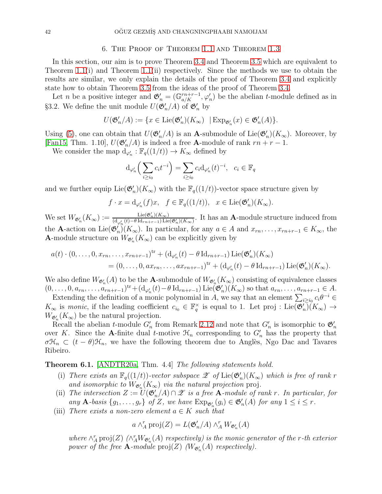### 6. The Proof of Theorem [1.1](#page-2-0) and Theorem [1.3](#page-3-0)

In this section, our aim is to prove Theorem [3.4](#page-20-3) and Theorem [3.5](#page-20-4) which are equivalent to Theorem [1.1\(](#page-2-0)i) and Theorem [1.1\(](#page-2-0)ii) respectively. Since the methods we use to obtain the results are similar, we only explain the details of the proof of Theorem [3.4](#page-20-3) and explicitly state how to obtain Theorem [3.5](#page-20-4) from the ideas of the proof of Theorem [3.4.](#page-20-3)

Let *n* be a positive integer and  $\mathfrak{G}'_n = (\mathbb{G}_{a/K}^{rn+r-1}, \varphi'_n)$  be the abelian *t*-module defined as in §3.2. We define the unit module  $U(\mathfrak{G}'_n/A)$  of  $\mathfrak{G}'_n$  by

$$
U(\mathfrak{G}'_n/A) := \{ x \in \text{Lie}(\mathfrak{G}'_n)(K_\infty) \mid \text{Exp}_{\mathfrak{G}'_n}(x) \in \mathfrak{G}'_n(A) \}.
$$

Using [\(5\)](#page-6-3), one can obtain that  $U(\mathfrak{G}'_n/A)$  is an **A**-submodule of Lie $(\mathfrak{G}'_n)(K_{\infty})$ . Moreover, by [\[Fan15,](#page-53-10) Thm. 1.10],  $U(\mathfrak{G}'_n/A)$  is indeed a free **A**-module of rank  $rn + r - 1$ .

We consider the map  $d_{\varphi'_n} : \mathbb{F}_q((1/t)) \to K_\infty$  defined by

$$
\mathrm{d}_{\varphi'_n} \Big( \sum_{i \ge i_0} c_i t^{-i} \Big) = \sum_{i \ge i_0} c_i \mathrm{d}_{\varphi'_n} (t)^{-i}, \quad c_i \in \mathbb{F}_q
$$

and we further equip  $\text{Lie}(\mathfrak{G}'_n)(K_\infty)$  with the  $\mathbb{F}_q((1/t))$ -vector space structure given by

$$
f \cdot x = d_{\varphi'_n}(f)x, \quad f \in \mathbb{F}_q((1/t)), \quad x \in \text{Lie}(\mathfrak{G}'_n)(K_\infty).
$$

We set  $W_{\mathfrak{G}'_n}(K_{\infty}) := \frac{\mathrm{Lie}(\mathfrak{G}'_n)(K_{\infty})}{(\mathrm{d}_{\infty}t(t) - \theta \mathrm{Id}_{rn+r-1}) \mathrm{Lie}}$  $\frac{\text{Lie}(\mathfrak{G}_n)(\mathfrak{K}_{\infty})}{(\text{d}_{\varphi'_n}(t)-\theta \,\text{Id}_{rn+r-1}) \,\text{Lie}(\mathfrak{G}'_n)(\mathfrak{K}_{\infty})}$ . It has an **A**-module structure induced from the **A**-action on Lie( $\mathfrak{G}'_n$ )( $K_\infty$ ). In particular, for any  $a \in A$  and  $x_{rn}, \ldots, x_{rn+r-1} \in K_\infty$ , the **A**-module structure on  $W_{\mathfrak{G}'_n}(K_\infty)$  can be explicitly given by

$$
a(t) \cdot (0, ..., 0, x_{rn}, ..., x_{rn+r-1})^{tr} + (d_{\varphi'_n}(t) - \theta \operatorname{Id}_{rn+r-1}) \operatorname{Lie}(\mathfrak{G}'_n)(K_{\infty})
$$
  
= (0, ..., 0, ax\_{rn}, ..., ax\_{rn+r-1})^{tr} + (d\_{\varphi'\_n}(t) - \theta \operatorname{Id}\_{rn+r-1}) \operatorname{Lie}(\mathfrak{G}'\_n)(K\_{\infty}).

We also define  $W_{\mathfrak{G}'_n}(A)$  to be the **A**-submodule of  $W_{\mathfrak{G}'_n}(K_\infty)$  consisting of equivalence classes  $(0,\ldots,0,a_{rn},\ldots,a_{rn+r-1})^{tr}+(\mathrm{d}_{\varphi'_n}(t)-\theta\,\mathrm{Id}_{rn+r-1})\,\mathrm{Lie}(\mathfrak{G}'_n)(K_{\infty})$  so that  $a_{rn},\ldots,a_{rn+r-1}\in A$ .

Extending the definition of a monic polynomial in A, we say that an element  $\sum_{i\geq i_0} c_i \theta^{-i} \in$  $K_{\infty}$  is monic, if the leading coefficient  $c_{i_0} \in \mathbb{F}_q^{\times}$  is equal to 1. Let proj: Lie $(\mathfrak{G}'_n)(K_{\infty}) \to$  $W_{\mathfrak{G}'_n}(K_{\infty})$  be the natural projection.

Recall the abelian t-module  $G'_n$  from Remark [2.12](#page-14-0) and note that  $G'_n$  is isomorphic to  $\mathfrak{G}'_n$ over K. Since the A-finite dual t-motive  $\mathcal{H}_n$  corresponding to  $G'_n$  has the property that  $\sigma\mathfrak{H}_n \subset (t-\theta)\mathfrak{H}_n$ , we have the following theorem due to Anglès, Ngo Dac and Tavares Ribeiro.

### <span id="page-41-0"></span>Theorem 6.1. [\[ANDTR20a,](#page-52-11) Thm. 4.4] The following statements hold.

- (i) There exists an  $\mathbb{F}_q((1/t))$ -vector subspace  $\mathscr{Z}$  of  $\mathrm{Lie}(\mathfrak{G}'_n)(K_{\infty})$  which is free of rank r and isomorphic to  $W_{\mathfrak{G}'_n}(K_\infty)$  via the natural projection proj.
- (ii) The intersection  $Z := U(\mathfrak{G}'_n/A) \cap \mathscr{Z}$  is a free **A**-module of rank r. In particular, for any **A**-basis  $\{g_1, \ldots, g_r\}$  of Z, we have  $Exp_{\mathfrak{G}'_n}(g_i) \in \mathfrak{G}'_n(A)$  for any  $1 \leq i \leq r$ .
- (iii) There exists a non-zero element  $a \in K$  such that

$$
a \wedge_A^r \text{proj}(Z) = L(\mathfrak{G}'_n/A) \wedge_A^r W_{\mathfrak{G}'_n}(A)
$$

where  $\wedge_A^r$  proj(Z)  $(\wedge_A^r W_{\mathfrak{S}'_n}(A)$  respectively) is the monic generator of the r-th exterior power of the free **A**-module  $proj(Z)$  ( $W_{\mathfrak{G}'_n}(A)$  respectively).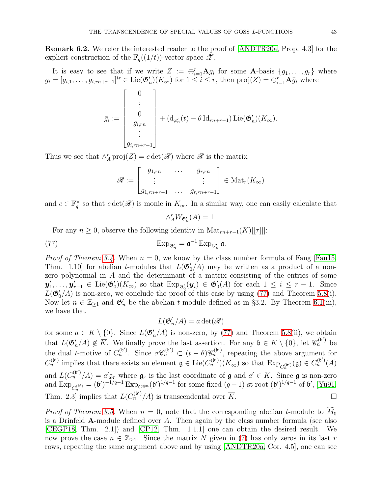Remark 6.2. We refer the interested reader to the proof of [\[ANDTR20a,](#page-52-11) Prop. 4.3] for the explicit construction of the  $\mathbb{F}_q((1/t))$ -vector space  $\mathscr{Z}$ .

It is easy to see that if we write  $Z := \bigoplus_{i=1}^r \mathbf{A} g_i$  for some  $\mathbf{A}$ -basis  $\{g_1, \ldots, g_r\}$  where  $g_i = [g_{i,1}, \ldots, g_{i,m+r-1}]^{\text{tr}} \in \text{Lie}(\mathfrak{G}'_n)(K_\infty)$  for  $1 \leq i \leq r$ , then  $\text{proj}(Z) = \bigoplus_{i=1}^r \mathbf{A} \bar{g}_i$  where

$$
\bar{g}_i := \begin{bmatrix} 0 \\ \vdots \\ 0 \\ g_{i,rn} \\ \vdots \\ g_{i,rn+r-1} \end{bmatrix} + (\mathrm{d}_{\varphi_n'}(t) - \theta \, \mathrm{Id}_{rn+r-1}) \, \mathrm{Lie}(\mathfrak{G}_n')(K_\infty).
$$

Thus we see that  $\wedge_A^r \text{proj}(Z) = c \det(\mathscr{R})$  where  $\mathscr R$  is the matrix

$$
\mathscr{R} := \begin{bmatrix} g_{1, rn} & \cdots & g_{r, rn} \\ \vdots & & \vdots \\ g_{1, rn+r-1} & \cdots & g_{r, rn+r-1} \end{bmatrix} \in \text{Mat}_r(K_\infty)
$$

and  $c \in \mathbb{F}_q^{\times}$  so that  $c \det(\mathscr{R})$  is monic in  $K_{\infty}$ . In a similar way, one can easily calculate that

<span id="page-42-0"></span>
$$
\wedge_A^r W_{\mathfrak{G}'_n}(A) = 1.
$$

For any  $n \geq 0$ , observe the following identity in  $\text{Mat}_{rn+r-1}(K)[[\tau]]$ :

$$
\operatorname{Exp}_{\mathfrak{G}'_n} = \mathfrak{a}^{-1} \operatorname{Exp}_{G'_n} \mathfrak{a}.
$$

*Proof of Theorem [3.4.](#page-20-3)* When  $n = 0$ , we know by the class number formula of Fang [\[Fan15,](#page-53-10) Thm. 1.10] for abelian t-modules that  $L(\mathfrak{G}'_0/A)$  may be written as a product of a nonzero polynomial in A and the determinant of a matrix consisting of the entries of some  $\mathbf{y}'_1,\ldots,\mathbf{y}'_{r-1}\in \mathrm{Lie}(\mathfrak{G}'_0)(K_\infty)$  so that  $\mathrm{Exp}_{\mathfrak{G}'_0}(\mathbf{y}_i)\in \mathfrak{G}'_0(A)$  for each  $1\leq i\leq r-1$ . Since  $L(\mathfrak{G}'_0/A)$  is non-zero, we conclude the proof of this case by using [\(77\)](#page-42-0) and Theorem 5.8(i). Now let  $n \in \mathbb{Z}_{\geq 1}$  and  $\mathfrak{G}'_n$  be the abelian t-module defined as in §3.2. By Theorem [6.1\(](#page-41-0)iii), we have that

$$
L(\mathfrak{G}'_n/A) = a \det(\mathscr{R})
$$

for some  $a \in K \setminus \{0\}$ . Since  $L(\mathfrak{G}'_n/A)$  is non-zero, by [\(77\)](#page-42-0) and Theorem 5.8(ii), we obtain that  $L(\mathfrak{G}'_n/A) \notin \overline{K}$ . We finally prove the last assertion. For any  $\mathfrak{b} \in K \setminus \{0\}$ , let  $\mathscr{C}_n^{(\mathfrak{b}')}$  be the dual t-motive of  $C_n^{(b')}$ . Since  $\sigma \mathscr{C}_n^{(b')} \subset (t-\theta) \mathscr{C}_n^{(b')}$ , repeating the above argument for  $C_n^{(\mathfrak{b}')}$  implies that there exists an element  $\mathfrak{g} \in \mathrm{Lie}(C_n^{(\mathfrak{b}')})(K_\infty)$  so that  $\mathrm{Exp}_{C_n^{(\mathfrak{b}')}}(\mathfrak{g}) \in C_n^{(\mathfrak{b}')}(A)$ n and  $L(C_n^{(b')}/A) = a' \mathfrak{g}_r$ , where  $\mathfrak{g}_r$  is the last coordinate of  $\mathfrak{g}$  and  $a' \in K$ . Since  $\mathfrak{g}$  is non-zero and  $\text{Exp}_{C_n^{(\mathfrak{b}')} } = (\mathfrak{b}')^{-1/q-1} \text{Exp}_{C^{\otimes n}}(\mathfrak{b}')^{1/q-1}$  for some fixed  $(q-1)$ -st root  $(\mathfrak{b}')^{1/q-1}$  of  $\mathfrak{b}'$ , [\[Yu91,](#page-54-1) Thm. 2.3] implies that  $L(C_n^{(b')}/A)$  is transcendental over  $\overline{K}$ .

*Proof of Theorem [3.5.](#page-20-4)* When  $n = 0$ , note that the corresponding abelian t-module to  $M_0$ is a Drinfeld A-module defined over  $A$ . Then again by the class number formula (see also [\[CEGP18,](#page-52-8) Thm. 2.1]) and [\[CP12,](#page-52-10) Thm. 1.1.1] one can obtain the desired result. We now prove the case  $n \in \mathbb{Z}_{\geq 1}$ . Since the matrix N given in [\(7\)](#page-6-1) has only zeros in its last r rows, repeating the same argument above and by using [\[ANDTR20a,](#page-52-11) Cor. 4.5], one can see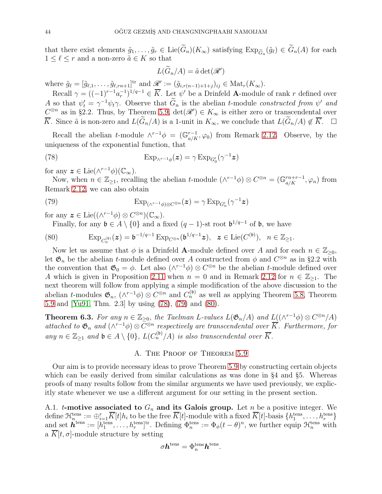that there exist elements  $\tilde{g}_1, \ldots, \tilde{g}_r \in \text{Lie}(G_n)(K_\infty)$  satisfying  $\text{Exp}_{\tilde{G}_n}(\tilde{g}_\ell) \in G_n(A)$  for each  $1 \leq \ell \leq r$  and a non-zero  $\tilde{a} \in K$  so that

<span id="page-43-1"></span>
$$
L(\widetilde{G}_n/A) = \widetilde{a} \det(\mathscr{R}')
$$

where  $\tilde{g}_{\ell} = [\tilde{g}_{\ell,1}, \ldots, \tilde{g}_{\ell,rn+1}]^{\text{tr}}$  and  $\mathscr{R}' := (\tilde{g}_{i,r(n-1)+1+j})_{ij} \in \text{Mat}_r(K_\infty)$ .

Recall  $\gamma = ((-1)^{r-1}a_r^{-1})^{1/q-1} \in \overline{K}$ . Let  $\psi'$  be a Drinfeld **A**-module of rank r defined over A so that  $\psi'_t = \gamma^{-1} \psi_t \gamma$ . Observe that  $G_n$  is the abelian t-module constructed from  $\psi'$  and  $C^{\otimes n}$  as in §2.2. Thus, by Theorem [5.9,](#page-40-0)  $\det(\mathscr{R}') \in K_{\infty}$  is either zero or transcendental over  $\overline{K}$ . Since  $\tilde{a}$  is non-zero and  $L(\widetilde{G}_n/A)$  is a 1-unit in  $K_{\infty}$ , we conclude that  $L(\widetilde{G}_n/A) \notin \overline{K}$ . □

Recall the abelian t-module  $\wedge^{r-1}\phi = (\mathbb{G}_{a/K}^{r-1}, \varphi_0)$  from Remark [2.12.](#page-14-0) Observe, by the uniqueness of the exponential function, that

(78) 
$$
Exp_{\wedge^{r-1}\phi}(z) = \gamma Exp_{G'_0}(\gamma^{-1}z)
$$

for any  $\boldsymbol{z} \in \text{Lie}(\wedge^{r-1} \phi)(\mathbb{C}_{\infty}).$ 

Now, when  $n \in \mathbb{Z}_{\geq 1}$ , recalling the abelian t-module  $(\wedge^{r-1}\phi) \otimes C^{\otimes n} = (\mathbb{G}_{a/K}^{rn+r-1}, \varphi_n)$  from Remark [2.12,](#page-14-0) we can also obtain

(79) 
$$
\operatorname{Exp}_{(\wedge^{r-1}\phi)\otimes C^{\otimes n}}(\boldsymbol{z}) = \gamma \operatorname{Exp}_{G'_n}(\gamma^{-1}\boldsymbol{z})
$$

for any  $\boldsymbol{z} \in \text{Lie}((\wedge^{r-1} \phi) \otimes C^{\otimes n})(\mathbb{C}_{\infty}).$ 

<span id="page-43-3"></span><span id="page-43-2"></span>Finally, for any  $\mathfrak{b} \in A \setminus \{0\}$  and a fixed  $(q-1)$ -st root  $\mathfrak{b}^{1/q-1}$  of  $\mathfrak{b}$ , we have

(80) 
$$
\mathrm{Exp}_{C_n^{(\mathfrak{b})}}(\mathbf{z}) = \mathfrak{b}^{-1/q-1} \mathrm{Exp}_{C^{\otimes n}}(\mathfrak{b}^{1/q-1}\mathbf{z}), \ \ \mathbf{z} \in \mathrm{Lie}(C^{(\mathfrak{b})}), \ \ n \in \mathbb{Z}_{\geq 1}.
$$

Now let us assume that  $\phi$  is a Drinfeld **A**-module defined over A and for each  $n \in \mathbb{Z}_{\geq 0}$ , let  $\mathfrak{G}_n$  be the abelian t-module defined over A constructed from  $\phi$  and  $C^{\otimes n}$  as in §2.2 with the convention that  $\mathfrak{G}_0 = \phi$ . Let also  $(\wedge^{r-1} \phi) \otimes C^{\otimes n}$  be the abelian *t*-module defined over A which is given in Proposition [2.11](#page-12-0) when  $n = 0$  and in Remark [2.12](#page-14-0) for  $n \in \mathbb{Z}_{\geq 1}$ . The next theorem will follow from applying a simple modification of the above discussion to the abelian *t*-modules  $\mathfrak{G}_n$ ,  $(\wedge^{r-1}\phi) \otimes C^{\otimes n}$  and  $C_n^{(\mathfrak{b})}$  as well as applying Theorem 5.8, Theorem [5.9](#page-40-0) and [\[Yu91,](#page-54-1) Thm. 2.3] by using [\(78\)](#page-43-1), [\(79\)](#page-43-2) and [\(80\)](#page-43-3).

<span id="page-43-0"></span>**Theorem 6.3.** For any  $n \in \mathbb{Z}_{\geq 0}$ , the Taelman L-values  $L(\mathfrak{G}_n/A)$  and  $L((\wedge^{r-1}\phi) \otimes C^{\otimes n}/A)$ attached to  $\mathfrak{G}_n$  and  $(\wedge^{r-1}\phi) \otimes C^{\otimes n}$  respectively are transcendental over  $\overline{K}$ . Furthermore, for any  $n \in \mathbb{Z}_{\geq 1}$  and  $\mathfrak{b} \in A \setminus \{0\}$ ,  $L(C_n^{(\mathfrak{b})}/A)$  is also transcendental over  $\overline{K}$ .

### A. THE PROOF OF THEOREM  $5.9$

Our aim is to provide necessary ideas to prove Theorem [5.9](#page-40-0) by constructing certain objects which can be easily derived from similar calculations as was done in §4 and §5. Whereas proofs of many results follow from the similar arguments we have used previously, we explicitly state whenever we use a different argument for our setting in the present section.

A.1. *t*-motive associated to  $G_n$  and its Galois group. Let n be a positive integer. We  $\text{define } \mathcal{H}^{\text{tens}}_{n} := \oplus_{i=1}^{r} \overline{K}[t] h_{i} \text{ to be the free } \overline{K}[t] \text{-module with a fixed } \overline{K}[t] \text{-basis } \{h^{\text{tens}}_{1}, \ldots, h^{\text{tens}}_{r}\}$ and set  $\mathbf{h}^{\text{tens}} := [h_1^{\text{tens}}, \dots, h_r^{\text{tens}}]^{\text{tr}}$ . Defining  $\Phi_n^{\text{tens}} := \Phi_\phi(t-\theta)^n$ , we further equip  $\mathcal{H}_n^{\text{tens}}$  with a  $\overline{K}[t, \sigma]$ -module structure by setting

$$
\sigma \boldsymbol{h}^{\text{tens}} = \Phi_n^{\text{tens}} \boldsymbol{h}^{\text{tens}}.
$$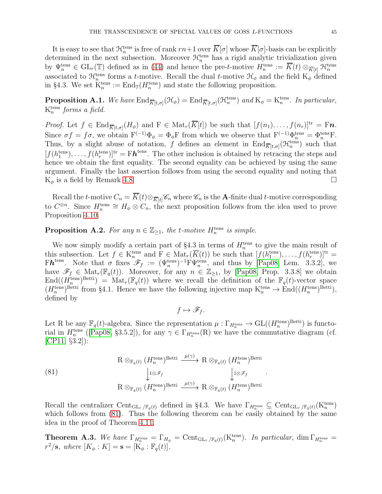It is easy to see that  $\mathcal{H}_n^{\text{tens}}$  is free of rank  $rn+1$  over  $\overline{K}[\sigma]$  whose  $\overline{K}[\sigma]$ -basis can be explicitly determined in the next subsection. Moreover  $\mathcal{H}_n^{\text{tens}}$  has a rigid analytic trivialization given by  $\Psi_n^{\text{tens}} \in \text{GL}_r(\mathbb{T})$  defined as in [\(44\)](#page-27-2) and hence the pre-t-motive  $H_n^{\text{tens}} := \overline{K}(t) \otimes_{\overline{K}[t]} \mathfrak{H}_n^{\text{tens}}$ <br>associated to  $\mathfrak{H}_n^{\text{tens}}$  forms a t-motive. Recall the dual t-motive  $\mathfrak{H}_{\phi}$  and the fi in §4.3. We set  $K_n^{\text{tens}} := \text{End}_{\mathcal{I}}(H_n^{\text{tens}})$  and state the following proposition.

<span id="page-44-2"></span>**Proposition A.1.** We have  $\text{End}_{\overline{K}[t,\sigma]}(\mathcal{H}_{\phi}) = \text{End}_{\overline{K}[t,\sigma]}(\mathcal{H}_{n}^{\text{tens}})$  and  $K_{\phi} = K_{n}^{\text{tens}}$ . In particular,  $K_n^{\text{tens}}$  forms a field.

*Proof.* Let  $f \in \text{End}_{\overline{K}[t,\sigma]}(H_{\phi})$  and  $F \in \text{Mat}_r(\overline{K}[t])$  be such that  $[f(n_1),\ldots,f(n_r)]^{\text{tr}} = Fn$ . Since  $\sigma f = f\sigma$ , we obtain  $F^{(-1)}\Phi_{\phi} = \Phi_{\phi}F$  from which we observe that  $F^{(-1)}\Phi_n^{\text{tens}} = \Phi_n^{\text{tens}}F$ . Thus, by a slight abuse of notation, f defines an element in  $\text{End}_{\overline{K}[t,\sigma]}(\mathcal{H}_n^{\text{tens}})$  such that  $[f(h_1^{\text{tens}}), \ldots, f(h_r^{\text{tens}})]^{\text{tr}} = F\mathbf{h}^{\text{tens}}$ . The other inclusion is obtained by retracing the steps and hence we obtain the first equality. The second equality can be achieved by using the same argument. Finally the last assertion follows from using the second equality and noting that  $K_{\phi}$  is a field by Remark 4.8.

Recall the t-motive  $C_n = \overline{K}(t) \otimes_{\overline{K}[t]} C_n$  where  $C_n$  is the A-finite dual t-motive corresponding to  $C^{\otimes n}$ . Since  $H_n^{\text{tens}} \cong H_\phi \otimes C_n$ , the next proposition follows from the idea used to prove Proposition [4.10.](#page-25-1)

# <span id="page-44-0"></span>**Proposition A.2.** For any  $n \in \mathbb{Z}_{\geq 1}$ , the t-motive  $H_n^{\text{tens}}$  is simple.

We now simply modify a certain part of  $\S4.3$  in terms of  $H_n^{\text{tens}}$  to give the main result of this subsection. Let  $f \in K_n^{\text{tens}}$  and  $F \in \text{Mat}_r(\overline{K}(t))$  be such that  $[f(h_1^{\text{tens}}), \ldots, f(h_r^{\text{tens}})]^{\text{tr}} =$ Fh<sup>tens</sup>. Note that  $\sigma$  fixes  $\mathscr{F}_f := (\Psi_n^{\text{tens}})^{-1} F \Psi_n^{\text{tens}}$ , and thus by [\[Pap08,](#page-53-11) Lem. 3.3.2], we have  $\mathscr{F}_f \in \text{Mat}_r(\mathbb{F}_q(t))$ . Moreover, for any  $n \in \mathbb{Z}_{\geq 1}$ , by [\[Pap08,](#page-53-11) Prop. 3.3.8] we obtain  $\text{End}((H_n^{\text{tens}})^{\text{Betti}}) = \text{Mat}_r(\mathbb{F}_q(t))$  where we recall the definition of the  $\mathbb{F}_q(t)$ -vector space  $(H_n^{\text{tens}})^{\text{Betti}}$  from §4.1. Hence we have the following injective map  $K_n^{\text{tens}} \to \text{End}((H_n^{\text{tens}})^{\text{Betti}})$ , defined by

 $f \mapsto \mathscr{F}_f$ .

Let R be any  $\mathbb{F}_q(t)$ -algebra. Since the representation  $\mu : \Gamma_{H_n^{\text{tens}}} \to \text{GL}((H_n^{\text{tens}})^{\text{Betti}})$  is functorial in  $H_n^{\text{tens}}$  ([\[Pap08,](#page-53-11) §3.5.2]), for any  $\gamma \in \Gamma_{H_n^{\text{tens}}}(\mathbb{R})$  we have the commutative diagram (cf. [\[CP11,](#page-52-17) §3.2]):

.

<span id="page-44-1"></span>(81)  
\n
$$
R \otimes_{\mathbb{F}_q(t)} (H_n^{\text{tens}})^{\text{Betti}} \xrightarrow{\mu(\gamma)} R \otimes_{\mathbb{F}_q(t)} (H_n^{\text{tens}})^{\text{Betti}}
$$
\n
$$
\downarrow 1 \otimes \mathcal{F}_f \qquad \qquad \downarrow 1 \otimes \mathcal{F}_f
$$
\n
$$
R \otimes_{\mathbb{F}_q(t)} (H_n^{\text{tens}})^{\text{Betti}} \xrightarrow{\mu(\gamma)} R \otimes_{\mathbb{F}_q(t)} (H_n^{\text{tens}})^{\text{Betti}}
$$

Recall the centralizer  $Cent_{\mathrm{GL}_r/\mathbb{F}_q(t)}$  defined in §4.3. We have  $\Gamma_{H_n^{\text{tens}}} \subseteq Cent_{\mathrm{GL}_r/\mathbb{F}_q(t)}(K_n^{\text{tens}})$ which follows from  $(81)$ . Thus the following theorem can be easily obtained by the same idea in the proof of Theorem [4.11.](#page-26-0)

<span id="page-44-3"></span>**Theorem A.3.** We have  $\Gamma_{H_n^{\text{tens}}} = \Gamma_{H_\phi} = \text{Cent}_{\text{GL}_r/\mathbb{F}_q(t)}(K_n^{\text{tens}})$ . In particular,  $\dim \Gamma_{H_n^{\text{tens}}} =$  $r^2/\mathbf{s}$ , where  $[K_{\phi}: K] = \mathbf{s} = [K_{\phi} : \mathbb{F}_q(t)].$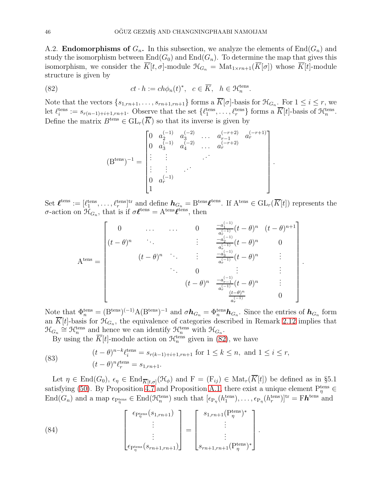A.2. **Endomorphisms of**  $G_n$ . In this subsection, we analyze the elements of  $End(G_n)$  and study the isomorphism between  $End(G_0)$  and  $End(G_n)$ . To determine the map that gives this isomorphism, we consider the  $\overline{K}[t, \sigma]$ -module  $\mathcal{H}_{G_n} = \text{Mat}_{1 \times rn+1}(\overline{K}[\sigma])$  whose  $\overline{K}[t]$ -module structure is given by

(82) 
$$
ct \cdot h := ch\phi_n(t)^*, \quad c \in \overline{K}, \quad h \in \mathcal{H}_n^{\text{tens}}.
$$

Note that the vectors  $\{s_{1,m+1},\ldots,s_{rn+1,m+1}\}$  forms a  $\overline{K}[\sigma]$ -basis for  $\mathfrak{H}_{G_n}$ . For  $1 \leq i \leq r$ , we let  $\ell_i^{\text{tens}} := s_{r(n-1)+i+1, rn+1}$ . Observe that the set  $\{\ell_1^{\text{tens}}, \ldots, \ell_r^{\text{tens}}\}$  forms a  $\overline{K}[t]$ -basis of  $\mathcal{H}_n^{\text{tens}}$ . Define the matrix  $B^{\text{tens}} \in GL_r(\overline{K})$  so that its inverse is given by

<span id="page-45-0"></span>
$$
(\mathbf{B}^{\text{tens}})^{-1} = \begin{bmatrix} 0 & a_2^{(-1)} & a_3^{(-2)} & \dots & a_{r-1}^{(-r+2)} & a_r^{(-r+1)} \\ 0 & a_3^{(-1)} & a_4^{(-2)} & \dots & a_r^{(-r+2)} \\ \vdots & \vdots & & \ddots & \vdots \\ 0 & a_r^{(-1)} & & & & \\ 1 & & & & & \end{bmatrix}.
$$

Set  $\mathcal{L}^{\text{tens}} := [\ell_1^{\text{tens}}, \dots, \ell_r^{\text{tens}}]^{\text{tr}}$  and define  $\mathbf{h}_{G_n} = \text{B}^{\text{tens}} \mathcal{L}^{\text{tens}}$ . If  $\text{A}^{\text{tens}} \in \text{GL}_r(\overline{K}[t])$  represents the  $\sigma$ -action on  $\mathcal{H}_{G_n}$ , that is if  $\sigma \ell^{\text{tens}} = A^{\text{tens}} \ell^{\text{tens}}$ , then

$$
\mathbf{A}^{\text{tens}} = \begin{bmatrix} 0 & \cdots & \cdots & 0 & \frac{-a_1^{(-1)}}{a_1^{(-1)}}(t-\theta)^n & (t-\theta)^{n+1} \\ (t-\theta)^n & \ddots & \vdots & \frac{-a_2^{(-1)}}{a_1^{(-1)}}(t-\theta)^n & 0 \\ & (t-\theta)^n & \ddots & \vdots & \frac{-a_3^{(-1)}}{a_r^{(-1)}}(t-\theta)^n & \vdots \\ & & \ddots & 0 & \vdots & \vdots \\ & & & (t-\theta)^n & \frac{-a_{r-1}^{(-1)}}{a_r^{(-1)}}(t-\theta)^n & \vdots \\ & & & & \frac{(t-\theta)^n}{a_r^{(-1)}} & 0 \end{bmatrix}
$$

.

Note that  $\Phi_n^{\text{tens}} = (\mathbf{B}^{\text{tens}})^{(-1)} \mathbf{A} (\mathbf{B}^{\text{tens}})^{-1}$  and  $\sigma \mathbf{h}_{G_n} = \Phi_n^{\text{tens}} \mathbf{h}_{G_n}$ . Since the entries of  $\mathbf{h}_{G_n}$  form an  $\overline{K}[t]$ -basis for  $\mathcal{H}_{G_n}$ , the equivalence of categories described in Remark [2.12](#page-14-0) implies that  $\mathfrak{H}_{G_n} \cong \mathfrak{H}_n^{\text{tens}}$  and hence we can identify  $\mathfrak{H}_n^{\text{tens}}$  with  $\mathfrak{H}_{G_n}$ .

By using the  $\overline{K}[t]$ -module action on  $\mathcal{H}_n^{\text{tens}}$  given in [\(82\)](#page-45-0), we have

<span id="page-45-1"></span>(83) 
$$
(t - \theta)^{n-k} \ell_i^{\text{tens}} = s_{r(k-1)+i+1, rn+1} \text{ for } 1 \le k \le n, \text{ and } 1 \le i \le r,
$$

$$
(t - \theta)^n \ell_r^{\text{tens}} = s_{1, rn+1}.
$$

Let  $\eta \in \text{End}(G_0)$ ,  $\epsilon_{\eta} \in \text{End}_{\overline{K}[t,\sigma]}(\mathcal{H}_{\phi})$  and  $F = (F_{ij}) \in \text{Mat}_r(\overline{K}[t])$  be defined as in §5.1 satisfying [\(50\)](#page-29-4). By Proposition [4.7](#page-23-0) and Proposition [A.1,](#page-44-2) there exist a unique element  $P_{\eta}^{\text{tens}}$  $\text{End}(G_n)$  and a map  $\epsilon_{\text{Pf}}_{\eta}$  =  $\text{End}(\mathcal{H}_n^{\text{tens}})$  such that  $[\epsilon_{\text{P}_\eta}(h_1^{\text{tens}}), \dots, \epsilon_{\text{P}_\eta}(h_r^{\text{tens}})]^{\text{tr}} = \text{F}\boldsymbol{h}^{\text{tens}}$  and

.

<span id="page-45-2"></span>(84) 
$$
\begin{bmatrix} \epsilon_{P_{\eta}^{\text{tens}}}(s_{1,rn+1}) \\ \vdots \\ \epsilon_{P_{\eta}^{\text{tens}}}(s_{rn+1,rn+1}) \end{bmatrix} = \begin{bmatrix} s_{1,rn+1}(P_{\eta}^{\text{tens}})^* \\ \vdots \\ s_{rn+1,rn+1}(P_{\eta}^{\text{tens}})^* \end{bmatrix}
$$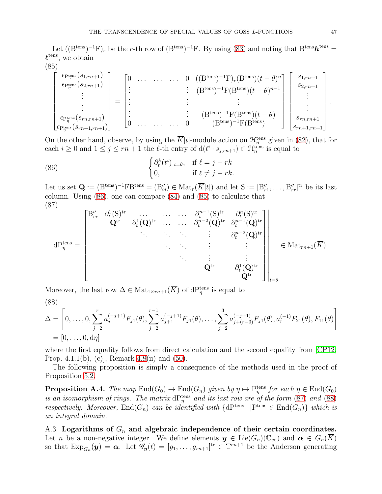Let  $((B<sup>tens</sup>)<sup>-1</sup>F)<sub>r</sub>$  be the r-th row of  $(B<sup>tens</sup>)<sup>-1</sup>F$ . By using [\(83\)](#page-45-1) and noting that  $B<sup>tens</sup> h<sup>tens</sup>$  $\ell^{\text{tens}}$ , we obtain  $(85)$ 

<span id="page-46-1"></span>
$$
\begin{bmatrix}\n\epsilon_{\text{P}_{\eta}^{\text{tens}}}(s_{1,m+1}) \\
\epsilon_{\text{P}_{\eta}^{\text{tens}}}(s_{2,m+1}) \\
\vdots \\
\epsilon_{\text{P}_{\eta}^{\text{tens}}}(s_{m,m+1}) \\
\epsilon_{\text{P}_{\eta}^{\text{tens}}}(s_{m+1,m+1})\n\end{bmatrix} = \begin{bmatrix}\n0 & \dots & \dots & 0 & ((B^{\text{tens}})^{-1}F)_r(B^{\text{tens}})(t-\theta)^n \\
\vdots & & \vdots & (\text{B}^{\text{tens}})^{-1}F(B^{\text{tens}})(t-\theta)^{n-1} \\
\vdots & & \vdots & \vdots \\
0 & \dots & \dots & 0 & (B^{\text{tens}})^{-1}F(B^{\text{tens}})(t-\theta)\n\end{bmatrix} \begin{bmatrix}\ns_{1,m+1} \\
s_{2,m+1} \\
\vdots \\
\vdots \\
\ns_{m,m+1} \\
s_{m+1,m+1}\n\end{bmatrix}.
$$

On the other hand, observe, by using the  $\overline{K}[t]$ -module action on  $\mathcal{H}_n^{\text{tens}}$  given in [\(82\)](#page-45-0), that for each  $i \geq 0$  and  $1 \leq j \leq rn+1$  the  $\ell$ -th entry of  $d(t^i \cdot s_{j, rn+1}) \in \mathcal{H}_n^{\text{tens}}$  is equal to

<span id="page-46-0"></span>(86) 
$$
\begin{cases} \partial_t^k(t^i)|_{t=\theta}, & \text{if } \ell = j - rk \\ 0, & \text{if } \ell \neq j - rk. \end{cases}
$$

Let us set  $\mathbf{Q} := (\mathbf{B}^{\text{tens}})^{-1} \mathbf{F} \mathbf{B}^{\text{tens}} = (\mathbf{B}_{ij}'') \in \text{Mat}_r(\overline{K}[t])$  and let  $\mathbf{S} := [\mathbf{B}_{r1}'', \dots, \mathbf{B}_{rr}'']^{\text{tr}}$  be its last column. Using [\(86\)](#page-46-0), one can compare [\(84\)](#page-45-2) and [\(85\)](#page-46-1) to calculate that (87)

<span id="page-46-2"></span>
$$
dP_{\eta}^{\text{tens}} = \begin{bmatrix} B''_{rr} & \partial_t^1(S)^{\text{tr}} & \dots & \dots & \partial_t^{n-1}(S)^{\text{tr}} & \partial_t^n(S)^{\text{tr}} \\ & \mathbf{Q}^{\text{tr}} & \partial_t^1(\mathbf{Q})^{\text{tr}} & \dots & \dots & \partial_t^{n-2}(\mathbf{Q})^{\text{tr}} & \partial_t^{n-1}(\mathbf{Q})^{\text{tr}} \\ & \ddots & \ddots & \ddots & \vdots & \vdots \\ & & \ddots & \ddots & \vdots & \vdots \\ & & & \ddots & \vdots & \vdots \\ & & & & \mathbf{Q}^{\text{tr}} & \partial_t^1(\mathbf{Q})^{\text{tr}} \\ & & & & \mathbf{Q}^{\text{tr}} & \partial_t^1(\mathbf{Q})^{\text{tr}} \\ & & & & \mathbf{Q}^{\text{tr}} \end{bmatrix}_{t=\theta} \in Mat_{rn+1}(\overline{K}).
$$

Moreover, the last row  $\Delta \in \text{Mat}_{1 \times rn+1}(\overline{K})$  of  $dP_{\eta}^{\text{tens}}$  is equal to

<span id="page-46-3"></span>(88)  
\n
$$
\Delta = \left[0, \ldots, 0, \sum_{j=2}^{r} a_j^{(-j+1)} F_{j1}(\theta), \sum_{j=2}^{r-1} a_{j+1}^{(-j+1)} F_{j1}(\theta), \ldots, \sum_{j=2}^{3} a_{j+(r-3)}^{(-j+1)} F_{j1}(\theta), a_r^{(-1)} F_{21}(\theta), F_{11}(\theta)\right]
$$
\n
$$
= [0, \ldots, 0, d\eta]
$$

where the first equality follows from direct calculation and the second equality from [\[CP12,](#page-52-10) Prop. 4.1.1(b), (c), Remark 4.8(ii) and  $(50)$ .

The following proposition is simply a consequence of the methods used in the proof of Proposition [5.2.](#page-30-3)

<span id="page-46-4"></span>**Proposition A.4.** The map  $\text{End}(G_0) \to \text{End}(G_n)$  given by  $\eta \mapsto \Pr_{\eta}^{\text{tens}}$  for each  $\eta \in \text{End}(G_0)$ is an isomorphism of rings. The matrix  $dP_{\eta}^{\text{tens}}$  and its last row are of the form [\(87\)](#page-46-2) and [\(88\)](#page-46-3) respectively. Moreover,  $End(G_n)$  can be identified with  $\{dP^{tens} \mid P^{tens} \in End(G_n)\}\$  which is an integral domain.

A.3. Logarithms of  $G_n$  and algebraic independence of their certain coordinates. Let n be a non-negative integer. We define elements  $y \in \mathrm{Lie}(G_n)(\mathbb{C}_{\infty})$  and  $\alpha \in G_n(\overline{K})$ so that  $\text{Exp}_{G_n}(\boldsymbol{y}) = \boldsymbol{\alpha}$ . Let  $\mathscr{G}_{\boldsymbol{y}}(t) = [g_1, \ldots, g_{rn+1}]^{\text{tr}} \in \mathbb{T}^{rn+1}$  be the Anderson generating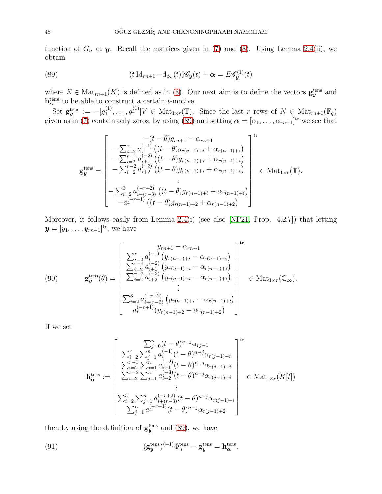function of  $G_n$  at  $y$ . Recall the matrices given in [\(7\)](#page-6-1) and [\(8\)](#page-7-0). Using Lemma [2.4\(](#page-7-2)ii), we obtain

(89) 
$$
(t \operatorname{Id}_{rn+1} - \operatorname{d}_{\phi_n}(t)) \mathscr{G}_y(t) + \alpha = E \mathscr{G}_y^{(1)}(t)
$$

where  $E \in Mat_{rn+1}(K)$  is defined as in [\(8\)](#page-7-0). Our next aim is to define the vectors  $\mathbf{g}_{y}^{\text{tens}}$  and  $h_{\alpha}^{\text{tens}}$  to be able to construct a certain t-motive.

 $\mathrm{Set}\ \mathbf{g}_{\boldsymbol{y}}^{\text{tens}} := - [g_1^{(1)}]$  $[0,1<sup>(1)</sup>,..., g<sub>r</sub><sup>(1)</sup>]V \in Mat_{1\times r}(\mathbb{T})$ . Since the last r rows of  $N \in Mat_{rn+1}(\mathbb{F}_q)$ given as in [\(7\)](#page-6-1) contain only zeros, by using [\(89\)](#page-47-0) and setting  $\boldsymbol{\alpha} = [\alpha_1, \dots, \alpha_{rn+1}]^{\text{tr}}$  we see that

<span id="page-47-0"></span>
$$
\mathbf{g}_{\mathbf{y}}^{\text{tens}} = \begin{bmatrix}\n-(t-\theta)g_{rn+1} - \alpha_{rn+1} \\
-\sum_{i=2}^{r} a_i^{(-1)}((t-\theta)g_{r(n-1)+i} + \alpha_{r(n-1)+i}) \\
-\sum_{i=2}^{r-1} a_{i+1}^{(-2)}((t-\theta)g_{r(n-1)+i} + \alpha_{r(n-1)+i}) \\
-\sum_{i=2}^{r-2} a_{i+2}^{(-3)}((t-\theta)g_{r(n-1)+i} + \alpha_{r(n-1)+i}) \\
\vdots \\
-\sum_{i=2}^{3} a_{i+(r-3)}^{(-r+2)}((t-\theta)g_{r(n-1)+i} + \alpha_{r(n-1)+i}) \\
-a_r^{(-r+1)}((t-\theta)g_{r(n-1)+2} + \alpha_{r(n-1)+2})\n\end{bmatrix}^{\text{tr}} \in \text{Mat}_{1 \times r}(\mathbb{T}).
$$

Moreover, it follows easily from Lemma [2.4\(](#page-7-2)i) (see also [\[NP21,](#page-53-17) Prop. 4.2.7]) that letting  $\boldsymbol{y} = [y_1, \dots, y_{rn+1}]^{\text{tr}},$  we have

<span id="page-47-1"></span>(90) 
$$
\mathbf{g}_{\mathbf{y}}^{\text{tens}}(\theta) = \begin{bmatrix} y_{rn+1} - \alpha_{rn+1} \\ \sum_{i=2}^{r} a_i^{(-1)} (y_{r(n-1)+i} - \alpha_{r(n-1)+i}) \\ \sum_{i=2}^{r-1} a_{i+1}^{(-2)} (y_{r(n-1)+i} - \alpha_{r(n-1)+i}) \\ \sum_{i=2}^{r-2} a_{i+2}^{(-3)} (y_{r(n-1)+i} - \alpha_{r(n-1)+i}) \\ \vdots \\ \sum_{i=2}^{3} a_{i+(r-3)}^{(-r+2)} (y_{r(n-1)+i} - \alpha_{r(n-1)+i}) \\ a_r^{(-r+1)} (y_{r(n-1)+2} - \alpha_{r(n-1)+2}) \end{bmatrix}^{\text{tr}} \in \text{Mat}_{1 \times r}(\mathbb{C}_{\infty}).
$$

If we set

$$
\mathbf{h}_{\alpha}^{\text{tens}} := \begin{bmatrix} \sum_{j=0}^{n} (t-\theta)^{n-j} \alpha_{rj+1} \\ \sum_{i=2}^{r} \sum_{j=1}^{n} a_i^{(-1)} (t-\theta)^{n-j} \alpha_{r(j-1)+i} \\ \sum_{i=2}^{r-1} \sum_{j=1}^{n} a_{i+1}^{(-2)} (t-\theta)^{n-j} \alpha_{r(j-1)+i} \\ \sum_{i=2}^{r-2} \sum_{j=1}^{n} a_{i+2}^{(-3)} (t-\theta)^{n-j} \alpha_{r(j-1)+i} \\ \vdots \\ \sum_{i=2}^{3} \sum_{j=1}^{n} a_{i+(r-3)}^{(-r+2)} (t-\theta)^{n-j} \alpha_{r(j-1)+i} \\ \sum_{j=1}^{n} a_r^{(-r+1)} (t-\theta)^{n-j} \alpha_{r(j-1)+2} \end{bmatrix} \in \text{Mat}_{1 \times r}(\overline{K}[t])
$$

then by using the definition of  $g_y^{\text{tens}}$  and [\(89\)](#page-47-0), we have

<span id="page-47-2"></span>(91) 
$$
(\mathbf{g}_{\mathbf{y}}^{\text{tens}})^{(-1)} \Phi_n^{\text{tens}} - \mathbf{g}_{\mathbf{y}}^{\text{tens}} = \mathbf{h}_{\alpha}^{\text{tens}}.
$$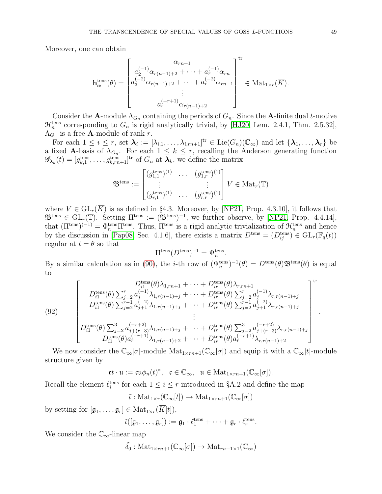Moreover, one can obtain

$$
\mathbf{h}_{\alpha}^{\text{tens}}(\theta) = \begin{bmatrix} \alpha_{rn+1} & \alpha_{rn+1} \\ a_2^{(-1)} \alpha_{r(n-1)+2} + \cdots + a_r^{(-1)} \alpha_{rn} \\ a_3^{(-2)} \alpha_{r(n-1)+2} + \cdots + a_r^{(-2)} \alpha_{rn-1} \\ \vdots \\ a_r^{(-r+1)} \alpha_{r(n-1)+2} \end{bmatrix}^{\text{tr}} \in \text{Mat}_{1 \times r}(\overline{K}).
$$

Consider the **A**-module  $\Lambda_{G_n}$  containing the periods of  $G_n$ . Since the **A**-finite dual *t*-motive  $\mathcal{H}_n^{\text{tens}}$  corresponding to  $G_n$  is rigid analytically trivial, by [\[HJ20,](#page-53-26) Lem. 2.4.1, Thm. 2.5.32],  $\Lambda_{G_n}$  is a free **A**-module of rank r.

For each  $1 \leq i \leq r$ , set  $\mathcal{A}_i := [\lambda_{i,1}, \ldots, \lambda_{i,rn+1}]^{\text{tr}} \in \text{Lie}(G_n)(\mathbb{C}_{\infty})$  and let  $\{\mathcal{A}_1, \ldots, \mathcal{A}_r\}$  be a fixed **A**-basis of  $\Lambda_{G_n}$ . For each  $1 \leq k \leq r$ , recalling the Anderson generating function  $\mathscr{G}_{\mathbf{\lambda}_k}(t) = [g_{k,1}^{\text{tens}}, \ldots, g_{k,m+1}^{\text{tens}}]^{\text{tr}}$  of  $G_n$  at  $\mathbf{\lambda}_k$ , we define the matrix

$$
\mathfrak{B}^{\text{tens}} := \begin{bmatrix} (g_{1,1}^{\text{tens}})^{(1)} & \cdots & (g_{1,r}^{\text{tens}})^{(1)} \\ \vdots & & \vdots \\ (g_{r,1}^{\text{tens}})^{(1)} & \cdots & (g_{r,r}^{\text{tens}})^{(1)} \end{bmatrix} V \in \text{Mat}_r(\mathbb{T})
$$

where  $V \in GL_r(K)$  is as defined in §4.3. Moreover, by [\[NP21,](#page-53-17) Prop. 4.3.10], it follows that  $\mathfrak{B}^{\text{tens}} \in GL_r(\mathbb{T})$ . Setting  $\Pi^{\text{tens}} := (\mathfrak{B}^{\text{tens}})^{-1}$ , we further observe, by [\[NP21,](#page-53-17) Prop. 4.4.14], that  $(\Pi^{\text{tens}})^{(-1)} = \Phi_n^{\text{tens}} \Pi^{\text{tens}}$ . Thus,  $\Pi^{\text{tens}}$  is a rigid analytic trivialization of  $\mathcal{H}_n^{\text{tens}}$  and hence by the discussion in [\[Pap08,](#page-53-11) Sec. 4.1.6], there exists a matrix  $D<sup>tens</sup> = (D<sup>tens</sup><sub>ij</sub>) \in GL<sub>r</sub>(\mathbb{F}_q(t))$ regular at  $t = \theta$  so that

$$
\Pi^{\text{tens}}(D^{\text{tens}})^{-1} = \Psi_n^{\text{tens}}.
$$

By a similar calculation as in [\(90\)](#page-47-1), the *i*-th row of  $(\Psi_n^{\text{tens}})^{-1}(\theta) = D^{\text{tens}}(\theta) \mathfrak{B}^{\text{tens}}(\theta)$  is equal to

<span id="page-48-0"></span>(92)  

$$
\begin{bmatrix}\nD_{i1}^{\text{tens}}(\theta)\lambda_{1, rn+1} + \cdots + D_{ir}^{\text{tens}}(\theta)\lambda_{r, rn+1} \\
D_{i1}^{\text{tens}}(\theta)\sum_{j=2}^{r} a_{j}^{(-1)}\lambda_{1, r(n-1)+j} + \cdots + D_{ir}^{\text{tens}}(\theta)\sum_{j=2}^{r} a_{j}^{(-1)}\lambda_{r, r(n-1)+j} \\
D_{i1}^{\text{tens}}(\theta)\sum_{j=2}^{r-1} a_{j+1}^{(-2)}\lambda_{1, r(n-1)+j} + \cdots + D_{ir}^{\text{tens}}(\theta)\sum_{j=2}^{r-1} a_{j+1}^{(-2)}\lambda_{r, r(n-1)+j} \\
\vdots \\
D_{i1}^{\text{tens}}(\theta)\sum_{j=2}^{3} a_{j+(r-3)}^{(-r+2)}\lambda_{1, r(n-1)+j} + \cdots + D_{ir}^{\text{tens}}(\theta)\sum_{j=2}^{3} a_{j+(r-3)}^{(-r+2)}\lambda_{r, r(n-1)+j} \\
D_{i1}^{\text{tens}}(\theta)a_{r}^{(-r+1)}\lambda_{1, r(n-1)+2} + \cdots + D_{ir}^{\text{tens}}(\theta)a_{r}^{(-r+1)}\lambda_{r, r(n-1)+2}\n\end{bmatrix}.
$$

We now consider the  $\mathbb{C}_{\infty}[\sigma]$ -module  $\text{Mat}_{1\times rn+1}(\mathbb{C}_{\infty}[\sigma])$  and equip it with a  $\mathbb{C}_{\infty}[t]$ -module structure given by

$$
\mathfrak{c}t\cdot \mathfrak{u}:=\mathfrak{c} \mathfrak{u} \phi_n(t)^*,\ \ \mathfrak{c}\in \mathbb{C}_{\infty},\ \ \mathfrak{u}\in {\rm Mat}_{1\times rn+1}(\mathbb{C}_{\infty}[\sigma]).
$$

Recall the element  $\ell_i^{\text{tens}}$  for each  $1 \leq i \leq r$  introduced in §A.2 and define the map

$$
\tilde{\iota}: \mathrm{Mat}_{1 \times r}(\mathbb{C}_{\infty}[t]) \to \mathrm{Mat}_{1 \times rn+1}(\mathbb{C}_{\infty}[\sigma])
$$

by setting for  $[\mathfrak{g}_1, \ldots, \mathfrak{g}_r] \in \text{Mat}_{1 \times r}(\overline{K}[t]),$ 

$$
\tilde{\iota}([\mathfrak{g}_1,\ldots,\mathfrak{g}_r]):=\mathfrak{g}_1\cdot\ell_1^{\mathrm{tens}}+\cdots+\mathfrak{g}_r\cdot\ell_r^{\mathrm{tens}}.
$$

We consider the  $\mathbb{C}_{\infty}$ -linear map

$$
\tilde{\delta_0}: \text{Mat}_{1 \times rn+1}(\mathbb{C}_{\infty}[\sigma]) \to \text{Mat}_{rn+1 \times 1}(\mathbb{C}_{\infty})
$$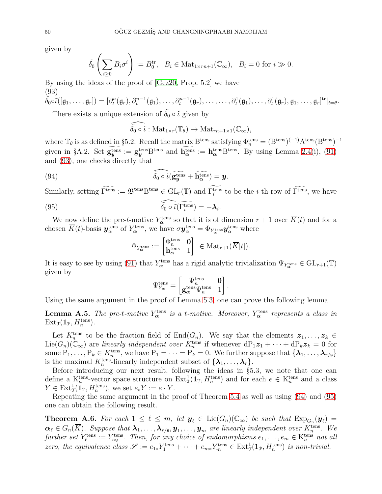given by

$$
\tilde{\delta_0}\left(\sum_{i\geq 0}B_i\sigma^i\right):=B_0^{\text{tr}},\ \ B_i\in\mathrm{Mat}_{1\times rn+1}(\mathbb{C}_{\infty}),\ \ B_i=0\ \text{for}\ i\gg 0.
$$

By using the ideas of the proof of [\[Gez20,](#page-53-7) Prop. 5.2] we have (93)

<span id="page-49-0"></span>
$$
\tilde{\delta_0} \circ \tilde{\iota}([\mathfrak{g}_1, \ldots, \mathfrak{g}_r]) = [\partial_t^n(\mathfrak{g}_r), \partial_t^{n-1}(\mathfrak{g}_1), \ldots, \partial_t^{n-1}(\mathfrak{g}_r), \ldots, \ldots, \partial_t^1(\mathfrak{g}_1), \ldots, \partial_t^1(\mathfrak{g}_r), \mathfrak{g}_1, \ldots, \mathfrak{g}_r]^{tr}|_{t=\theta}.
$$
  
Then exists a unique extension of  $\tilde{\mathfrak{F}}$  a  $\tilde{\mathfrak{F}}$  given by

There exists a unique extension of  $\delta_0 \circ i$  given by

<span id="page-49-1"></span>
$$
\widehat{\tilde{\delta_0} \circ \tilde{\iota}} : \mathrm{Mat}_{1 \times r}(\mathbb{T}_{\theta}) \to \mathrm{Mat}_{rn+1 \times 1}(\mathbb{C}_{\infty}),
$$

where  $\mathbb{T}_{\theta}$  is as defined in §5.2. Recall the matrix  $B^{tens}$  satisfying  $\Phi_n^{tens} = (B^{tens})^{(-1)} A^{tens} (B^{tens})^{-1}$ given in §A.2. Set  $g_y^{\text{tens}} := g_y^{\text{tens}}B^{\text{tens}}$  and  $h_\alpha^{\text{tens}} := h_\alpha^{\text{tens}}B^{\text{tens}}$ . By using Lemma [2.4\(](#page-7-2)i), [\(91\)](#page-47-2) and [\(93\)](#page-49-0), one checks directly that

(94) 
$$
\widehat{\delta_0 \circ i}(\widetilde{\mathbf{g}_{\mathbf{y}}^{\text{tens}}} + \widetilde{\mathbf{h}_{\alpha}^{\text{tens}}}) = \mathbf{y}.
$$

Similarly, setting  $\Gamma^{\text{tens}} := \mathfrak{B}^{\text{tens}} \mathcal{B}^{\text{tens}} \in GL_r(\mathbb{T})$  and  $\Gamma^{\text{tens}}_i$  to be the *i*-th row of  $\Gamma^{\text{tens}}$ , we have

(95) 
$$
\widehat{\delta_0 \circ \tilde{\iota}(\Gamma_i^{\text{tens}})} = -\lambda_i.
$$

We now define the pre-t-motive  $Y_{\alpha}^{\text{tens}}$  so that it is of dimension  $r+1$  over  $\overline{K}(t)$  and for a chosen  $\overline{K}(t)$ -basis  $\bm{y}_\alpha^{\text{tens}}$  of  $Y_\alpha^{\text{tens}}$ , we have  $\sigma \bm{y}_\alpha^{\text{tens}} = \Phi_{Y_\alpha^{\text{tens}}} \bm{y}_\alpha^{\text{tens}}$  where

<span id="page-49-2"></span>
$$
\Phi_{Y_{\boldsymbol\alpha}^{\text{tens}}}:=\begin{bmatrix}\Phi_n^{\text{tens}}&\mathbf 0\\ \mathbf h_\boldsymbol\alpha^{\text{tens}}&1\end{bmatrix}\ \in\mathrm{Mat}_{r+1}(\overline{K}[t]).
$$

It is easy to see by using [\(91\)](#page-47-2) that  $Y_{\alpha}^{\text{tens}}$  has a rigid analytic trivialization  $\Psi_{Y_{\alpha}^{\text{tens}}} \in GL_{r+1}(\mathbb{T})$ given by

$$
\Psi_{Y_{\boldsymbol{\alpha}}}^{\rm tens} = \begin{bmatrix} \Psi_n^{\rm tens} & \mathbf{0} \\ \mathbf{g}_{\boldsymbol{\alpha}}^{\rm tens} \Psi_n^{\rm tens} & 1 \end{bmatrix}
$$

.

Using the same argument in the proof of Lemma [5.3,](#page-34-1) one can prove the following lemma.

**Lemma A.5.** The pre-t-motive  $Y^{\text{tens}}_{\alpha}$  is a t-motive. Moreover,  $Y^{\text{tens}}_{\alpha}$  represents a class in  $\text{Ext}_{\mathfrak{I}}(\mathbf{1}_{\mathfrak{P}}, H_n^{\text{tens}}).$ 

Let  $K_n^{\text{tens}}$  to be the fraction field of  $\text{End}(G_n)$ . We say that the elements  $z_1, \ldots, z_k \in$  $Lie(G_n)(\mathbb{C}_{\infty})$  are linearly independent over  $K_n^{\text{tens}}$  if whenever  $dP_1z_1 + \cdots + dP_kz_k = 0$  for some  $P_1, \ldots, P_k \in K_n^{\text{tens}}$ , we have  $P_1 = \cdots = P_k = 0$ . We further suppose that  $\{\lambda_1, \ldots, \lambda_{r/s}\}$ is the maximal  $K_n^{\text{tens}}$ -linearly independent subset of  $\{\lambda_1, \ldots, \lambda_r\}$ .

Before introducing our next result, following the ideas in §5.3, we note that one can define a  $K_n^{\text{tens}}$ -vector space structure on  $\text{Ext}^1_{\mathcal{J}}(\mathbf{1}_{\mathcal{T}}, H_n^{\text{tens}})$  and for each  $e \in K_n^{\text{tens}}$  and a class  $Y \in \text{Ext}^1_{\mathfrak{I}}(\mathbf{1}_{\mathfrak{I}}, H_n^{\text{tens}}),$  we set  $e_* Y := e \cdot Y$ .

Repeating the same argument in the proof of Theorem [5.4](#page-35-2) as well as using [\(94\)](#page-49-1) and [\(95\)](#page-49-2) one can obtain the following result.

<span id="page-49-3"></span>**Theorem A.6.** For each  $1 \leq \ell \leq m$ , let  $y_{\ell} \in \text{Lie}(G_n)(\mathbb{C}_{\infty})$  be such that  $\text{Exp}_{G_n}(y_{\ell}) =$  $\alpha_\ell\in G_n(\overline{K})$ . Suppose that  $\bm\lambda_1,\ldots,\bm\lambda_{r/{\bf s}},$   $\bm y_1,\ldots,\bm y_m$  are linearly independent over  $K_n^{\text{tens}}$ . We further set  $Y_{\ell}^{\text{tens}} := Y_{\alpha_{\ell}}^{\text{tens}}$ . Then, for any choice of endomorphisms  $e_1, \ldots, e_m \in K_n^{\text{tens}}$  not all zero, the equivalence class  $\mathscr{S} := e_{1*}Y_1^{\text{tens}} + \cdots + e_{m*}Y_m^{\text{tens}} \in \text{Ext}^1_{\mathfrak{I}}(\mathbf{1}_{\mathfrak{P}}, H_n^{\text{tens}})$  is non-trivial.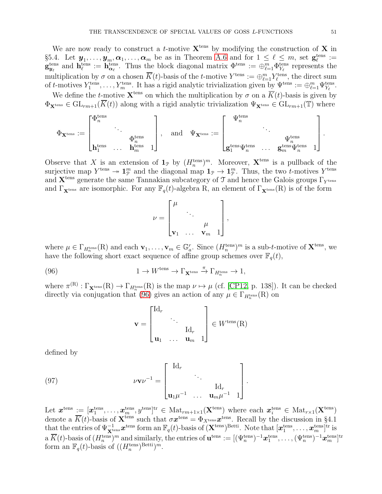We are now ready to construct a *t*-motive  $X<sup>tens</sup>$  by modifying the construction of X in §5.4. Let  $y_1, \ldots, y_m, \alpha_1, \ldots, \alpha_m$  be as in Theorem [A.6](#page-49-3) and for  $1 \leq \ell \leq m$ , set  $\mathbf{g}_{\ell}^{\text{tens}} :=$  $\mathbf{g}_{y_\ell}^{\text{tens}}$  and  $\mathbf{h}_{\ell}^{\text{tens}} := \mathbf{h}_{\alpha_\ell}^{\text{tens}}$ . Thus the block diagonal matrix  $\Phi_{\text{t}}^{\text{tens}} := \bigoplus_{\ell=1}^m \Phi_{Y_\ell}^{\text{tens}}$  represents the multiplication by  $\sigma$  on a chosen  $\overline{K}(t)$ -basis of the t-motive  $Y^{\text{tens}} := \bigoplus_{\ell=1}^{m} Y_{\ell}^{\text{tens}}$ , the direct sum of t-motives  $Y_1^{\text{tens}}, \ldots, Y_m^{\text{tens}}$ . It has a rigid analytic trivialization given by  $\Psi^{\text{tens}} := \bigoplus_{\ell=1}^m \Psi_{Y_{\ell}}^{\text{tens}}$ .

We define the t-motive  $\mathbf{X}^{\text{tens}}$  on which the multiplication by  $\sigma$  on a  $\overline{K}(t)$ -basis is given by  $\Phi_{\mathbf{X}^{\text{tens}}}\in GL_{rm+1}(\overline{K}(t))$  along with a rigid analytic trivialization  $\Psi_{\mathbf{X}^{\text{tens}}}\in GL_{rm+1}(\mathbb{T})$  where

$$
\Phi_{\mathbf{X}^{\text{tens}}}:=\begin{bmatrix} \Phi_n^{\text{tens}} & & & \\ & \ddots & & \\ & & \Phi_n^{\text{tens}} & \\ \mathbf{h}_1^{\text{tens}} & \ldots & \mathbf{h}_m^{\text{tens}} & 1 \end{bmatrix}, \quad \text{and} \quad \Psi_{\mathbf{X}^{\text{tens}}}:=\begin{bmatrix} \Psi_n^{\text{tens}} & & & \\ & \ddots & & \\ & & \Psi_n^{\text{tens}} & \\ \mathbf{g}_1^{\text{tens}}\Psi_n^{\text{tens}} & \ldots & \mathbf{g}_m^{\text{tens}}\Psi_n^{\text{tens}} & 1 \end{bmatrix}.
$$

Observe that X is an extension of  $\mathbf{1}_{\mathcal{P}}$  by  $(H_n^{\text{tens}})^m$ . Moreover,  $\mathbf{X}^{\text{tens}}$  is a pullback of the surjective map  $Y^{\text{tens}} \to \mathbf{1}_{\mathcal{P}}^{m}$  and the diagonal map  $\mathbf{1}_{\mathcal{P}} \to \mathbf{1}_{\mathcal{P}}^{m}$ . Thus, the two *t*-motives  $Y^{\text{tens}}$ and  $X<sup>tens</sup>$  generate the same Tannakian subcategory of T and hence the Galois groups  $\Gamma_{Y^{tens}}$ and  $\Gamma_{\mathbf{X}^{\text{tens}}}$  are isomorphic. For any  $\mathbb{F}_q(t)$ -algebra R, an element of  $\Gamma_{\mathbf{X}^{\text{tens}}}(\mathbf{R})$  is of the form

$$
\nu = \begin{bmatrix} \mu & & & \\ & \ddots & & \\ & & \mu & \\ & & & \nu_m & 1 \end{bmatrix},
$$

where  $\mu \in \Gamma_{H_n^{\text{tens}}}(R)$  and each  $\mathbf{v}_1, \ldots, \mathbf{v}_m \in \mathbb{G}_a^r$ . Since  $(H_n^{\text{tens}})^m$  is a sub-t-motive of  $\mathbf{X}^{\text{tens}}$ , we have the following short exact sequence of affine group schemes over  $\mathbb{F}_q(t)$ ,

(96) 
$$
1 \to W^{\text{tens}} \to \Gamma_{\mathbf{X}^{\text{tens}}} \stackrel{\pi}{\to} \Gamma_{H_n^{\text{tens}}} \to 1,
$$

where  $\pi^{(R)} : \Gamma_{\mathbf{X}^{\text{tens}}}(R) \to \Gamma_{H_n^{\text{tens}}}(R)$  is the map  $\nu \mapsto \mu$  (cf. [\[CP12,](#page-52-10) p. 138]). It can be checked directly via conjugation that [\(96\)](#page-50-0) gives an action of any  $\mu \in \Gamma_{H_n^{\text{tens}}}(\mathbb{R})$  on

<span id="page-50-1"></span><span id="page-50-0"></span>
$$
\mathbf{v} = \begin{bmatrix} \mathrm{Id}_r & & \\ & \ddots & \\ & & \mathrm{Id}_r \\ \mathbf{u}_1 & \dots & \mathbf{u}_m & 1 \end{bmatrix} \in W^{\text{tens}}(\mathbf{R})
$$

defined by

(97) 
$$
\nu \mathbf{v} \nu^{-1} = \begin{bmatrix} \mathrm{Id}_r & & \\ & \ddots & \\ \mathbf{u}_1 \mu^{-1} & \cdots & \mathbf{u}_m \mu^{-1} & 1 \end{bmatrix}
$$

Let  $\boldsymbol{x}^{\text{tens}} := [\boldsymbol{x}^{\text{tens}}_1, \dots, \boldsymbol{x}^{\text{tens}}_m, y^{\text{tens}}]^{\text{tr}} \in \text{Mat}_{rm+1\times 1}(\mathbf{X}^{\text{tens}})$  where each  $\boldsymbol{x}^{\text{tens}}_i \in \text{Mat}_{r\times 1}(\mathbf{X}^{\text{tens}})$ denote a  $\overline{K}(t)$ -basis of  $\mathbf{X}^{\text{tens}}$  such that  $\sigma \boldsymbol{x}^{\text{tens}} = \Phi_{X^{\text{tens}}} \boldsymbol{x}^{\text{tens}}$ . Recall by the discussion in §4.1 that the entries of  $\Psi_{\mathbf{X}^{\text{tens}}}^{-1}\boldsymbol{x}^{\text{tens}}$  form an  $\mathbb{F}_q(t)$ -basis of  $(\mathbf{X}^{\text{tens}})^{\text{Betti}}$ . Note that  $[\boldsymbol{x}^{\text{tens}}_1, \dots, \boldsymbol{x}^{\text{tens}}_m]^{\text{tr}}$  is  $\text{a }\overline{K}(t)\text{-basis of }(H_n^{\text{tens}})^m \text{ and similarly, the entries of } \mathbf{u}^{\text{tens}} := [(\Psi_n^{\text{tens}})^{-1}\bm{x}^{\text{tens}}_1, \dots, (\Psi_n^{\text{tens}})^{-1}\bm{x}^{\text{tens}}_m]^{\text{tr}}$ form an  $\mathbb{F}_q(t)$ -basis of  $((H_n^{\text{tens}})^{\text{Betti}})^m$ .

.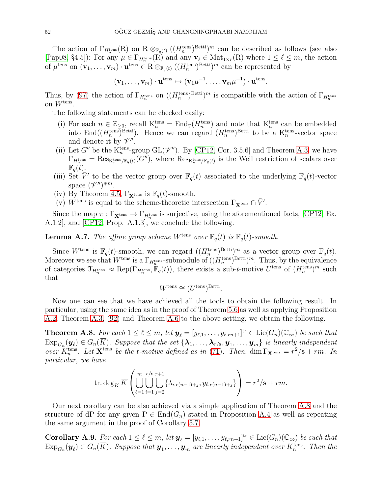The action of  $\Gamma_{H_n^{\text{tens}}}(R)$  on  $R \otimes_{\mathbb{F}_q(t)} ((H_n^{\text{tens}})^{\text{Betti}})^m$  can be described as follows (see also [\[Pap08,](#page-53-11) §4.5]): For any  $\mu \in \Gamma_{H_n^{\text{tens}}}(R)$  and any  $\mathbf{v}_{\ell} \in \text{Mat}_{1 \times r}(R)$  where  $1 \leq \ell \leq m$ , the action of  $\mu^{\text{tens}}$  on  $(\mathbf{v}_1, \ldots, \mathbf{v}_m) \cdot \mathbf{u}^{\text{tens}} \in \mathbb{R} \otimes_{\mathbb{F}_q(t)} ((H_n^{\text{tens}})^{\text{Betti}})^m$  can be represented by

$$
(\mathbf{v}_1,\ldots,\mathbf{v}_m)\cdot\mathbf{u}^{\text{tens}} \mapsto (\mathbf{v}_1\mu^{-1},\ldots,\mathbf{v}_m\mu^{-1})\cdot\mathbf{u}^{\text{tens}}.
$$

Thus, by [\(97\)](#page-50-1) the action of  $\Gamma_{H_n^{\text{tens}}}$  on  $((H_n^{\text{tens}})^{\text{Betti}})^m$  is compatible with the action of  $\Gamma_{H_n^{\text{tens}}}$ on  $W^{\text{tens}}$ .

The following statements can be checked easily:

- (i) For each  $n \in \mathbb{Z}_{\geq 0}$ , recall  $K_n^{\text{tens}} = \text{End}_{\mathcal{I}}(H_n^{\text{tens}})$  and note that  $K_n^{\text{tens}}$  can be embedded into  $\text{End}((H_n^{\text{tens}})^{\text{Betti}})$ . Hence we can regard  $(H_n^{\text{tens}})^{\text{Betti}}$  to be a  $K_n^{\text{tens}}$ -vector space and denote it by  $\mathscr{V}''$ .
- (ii) Let G'' be the  $\mathcal{K}_n^{\text{tens}}$ -group GL $(\mathcal{V}'')$ . By [\[CP12,](#page-52-10) Cor. 3.5.6] and Theorem [A.3,](#page-44-3) we have  $\Gamma_{H_n^{\text{tens}}} = \text{Res}_{\mathcal{K}_n^{\text{tens}}/\mathbb{F}_q(t)}(G'')$ , where  $\text{Res}_{\mathcal{K}_n^{\text{tens}}/\mathbb{F}_q(t)}$  is the Weil restriction of scalars over  $\mathbb{F}_q(t)$ .
- (iii) Set  $\overline{V}'$  to be the vector group over  $\mathbb{F}_q(t)$  associated to the underlying  $\mathbb{F}_q(t)$ -vector space  $(\mathscr{V}'')^{\oplus m}$ .
- (iv) By Theorem [4.5,](#page-23-1)  $\Gamma_{\mathbf{X}^{\text{tens}}}$  is  $\mathbb{F}_q(t)$ -smooth.
- (v)  $W^{\text{tens}}$  is equal to the scheme-theoretic intersection  $\Gamma_{\mathbf{X}^{\text{tens}}} \cap \bar{V}'$ .

Since the map  $\pi : \Gamma_{\mathbf{X}^{\text{tens}}} \to \Gamma_{H_n^{\text{tens}}}$  is surjective, using the aforementioned facts, [\[CP12,](#page-52-10) Ex. A.1.2], and [\[CP12,](#page-52-10) Prop. A.1.3], we conclude the following.

**Lemma A.7.** The affine group scheme W<sup>tens</sup> over  $\mathbb{F}_q(t)$  is  $\mathbb{F}_q(t)$ -smooth.

Since  $W^{\text{tens}}$  is  $\mathbb{F}_q(t)$ -smooth, we can regard  $((H_n^{\text{tens}})^{\text{Betti}})^m$  as a vector group over  $\mathbb{F}_q(t)$ . Moreover we see that  $W^{\text{tens}}$  is a  $\Gamma_{H_n^{\text{tens}}}$ -submodule of  $((H_n^{\text{tens}})^{\text{Betti}})^m$ . Thus, by the equivalence of categories  $\mathcal{T}_{H_n^{\text{tens}}}\approx \text{Rep}(\Gamma_{H_n^{\text{tens}}}, \mathbb{F}_q(t))$ , there exists a sub-t-motive  $U^{\text{tens}}$  of  $(H_n^{\text{tens}})^m$  such that

$$
W^{\text{tens}} \cong (U^{\text{tens}})^{\text{Betti}}.
$$

Now one can see that we have achieved all the tools to obtain the following result. In particular, using the same idea as in the proof of Theorem [5.6](#page-38-0) as well as applying Proposition [A.2,](#page-44-0) Theorem [A.3,](#page-44-3) [\(92\)](#page-48-0) and Theorem [A.6](#page-49-3) to the above setting, we obtain the following.

<span id="page-51-0"></span>**Theorem A.8.** For each  $1 \leq \ell \leq m$ , let  $y_{\ell} = [y_{\ell,1}, \ldots, y_{\ell,m+1}]^{\text{tr}} \in \text{Lie}(G_n)(\mathbb{C}_{\infty})$  be such that  $\mathrm{Exp}_{G_n}(\bm{y}_{\ell})\in G_n(K).$  Suppose that the set  $\{\bm{\lambda}_1,\ldots,\bm{\lambda}_{r/{\bf s}}, \bm{y}_1,\ldots, \bm{y}_m\}$  is linearly independent over  $K_n^{\text{tens}}$ . Let  $\mathbf{X}^{\text{tens}}$  be the t-motive defined as in [\(71\)](#page-37-2). Then,  $\dim \Gamma_{\mathbf{X}^{\text{tens}}} = r^2/\mathbf{s} + rm$ . In particular, we have

$$
\operatorname{tr.deg}_{\overline{K}}\overline{K}\left(\bigcup_{\ell=1}^{m}\bigcup_{i=1}^{r/s}\bigcup_{j=2}^{r+1}\{\lambda_{i,r(n-1)+j},y_{\ell,r(n-1)+j}\}\right)=r^{2}/\mathbf{s}+rm.
$$

Our next corollary can be also achieved via a simple application of Theorem [A.8](#page-51-0) and the structure of dP for any given  $P \in End(G_n)$  stated in Proposition [A.4](#page-46-4) as well as repeating the same argument in the proof of Corollary [5.7.](#page-39-1)

<span id="page-51-1"></span>**Corollary A.9.** For each  $1 \leq \ell \leq m$ , let  $y_{\ell} = [y_{\ell,1}, \ldots, y_{\ell,rn+1}]^{\text{tr}} \in \text{Lie}(G_n)(\mathbb{C}_{\infty})$  be such that  $\mathrm{Exp}_{G_n}(\bm{y}_\ell) \in G_n(\overline{K})$ . Suppose that  $\bm{y}_1, \ldots, \bm{y}_m$  are linearly independent over  $K_n^{\text{tens}}$ . Then the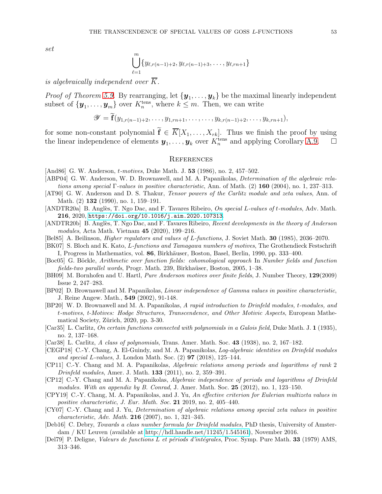$$
\bigcup_{\ell=1}^m \{y_{\ell,r(n-1)+2}, y_{\ell,r(n-1)+3}, \ldots, y_{\ell,rn+1}\}
$$

is algebraically independent over  $\overline{K}$ .

*Proof of Theorem [5.9.](#page-40-0)* By rearranging, let  $\{y_1, \ldots, y_k\}$  be the maximal linearly independent subset of  $\{y_1, \ldots, y_m\}$  over  $K_n^{\text{tens}}$ , where  $k \leq m$ . Then, we can write

$$
\mathscr{Y} = \widetilde{\mathbf{f}}(y_{1,r(n-1)+2},\ldots,y_{1,rn+1},\ldots,\ldots,y_{k,r(n-1)+2},\ldots,y_{k,rn+1}),
$$

for some non-constant polynomial  $\tilde{\mathbf{f}} \in \overline{K}[X_1,\ldots,X_{rk}]$ . Thus we finish the proof by using the linear independence of elements  $y_1, \ldots, y_k$  over  $K_n^{\text{tens}}$  and applying Corollary [A.9.](#page-51-1)

#### **REFERENCES**

- <span id="page-52-5"></span>[And86] G. W. Anderson, *t-motives*, Duke Math. J. **53** (1986), no. 2, 457–502.
- <span id="page-52-19"></span>[ABP04] G. W. Anderson, W. D. Brownawell, and M. A. Papanikolas, *Determination of the algebraic rela*tions among special Γ-values in positive characteristic, Ann. of Math.  $(2)$  160 (2004), no. 1, 237–313.
- <span id="page-52-6"></span>[AT90] G. W. Anderson and D. S. Thakur, *Tensor powers of the Carlitz module and zeta values*, Ann. of Math. (2) **132** (1990), no. 1, 159–191.
- <span id="page-52-11"></span>[ANDTR20a] B. Anglès, T. Ngo Dac, and F. Tavares Ribeiro, On special L-values of t-modules, Adv. Math. 216, 2020, <https://doi.org/10.1016/j.aim.2020.107313>.
- <span id="page-52-9"></span>[ANDTR20b] B. Anglès, T. Ngo Dac, and F. Tavares Ribeiro, Recent developments in the theory of Anderson modules, Acta Math. Vietnam 45 (2020), 199–216.
- <span id="page-52-1"></span>[Bel85] A. Beilinson, Higher regulators and values of L-functions, J. Soviet Math. 30 (1985), 2036–2070.
- <span id="page-52-2"></span>[BK07] S. Bloch and K. Kato, L-functions and Tamagawa numbers of motives, The Grothendieck Festschrift I, Progress in Mathematics, vol. 86, Birkhäuser, Boston, Basel, Berlin, 1990, pp. 333–400.
- <span id="page-52-14"></span>[Boc05] G. Böckle, Arithmetic over function fields: cohomological approach In Number fields and function fields-two parallel words, Progr. Math. 239, Birkhaüser, Boston, 2005, 1–38.
- <span id="page-52-15"></span>[BH09] M. Bornhofen and U. Hartl, Pure Anderson motives over finite fields, J. Number Theory, 129(2009) Issue 2, 247–283.
- <span id="page-52-13"></span>[BP02] D. Brownawell and M. Papanikolas, Linear independence of Gamma values in positive characteristic, J. Reine Angew. Math., 549 (2002), 91-148.
- <span id="page-52-12"></span>[BP20] W. D. Brownawell and M. A. Papanikolas, A rapid introduction to Drinfeld modules, t-modules, and t-motives, t-Motives: Hodge Structures, Transcendence, and Other Motivic Aspects, European Mathematical Society, Zürich, 2020, pp. 3-30.
- <span id="page-52-3"></span>[Car35] L. Carlitz, On certain functions connected with polynomials in a Galois field, Duke Math. J. 1 (1935), no. 2, 137–168.
- <span id="page-52-4"></span>[Car38] L. Carlitz, A class of polynomials, Trans. Amer. Math. Soc. 43 (1938), no. 2, 167–182.
- <span id="page-52-8"></span>[CEGP18] C.-Y. Chang, A. El-Guindy, and M. A. Papanikolas, *Log-algebraic identities on Drinfeld modules* and special L-values, J. London Math. Soc.  $(2)$  97  $(2018)$ , 125–144.
- <span id="page-52-17"></span>[CP11] C.-Y. Chang and M. A. Papanikolas, Algebraic relations among periods and logarithms of rank 2 Drinfeld modules, Amer. J. Math. 133 (2011), no. 2, 359–391.
- <span id="page-52-10"></span>[CP12] C.-Y. Chang and M. A. Papanikolas, Algebraic independence of periods and logarithms of Drinfeld modules. With an appendix by B. Conrad, J. Amer. Math. Soc.  $25$   $(2012)$ , no. 1, 123-150.
- <span id="page-52-18"></span>[CPY19] C.-Y. Chang, M. A. Papanikolas, and J. Yu, An effective criterion for Eulerian multizeta values in positive characteristic, J. Eur. Math. Soc. 21 2019, no. 2, 405–440.
- <span id="page-52-7"></span>[CY07] C.-Y. Chang and J. Yu, Determination of algebraic relations among special zeta values in positive characteristic, Adv. Math. 216 (2007), no. 1, 321–345.
- <span id="page-52-16"></span>[Deb16] C. Debry, Towards a class number formula for Drinfeld modules, PhD thesis, University of Amsterdam / KU Leuven (available at [http://hdl.handle.net/11245/1.545161\)](http://hdl.handle.net/11245/1.545161), November 2016.
- <span id="page-52-0"></span>[Del79] P. Deligne, Valeurs de functions L et périods d'intégrales, Proc. Symp. Pure Math. 33 (1979) AMS, 313–346.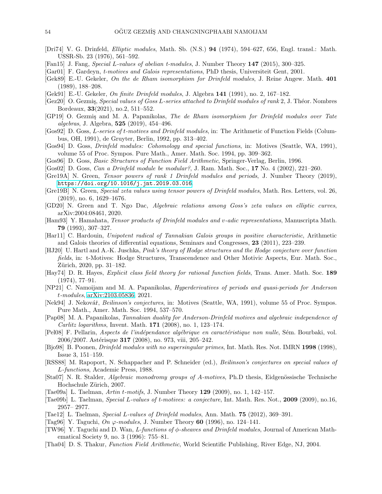- <span id="page-53-20"></span>[Dri74] V. G. Drinfeld, Elliptic modules, Math. Sb. (N.S.) 94 (1974), 594–627, 656, Engl. transl.: Math. USSR-Sb. 23 (1976), 561–592.
- <span id="page-53-10"></span>[Fan15] J. Fang, Special L-values of abelian t-modules, J. Number Theory 147 (2015), 300–325.
- <span id="page-53-8"></span>[Gar01] F. Gardeyn, t-motives and Galois representations, PhD thesis, Universiteit Gent, 2001.
- <span id="page-53-19"></span>[Gek89] E.-U. Gekeler, On the de Rham isomorphism for Drinfeld modules, J. Reine Angew. Math. 401 (1989), 188–208.
- <span id="page-53-28"></span>[Gek91] E.-U. Gekeler, On finite Drinfeld modules, J. Algebra 141 (1991), no. 2, 167–182.
- <span id="page-53-7"></span> $[Gez20]$  O. Gezmis, *Special values of Goss L-series attached to Drinfeld modules of rank* 2, J. Théor. Nombres Bordeaux, 33(2021), no.2, 511–552.
- <span id="page-53-21"></span>[GP19] O. Gezmiş and M. A. Papanikolas, The de Rham isomorphism for Drinfeld modules over Tate algebras, J. Algebra, 525 (2019), 454–496.
- <span id="page-53-6"></span>[Gos92] D. Goss, L-series of t-motives and Drinfeld modules, in: The Arithmetic of Function Fields (Columbus, OH, 1991), de Gruyter, Berlin, 1992, pp. 313–402.
- <span id="page-53-25"></span>[Gos94] D. Goss, Drinfeld modules: Cohomology and special functions, in: Motives (Seattle, WA, 1991), volume 55 of Proc. Sympos. Pure Math., Amer. Math. Soc. 1994, pp. 309–362.
- <span id="page-53-5"></span>[Gos96] D. Goss, Basic Structures of Function Field Arithmetic, Springer-Verlag, Berlin, 1996.
- <span id="page-53-29"></span>[Gos02] D. Goss, Can a Drinfeld module be modular?, J. Ram. Math. Soc., 17 No. 4 (2002), 221–260.
- <span id="page-53-14"></span>[Gre19A] N. Green, Tensor powers of rank 1 Drinfeld modules and periods, J. Number Theory (2019), <https://doi.org/10.1016/j.jnt.2019.03.016>.
- <span id="page-53-15"></span>[Gre19B] N. Green, Special zeta values using tensor powers of Drinfeld modules, Math. Res. Letters, vol. 26, (2019), no. 6, 1629–1676.
- <span id="page-53-16"></span>[GD20] N. Green and T. Ngo Dac, Algebraic relations among Goss's zeta values on elliptic curves, arXiv:2004:08461, 2020.
- <span id="page-53-13"></span>[Ham93] Y. Hamahata, Tensor products of Drinfeld modules and v-adic representations, Manuscripta Math. 79 (1993), 307–327.
- <span id="page-53-30"></span>[Har11] C. Hardouin, Unipotent radical of Tannakian Galois groups in positive characteristic, Arithmetic and Galois theories of differential equations, Seminars and Congresses, 23 (2011), 223–239.
- <span id="page-53-26"></span>[HJ20] U. Hartl and A.-K. Juschka, Pink's theory of Hodge structures and the Hodge conjecture over function fields, in: t-Motives: Hodge Structures, Transcendence and Other Motivic Aspects, Eur. Math. Soc., Zürich, 2020, pp. 31–182.
- <span id="page-53-3"></span>[Hay74] D. R. Hayes, Explicit class field theory for rational function fields, Trans. Amer. Math. Soc. 189 (1974), 77–91.
- <span id="page-53-17"></span>[NP21] C. Namoijam and M. A. Papanikolas, Hyperderivatives of periods and quasi-periods for Anderson t-modules, [arXiv:2103.05836,](http://arxiv.org/abs/2103.05836) 2021.
- <span id="page-53-0"></span>[Nek94] J. Nekovář, *Beilinson's conjectures*, in: Motives (Seattle, WA, 1991), volume 55 of Proc. Sympos. Pure Math., Amer. Math. Soc. 1994, 537–570.
- <span id="page-53-11"></span>[Pap08] M. A. Papanikolas, Tannakian duality for Anderson-Drinfeld motives and algebraic independence of Carlitz logarithms, Invent. Math. 171 (2008), no. 1, 123–174.
- <span id="page-53-18"></span>[Pel08] F. Pellarin, Aspects de l'indépendance algébrique en caractéristique non nulle, Sém. Bourbaki, vol. 2006/2007. Astérisque 317 (2008), no. 973, viii, 205-242.
- <span id="page-53-2"></span>[Bjo98] B. Poonen, Drinfeld modules with no supersingular primes, Int. Math. Res. Not. IMRN 1998 (1998), Issue 3, 151–159.
- <span id="page-53-1"></span>[RSS88] M. Rapoport, N. Schappacher and P. Schneider (ed.), Beilinson's conjectures on special values of L-functions, Academic Press, 1988.
- <span id="page-53-23"></span>[Sta07] N. R. Stalder, Algebraic monodromy groups of A-motives, Ph.D thesis, Eidgenössische Technische Hochschule Zürich, 2007.
- <span id="page-53-22"></span>[Tae09a] L. Taelman,  $Artin t-motifs$ , J. Number Theory 129 (2009), no. 1, 142–157.
- <span id="page-53-12"></span>[Tae09b] L. Taelman, Special L-values of t-motives: a conjecture, Int. Math. Res. Not., 2009 (2009), no.16, 2957– 2977.
- <span id="page-53-9"></span>[Tae12] L. Taelman, Special L-values of Drinfeld modules, Ann. Math. 75 (2012), 369–391.
- <span id="page-53-24"></span>[Tag96] Y. Taguchi,  $On \varphi$ -modules, J. Number Theory 60 (1996), no. 124–141.
- <span id="page-53-27"></span>[TW96] Y. Taguchi and D. Wan, L-functions of  $\phi$ -sheaves and Drinfeld modules, Journal of American Mathematical Society 9, no. 3 (1996): 755–81.
- <span id="page-53-4"></span>[Tha04] D. S. Thakur, Function Field Arithmetic, World Scientific Publishing, River Edge, NJ, 2004.